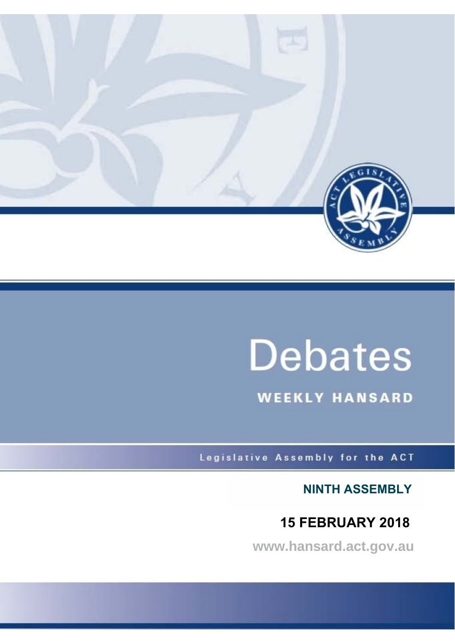

# **Debates**

**WEEKLY HANSARD** 

Legislative Assembly for the ACT

**NINTH ASSEMBLY**

## **15 FEBRUARY 2018**

**www.hansard.act.gov.au**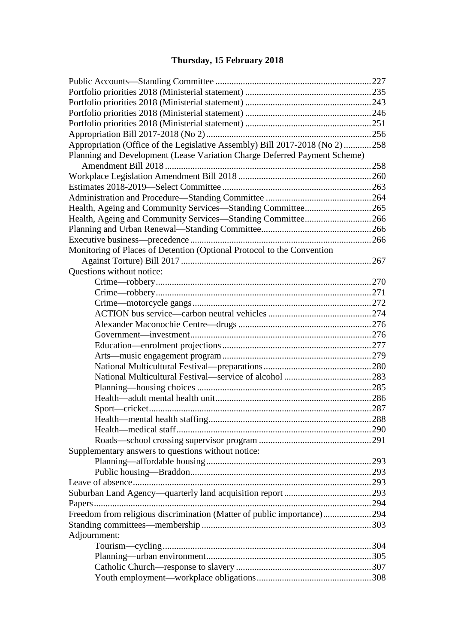## **[Thursday, 15 February 2018](#page-3-0)**

| Appropriation (Office of the Legislative Assembly) Bill 2017-2018 (No 2) 258 |  |
|------------------------------------------------------------------------------|--|
| Planning and Development (Lease Variation Charge Deferred Payment Scheme)    |  |
|                                                                              |  |
|                                                                              |  |
|                                                                              |  |
|                                                                              |  |
| Health, Ageing and Community Services-Standing Committee265                  |  |
| Health, Ageing and Community Services-Standing Committee266                  |  |
|                                                                              |  |
|                                                                              |  |
| Monitoring of Places of Detention (Optional Protocol to the Convention       |  |
|                                                                              |  |
| Questions without notice:                                                    |  |
|                                                                              |  |
|                                                                              |  |
|                                                                              |  |
|                                                                              |  |
|                                                                              |  |
|                                                                              |  |
|                                                                              |  |
|                                                                              |  |
|                                                                              |  |
|                                                                              |  |
|                                                                              |  |
|                                                                              |  |
|                                                                              |  |
|                                                                              |  |
|                                                                              |  |
|                                                                              |  |
| Supplementary answers to questions without notice:                           |  |
|                                                                              |  |
|                                                                              |  |
|                                                                              |  |
|                                                                              |  |
|                                                                              |  |
| Freedom from religious discrimination (Matter of public importance)294       |  |
|                                                                              |  |
| Adjournment:                                                                 |  |
|                                                                              |  |
|                                                                              |  |
|                                                                              |  |
|                                                                              |  |
|                                                                              |  |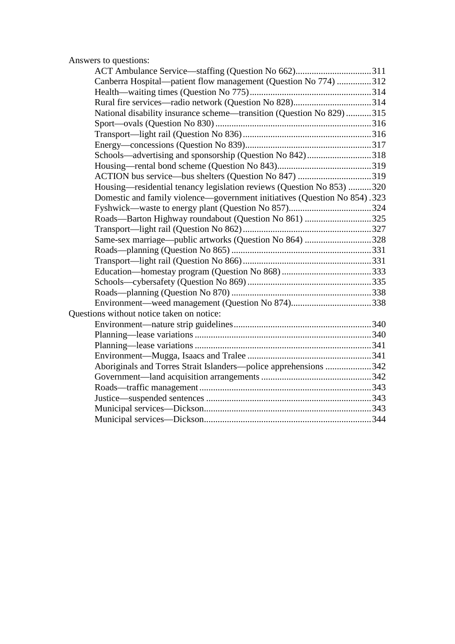## [Answers to questions:](#page-87-0)

| Canberra Hospital—patient flow management (Question No 774) 312<br>National disability insurance scheme—transition (Question No 829) 315<br>Schools—advertising and sponsorship (Question No 842)318<br>ACTION bus service—bus shelters (Question No 847) 319<br>Housing—residential tenancy legislation reviews (Question No 853) 320<br>Domestic and family violence—government initiatives (Question No 854).323<br>Roads-Barton Highway roundabout (Question No 861) 325<br>Same-sex marriage—public artworks (Question No 864) 328<br>Aboriginals and Torres Strait Islanders—police apprehensions 342 | ACT Ambulance Service—staffing (Question No 662)311 |  |
|-------------------------------------------------------------------------------------------------------------------------------------------------------------------------------------------------------------------------------------------------------------------------------------------------------------------------------------------------------------------------------------------------------------------------------------------------------------------------------------------------------------------------------------------------------------------------------------------------------------|-----------------------------------------------------|--|
|                                                                                                                                                                                                                                                                                                                                                                                                                                                                                                                                                                                                             |                                                     |  |
|                                                                                                                                                                                                                                                                                                                                                                                                                                                                                                                                                                                                             |                                                     |  |
|                                                                                                                                                                                                                                                                                                                                                                                                                                                                                                                                                                                                             |                                                     |  |
|                                                                                                                                                                                                                                                                                                                                                                                                                                                                                                                                                                                                             |                                                     |  |
|                                                                                                                                                                                                                                                                                                                                                                                                                                                                                                                                                                                                             |                                                     |  |
|                                                                                                                                                                                                                                                                                                                                                                                                                                                                                                                                                                                                             |                                                     |  |
|                                                                                                                                                                                                                                                                                                                                                                                                                                                                                                                                                                                                             |                                                     |  |
|                                                                                                                                                                                                                                                                                                                                                                                                                                                                                                                                                                                                             |                                                     |  |
|                                                                                                                                                                                                                                                                                                                                                                                                                                                                                                                                                                                                             |                                                     |  |
|                                                                                                                                                                                                                                                                                                                                                                                                                                                                                                                                                                                                             |                                                     |  |
|                                                                                                                                                                                                                                                                                                                                                                                                                                                                                                                                                                                                             |                                                     |  |
|                                                                                                                                                                                                                                                                                                                                                                                                                                                                                                                                                                                                             |                                                     |  |
|                                                                                                                                                                                                                                                                                                                                                                                                                                                                                                                                                                                                             |                                                     |  |
|                                                                                                                                                                                                                                                                                                                                                                                                                                                                                                                                                                                                             |                                                     |  |
|                                                                                                                                                                                                                                                                                                                                                                                                                                                                                                                                                                                                             |                                                     |  |
|                                                                                                                                                                                                                                                                                                                                                                                                                                                                                                                                                                                                             |                                                     |  |
|                                                                                                                                                                                                                                                                                                                                                                                                                                                                                                                                                                                                             |                                                     |  |
|                                                                                                                                                                                                                                                                                                                                                                                                                                                                                                                                                                                                             |                                                     |  |
|                                                                                                                                                                                                                                                                                                                                                                                                                                                                                                                                                                                                             |                                                     |  |
|                                                                                                                                                                                                                                                                                                                                                                                                                                                                                                                                                                                                             |                                                     |  |
|                                                                                                                                                                                                                                                                                                                                                                                                                                                                                                                                                                                                             |                                                     |  |
|                                                                                                                                                                                                                                                                                                                                                                                                                                                                                                                                                                                                             |                                                     |  |
|                                                                                                                                                                                                                                                                                                                                                                                                                                                                                                                                                                                                             | Questions without notice taken on notice:           |  |
|                                                                                                                                                                                                                                                                                                                                                                                                                                                                                                                                                                                                             |                                                     |  |
|                                                                                                                                                                                                                                                                                                                                                                                                                                                                                                                                                                                                             |                                                     |  |
|                                                                                                                                                                                                                                                                                                                                                                                                                                                                                                                                                                                                             |                                                     |  |
|                                                                                                                                                                                                                                                                                                                                                                                                                                                                                                                                                                                                             |                                                     |  |
|                                                                                                                                                                                                                                                                                                                                                                                                                                                                                                                                                                                                             |                                                     |  |
|                                                                                                                                                                                                                                                                                                                                                                                                                                                                                                                                                                                                             |                                                     |  |
|                                                                                                                                                                                                                                                                                                                                                                                                                                                                                                                                                                                                             |                                                     |  |
|                                                                                                                                                                                                                                                                                                                                                                                                                                                                                                                                                                                                             |                                                     |  |
|                                                                                                                                                                                                                                                                                                                                                                                                                                                                                                                                                                                                             |                                                     |  |
|                                                                                                                                                                                                                                                                                                                                                                                                                                                                                                                                                                                                             |                                                     |  |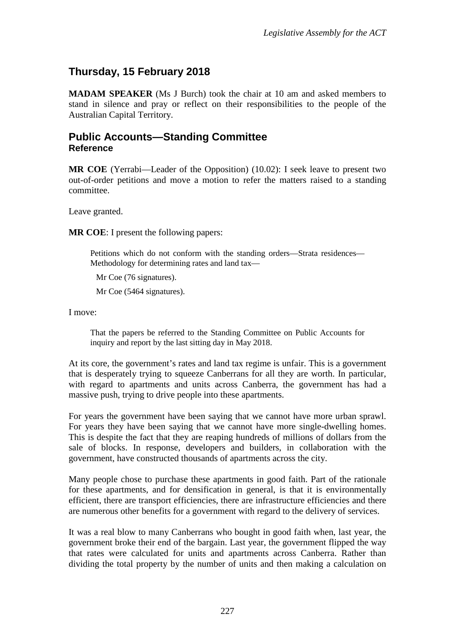## <span id="page-3-0"></span>**Thursday, 15 February 2018**

**MADAM SPEAKER** (Ms J Burch) took the chair at 10 am and asked members to stand in silence and pray or reflect on their responsibilities to the people of the Australian Capital Territory.

#### <span id="page-3-1"></span>**Public Accounts—Standing Committee Reference**

**MR COE** (Yerrabi—Leader of the Opposition) (10.02): I seek leave to present two out-of-order petitions and move a motion to refer the matters raised to a standing committee.

Leave granted.

**MR COE**: I present the following papers:

Petitions which do not conform with the standing orders—Strata residences— Methodology for determining rates and land tax—

Mr Coe (76 signatures).

Mr Coe (5464 signatures).

I move:

That the papers be referred to the Standing Committee on Public Accounts for inquiry and report by the last sitting day in May 2018.

At its core, the government's rates and land tax regime is unfair. This is a government that is desperately trying to squeeze Canberrans for all they are worth. In particular, with regard to apartments and units across Canberra, the government has had a massive push, trying to drive people into these apartments.

For years the government have been saying that we cannot have more urban sprawl. For years they have been saying that we cannot have more single-dwelling homes. This is despite the fact that they are reaping hundreds of millions of dollars from the sale of blocks. In response, developers and builders, in collaboration with the government, have constructed thousands of apartments across the city.

Many people chose to purchase these apartments in good faith. Part of the rationale for these apartments, and for densification in general, is that it is environmentally efficient, there are transport efficiencies, there are infrastructure efficiencies and there are numerous other benefits for a government with regard to the delivery of services.

It was a real blow to many Canberrans who bought in good faith when, last year, the government broke their end of the bargain. Last year, the government flipped the way that rates were calculated for units and apartments across Canberra. Rather than dividing the total property by the number of units and then making a calculation on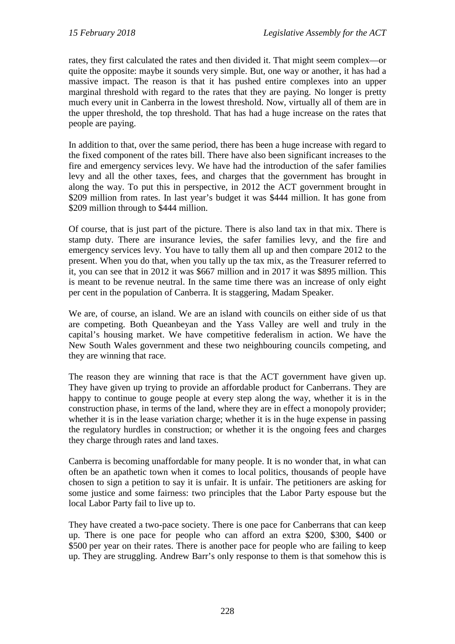rates, they first calculated the rates and then divided it. That might seem complex—or quite the opposite: maybe it sounds very simple. But, one way or another, it has had a massive impact. The reason is that it has pushed entire complexes into an upper marginal threshold with regard to the rates that they are paying. No longer is pretty much every unit in Canberra in the lowest threshold. Now, virtually all of them are in the upper threshold, the top threshold. That has had a huge increase on the rates that people are paying.

In addition to that, over the same period, there has been a huge increase with regard to the fixed component of the rates bill. There have also been significant increases to the fire and emergency services levy. We have had the introduction of the safer families levy and all the other taxes, fees, and charges that the government has brought in along the way. To put this in perspective, in 2012 the ACT government brought in \$209 million from rates. In last year's budget it was \$444 million. It has gone from \$209 million through to \$444 million.

Of course, that is just part of the picture. There is also land tax in that mix. There is stamp duty. There are insurance levies, the safer families levy, and the fire and emergency services levy. You have to tally them all up and then compare 2012 to the present. When you do that, when you tally up the tax mix, as the Treasurer referred to it, you can see that in 2012 it was \$667 million and in 2017 it was \$895 million. This is meant to be revenue neutral. In the same time there was an increase of only eight per cent in the population of Canberra. It is staggering, Madam Speaker.

We are, of course, an island. We are an island with councils on either side of us that are competing. Both Queanbeyan and the Yass Valley are well and truly in the capital's housing market. We have competitive federalism in action. We have the New South Wales government and these two neighbouring councils competing, and they are winning that race.

The reason they are winning that race is that the ACT government have given up. They have given up trying to provide an affordable product for Canberrans. They are happy to continue to gouge people at every step along the way, whether it is in the construction phase, in terms of the land, where they are in effect a monopoly provider; whether it is in the lease variation charge; whether it is in the huge expense in passing the regulatory hurdles in construction; or whether it is the ongoing fees and charges they charge through rates and land taxes.

Canberra is becoming unaffordable for many people. It is no wonder that, in what can often be an apathetic town when it comes to local politics, thousands of people have chosen to sign a petition to say it is unfair. It is unfair. The petitioners are asking for some justice and some fairness: two principles that the Labor Party espouse but the local Labor Party fail to live up to.

They have created a two-pace society. There is one pace for Canberrans that can keep up. There is one pace for people who can afford an extra \$200, \$300, \$400 or \$500 per year on their rates. There is another pace for people who are failing to keep up. They are struggling. Andrew Barr's only response to them is that somehow this is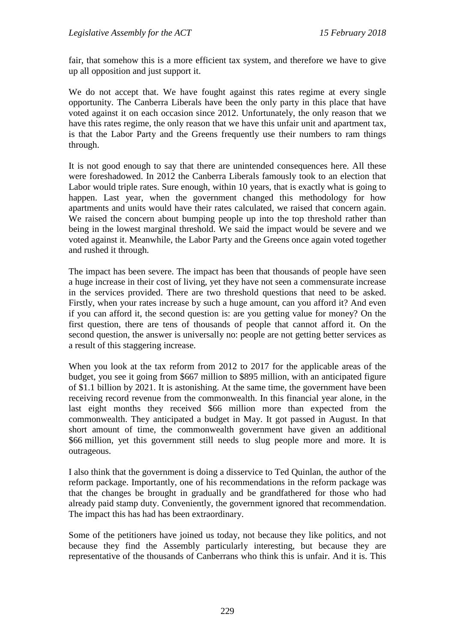fair, that somehow this is a more efficient tax system, and therefore we have to give up all opposition and just support it.

We do not accept that. We have fought against this rates regime at every single opportunity. The Canberra Liberals have been the only party in this place that have voted against it on each occasion since 2012. Unfortunately, the only reason that we have this rates regime, the only reason that we have this unfair unit and apartment tax, is that the Labor Party and the Greens frequently use their numbers to ram things through.

It is not good enough to say that there are unintended consequences here. All these were foreshadowed. In 2012 the Canberra Liberals famously took to an election that Labor would triple rates. Sure enough, within 10 years, that is exactly what is going to happen. Last year, when the government changed this methodology for how apartments and units would have their rates calculated, we raised that concern again. We raised the concern about bumping people up into the top threshold rather than being in the lowest marginal threshold. We said the impact would be severe and we voted against it. Meanwhile, the Labor Party and the Greens once again voted together and rushed it through.

The impact has been severe. The impact has been that thousands of people have seen a huge increase in their cost of living, yet they have not seen a commensurate increase in the services provided. There are two threshold questions that need to be asked. Firstly, when your rates increase by such a huge amount, can you afford it? And even if you can afford it, the second question is: are you getting value for money? On the first question, there are tens of thousands of people that cannot afford it. On the second question, the answer is universally no: people are not getting better services as a result of this staggering increase.

When you look at the tax reform from 2012 to 2017 for the applicable areas of the budget, you see it going from \$667 million to \$895 million, with an anticipated figure of \$1.1 billion by 2021. It is astonishing. At the same time, the government have been receiving record revenue from the commonwealth. In this financial year alone, in the last eight months they received \$66 million more than expected from the commonwealth. They anticipated a budget in May. It got passed in August. In that short amount of time, the commonwealth government have given an additional \$66 million, yet this government still needs to slug people more and more. It is outrageous.

I also think that the government is doing a disservice to Ted Quinlan, the author of the reform package. Importantly, one of his recommendations in the reform package was that the changes be brought in gradually and be grandfathered for those who had already paid stamp duty. Conveniently, the government ignored that recommendation. The impact this has had has been extraordinary.

Some of the petitioners have joined us today, not because they like politics, and not because they find the Assembly particularly interesting, but because they are representative of the thousands of Canberrans who think this is unfair. And it is. This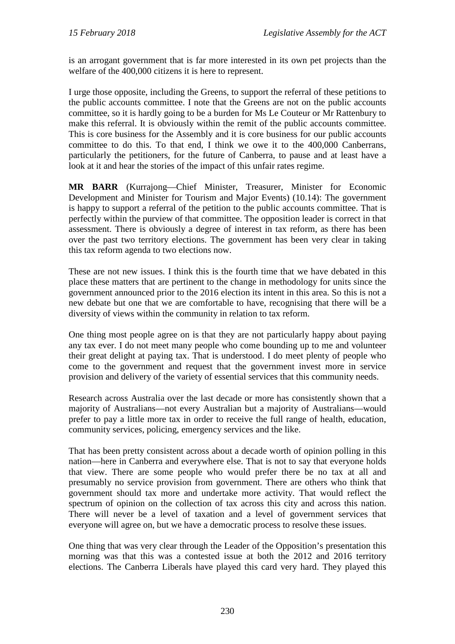is an arrogant government that is far more interested in its own pet projects than the welfare of the 400,000 citizens it is here to represent.

I urge those opposite, including the Greens, to support the referral of these petitions to the public accounts committee. I note that the Greens are not on the public accounts committee, so it is hardly going to be a burden for Ms Le Couteur or Mr Rattenbury to make this referral. It is obviously within the remit of the public accounts committee. This is core business for the Assembly and it is core business for our public accounts committee to do this. To that end, I think we owe it to the 400,000 Canberrans, particularly the petitioners, for the future of Canberra, to pause and at least have a look at it and hear the stories of the impact of this unfair rates regime.

**MR BARR** (Kurrajong—Chief Minister, Treasurer, Minister for Economic Development and Minister for Tourism and Major Events) (10.14): The government is happy to support a referral of the petition to the public accounts committee. That is perfectly within the purview of that committee. The opposition leader is correct in that assessment. There is obviously a degree of interest in tax reform, as there has been over the past two territory elections. The government has been very clear in taking this tax reform agenda to two elections now.

These are not new issues. I think this is the fourth time that we have debated in this place these matters that are pertinent to the change in methodology for units since the government announced prior to the 2016 election its intent in this area. So this is not a new debate but one that we are comfortable to have, recognising that there will be a diversity of views within the community in relation to tax reform.

One thing most people agree on is that they are not particularly happy about paying any tax ever. I do not meet many people who come bounding up to me and volunteer their great delight at paying tax. That is understood. I do meet plenty of people who come to the government and request that the government invest more in service provision and delivery of the variety of essential services that this community needs.

Research across Australia over the last decade or more has consistently shown that a majority of Australians—not every Australian but a majority of Australians—would prefer to pay a little more tax in order to receive the full range of health, education, community services, policing, emergency services and the like.

That has been pretty consistent across about a decade worth of opinion polling in this nation—here in Canberra and everywhere else. That is not to say that everyone holds that view. There are some people who would prefer there be no tax at all and presumably no service provision from government. There are others who think that government should tax more and undertake more activity. That would reflect the spectrum of opinion on the collection of tax across this city and across this nation. There will never be a level of taxation and a level of government services that everyone will agree on, but we have a democratic process to resolve these issues.

One thing that was very clear through the Leader of the Opposition's presentation this morning was that this was a contested issue at both the 2012 and 2016 territory elections. The Canberra Liberals have played this card very hard. They played this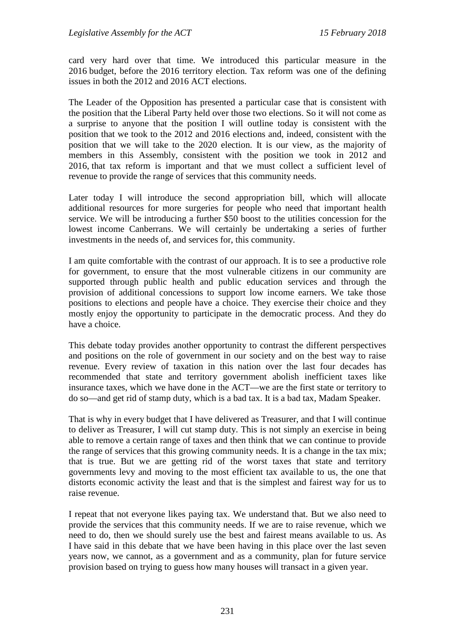card very hard over that time. We introduced this particular measure in the 2016 budget, before the 2016 territory election. Tax reform was one of the defining issues in both the 2012 and 2016 ACT elections.

The Leader of the Opposition has presented a particular case that is consistent with the position that the Liberal Party held over those two elections. So it will not come as a surprise to anyone that the position I will outline today is consistent with the position that we took to the 2012 and 2016 elections and, indeed, consistent with the position that we will take to the 2020 election. It is our view, as the majority of members in this Assembly, consistent with the position we took in 2012 and 2016, that tax reform is important and that we must collect a sufficient level of revenue to provide the range of services that this community needs.

Later today I will introduce the second appropriation bill, which will allocate additional resources for more surgeries for people who need that important health service. We will be introducing a further \$50 boost to the utilities concession for the lowest income Canberrans. We will certainly be undertaking a series of further investments in the needs of, and services for, this community.

I am quite comfortable with the contrast of our approach. It is to see a productive role for government, to ensure that the most vulnerable citizens in our community are supported through public health and public education services and through the provision of additional concessions to support low income earners. We take those positions to elections and people have a choice. They exercise their choice and they mostly enjoy the opportunity to participate in the democratic process. And they do have a choice.

This debate today provides another opportunity to contrast the different perspectives and positions on the role of government in our society and on the best way to raise revenue. Every review of taxation in this nation over the last four decades has recommended that state and territory government abolish inefficient taxes like insurance taxes, which we have done in the ACT—we are the first state or territory to do so—and get rid of stamp duty, which is a bad tax. It is a bad tax, Madam Speaker.

That is why in every budget that I have delivered as Treasurer, and that I will continue to deliver as Treasurer, I will cut stamp duty. This is not simply an exercise in being able to remove a certain range of taxes and then think that we can continue to provide the range of services that this growing community needs. It is a change in the tax mix; that is true. But we are getting rid of the worst taxes that state and territory governments levy and moving to the most efficient tax available to us, the one that distorts economic activity the least and that is the simplest and fairest way for us to raise revenue.

I repeat that not everyone likes paying tax. We understand that. But we also need to provide the services that this community needs. If we are to raise revenue, which we need to do, then we should surely use the best and fairest means available to us. As I have said in this debate that we have been having in this place over the last seven years now, we cannot, as a government and as a community, plan for future service provision based on trying to guess how many houses will transact in a given year.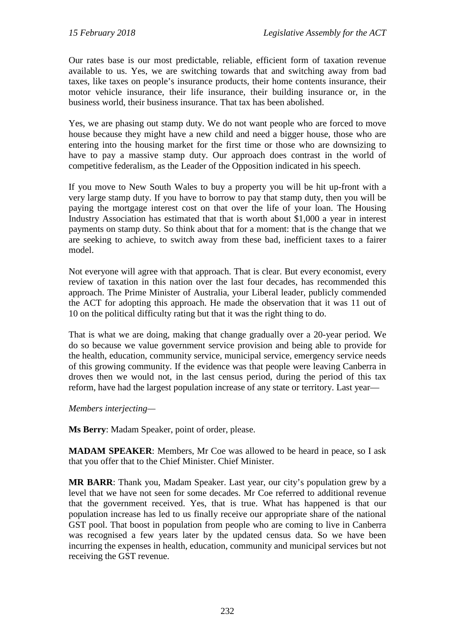Our rates base is our most predictable, reliable, efficient form of taxation revenue available to us. Yes, we are switching towards that and switching away from bad taxes, like taxes on people's insurance products, their home contents insurance, their motor vehicle insurance, their life insurance, their building insurance or, in the business world, their business insurance. That tax has been abolished.

Yes, we are phasing out stamp duty. We do not want people who are forced to move house because they might have a new child and need a bigger house, those who are entering into the housing market for the first time or those who are downsizing to have to pay a massive stamp duty. Our approach does contrast in the world of competitive federalism, as the Leader of the Opposition indicated in his speech.

If you move to New South Wales to buy a property you will be hit up-front with a very large stamp duty. If you have to borrow to pay that stamp duty, then you will be paying the mortgage interest cost on that over the life of your loan. The Housing Industry Association has estimated that that is worth about \$1,000 a year in interest payments on stamp duty. So think about that for a moment: that is the change that we are seeking to achieve, to switch away from these bad, inefficient taxes to a fairer model.

Not everyone will agree with that approach. That is clear. But every economist, every review of taxation in this nation over the last four decades, has recommended this approach. The Prime Minister of Australia, your Liberal leader, publicly commended the ACT for adopting this approach. He made the observation that it was 11 out of 10 on the political difficulty rating but that it was the right thing to do.

That is what we are doing, making that change gradually over a 20-year period. We do so because we value government service provision and being able to provide for the health, education, community service, municipal service, emergency service needs of this growing community. If the evidence was that people were leaving Canberra in droves then we would not, in the last census period, during the period of this tax reform, have had the largest population increase of any state or territory. Last year—

*Members interjecting—*

**Ms Berry**: Madam Speaker, point of order, please.

**MADAM SPEAKER**: Members, Mr Coe was allowed to be heard in peace, so I ask that you offer that to the Chief Minister. Chief Minister.

**MR BARR**: Thank you, Madam Speaker. Last year, our city's population grew by a level that we have not seen for some decades. Mr Coe referred to additional revenue that the government received. Yes, that is true. What has happened is that our population increase has led to us finally receive our appropriate share of the national GST pool. That boost in population from people who are coming to live in Canberra was recognised a few years later by the updated census data. So we have been incurring the expenses in health, education, community and municipal services but not receiving the GST revenue.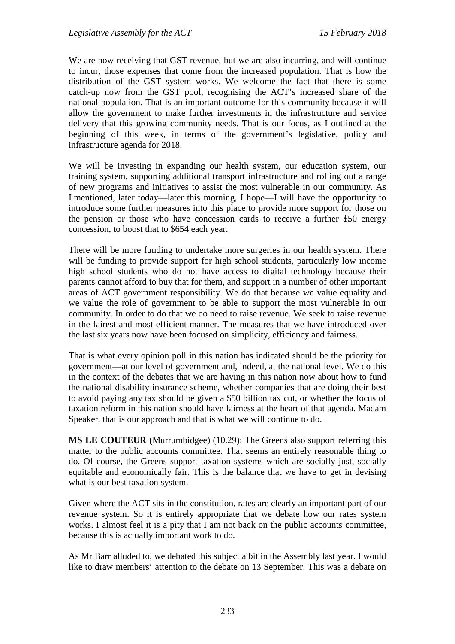We are now receiving that GST revenue, but we are also incurring, and will continue to incur, those expenses that come from the increased population. That is how the distribution of the GST system works. We welcome the fact that there is some catch-up now from the GST pool, recognising the ACT's increased share of the national population. That is an important outcome for this community because it will allow the government to make further investments in the infrastructure and service delivery that this growing community needs. That is our focus, as I outlined at the beginning of this week, in terms of the government's legislative, policy and infrastructure agenda for 2018.

We will be investing in expanding our health system, our education system, our training system, supporting additional transport infrastructure and rolling out a range of new programs and initiatives to assist the most vulnerable in our community. As I mentioned, later today—later this morning, I hope—I will have the opportunity to introduce some further measures into this place to provide more support for those on the pension or those who have concession cards to receive a further \$50 energy concession, to boost that to \$654 each year.

There will be more funding to undertake more surgeries in our health system. There will be funding to provide support for high school students, particularly low income high school students who do not have access to digital technology because their parents cannot afford to buy that for them, and support in a number of other important areas of ACT government responsibility. We do that because we value equality and we value the role of government to be able to support the most vulnerable in our community. In order to do that we do need to raise revenue. We seek to raise revenue in the fairest and most efficient manner. The measures that we have introduced over the last six years now have been focused on simplicity, efficiency and fairness.

That is what every opinion poll in this nation has indicated should be the priority for government—at our level of government and, indeed, at the national level. We do this in the context of the debates that we are having in this nation now about how to fund the national disability insurance scheme, whether companies that are doing their best to avoid paying any tax should be given a \$50 billion tax cut, or whether the focus of taxation reform in this nation should have fairness at the heart of that agenda. Madam Speaker, that is our approach and that is what we will continue to do.

**MS LE COUTEUR** (Murrumbidgee) (10.29): The Greens also support referring this matter to the public accounts committee. That seems an entirely reasonable thing to do. Of course, the Greens support taxation systems which are socially just, socially equitable and economically fair. This is the balance that we have to get in devising what is our best taxation system.

Given where the ACT sits in the constitution, rates are clearly an important part of our revenue system. So it is entirely appropriate that we debate how our rates system works. I almost feel it is a pity that I am not back on the public accounts committee, because this is actually important work to do.

As Mr Barr alluded to, we debated this subject a bit in the Assembly last year. I would like to draw members' attention to the debate on 13 September. This was a debate on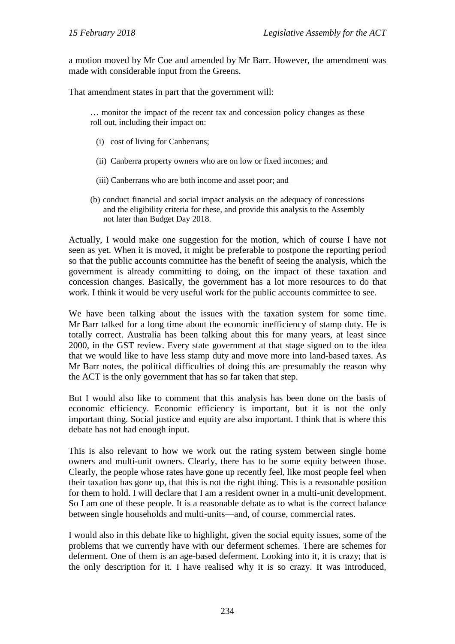a motion moved by Mr Coe and amended by Mr Barr. However, the amendment was made with considerable input from the Greens.

That amendment states in part that the government will:

… monitor the impact of the recent tax and concession policy changes as these roll out, including their impact on:

- (i) cost of living for Canberrans;
- (ii) Canberra property owners who are on low or fixed incomes; and
- (iii) Canberrans who are both income and asset poor; and
- (b) conduct financial and social impact analysis on the adequacy of concessions and the eligibility criteria for these, and provide this analysis to the Assembly not later than Budget Day 2018.

Actually, I would make one suggestion for the motion, which of course I have not seen as yet. When it is moved, it might be preferable to postpone the reporting period so that the public accounts committee has the benefit of seeing the analysis, which the government is already committing to doing, on the impact of these taxation and concession changes. Basically, the government has a lot more resources to do that work. I think it would be very useful work for the public accounts committee to see.

We have been talking about the issues with the taxation system for some time. Mr Barr talked for a long time about the economic inefficiency of stamp duty. He is totally correct. Australia has been talking about this for many years, at least since 2000, in the GST review. Every state government at that stage signed on to the idea that we would like to have less stamp duty and move more into land-based taxes. As Mr Barr notes, the political difficulties of doing this are presumably the reason why the ACT is the only government that has so far taken that step.

But I would also like to comment that this analysis has been done on the basis of economic efficiency. Economic efficiency is important, but it is not the only important thing. Social justice and equity are also important. I think that is where this debate has not had enough input.

This is also relevant to how we work out the rating system between single home owners and multi-unit owners. Clearly, there has to be some equity between those. Clearly, the people whose rates have gone up recently feel, like most people feel when their taxation has gone up, that this is not the right thing. This is a reasonable position for them to hold. I will declare that I am a resident owner in a multi-unit development. So I am one of these people. It is a reasonable debate as to what is the correct balance between single households and multi-units—and, of course, commercial rates.

I would also in this debate like to highlight, given the social equity issues, some of the problems that we currently have with our deferment schemes. There are schemes for deferment. One of them is an age-based deferment. Looking into it, it is crazy; that is the only description for it. I have realised why it is so crazy. It was introduced,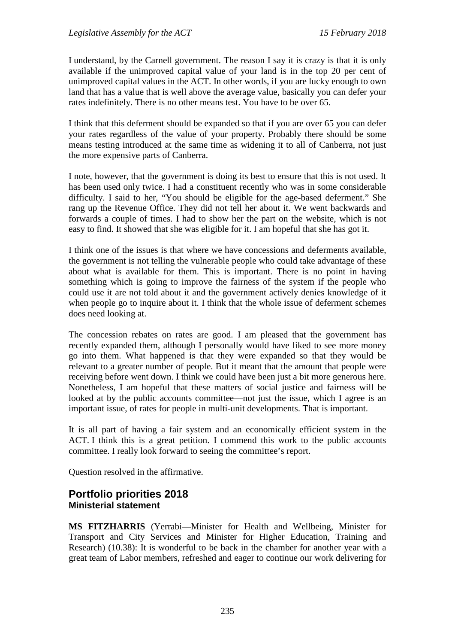I understand, by the Carnell government. The reason I say it is crazy is that it is only available if the unimproved capital value of your land is in the top 20 per cent of unimproved capital values in the ACT. In other words, if you are lucky enough to own land that has a value that is well above the average value, basically you can defer your rates indefinitely. There is no other means test. You have to be over 65.

I think that this deferment should be expanded so that if you are over 65 you can defer your rates regardless of the value of your property. Probably there should be some means testing introduced at the same time as widening it to all of Canberra, not just the more expensive parts of Canberra.

I note, however, that the government is doing its best to ensure that this is not used. It has been used only twice. I had a constituent recently who was in some considerable difficulty. I said to her, "You should be eligible for the age-based deferment." She rang up the Revenue Office. They did not tell her about it. We went backwards and forwards a couple of times. I had to show her the part on the website, which is not easy to find. It showed that she was eligible for it. I am hopeful that she has got it.

I think one of the issues is that where we have concessions and deferments available, the government is not telling the vulnerable people who could take advantage of these about what is available for them. This is important. There is no point in having something which is going to improve the fairness of the system if the people who could use it are not told about it and the government actively denies knowledge of it when people go to inquire about it. I think that the whole issue of deferment schemes does need looking at.

The concession rebates on rates are good. I am pleased that the government has recently expanded them, although I personally would have liked to see more money go into them. What happened is that they were expanded so that they would be relevant to a greater number of people. But it meant that the amount that people were receiving before went down. I think we could have been just a bit more generous here. Nonetheless, I am hopeful that these matters of social justice and fairness will be looked at by the public accounts committee—not just the issue, which I agree is an important issue, of rates for people in multi-unit developments. That is important.

It is all part of having a fair system and an economically efficient system in the ACT. I think this is a great petition. I commend this work to the public accounts committee. I really look forward to seeing the committee's report.

Question resolved in the affirmative.

#### <span id="page-11-1"></span><span id="page-11-0"></span>**Portfolio priorities 2018 Ministerial statement**

**MS FITZHARRIS** (Yerrabi—Minister for Health and Wellbeing, Minister for Transport and City Services and Minister for Higher Education, Training and Research) (10.38): It is wonderful to be back in the chamber for another year with a great team of Labor members, refreshed and eager to continue our work delivering for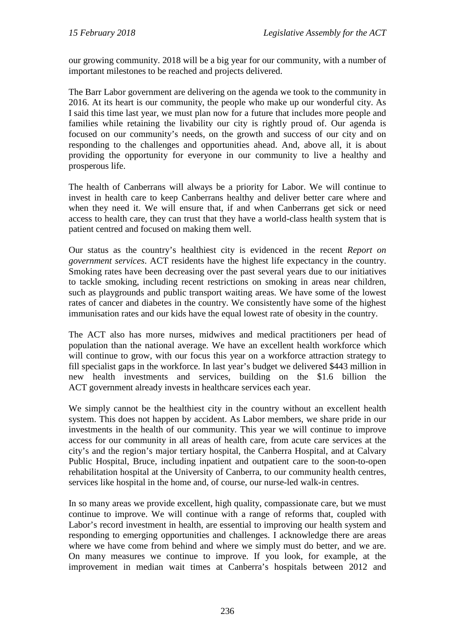our growing community. 2018 will be a big year for our community, with a number of important milestones to be reached and projects delivered.

The Barr Labor government are delivering on the agenda we took to the community in 2016. At its heart is our community, the people who make up our wonderful city. As I said this time last year, we must plan now for a future that includes more people and families while retaining the livability our city is rightly proud of. Our agenda is focused on our community's needs, on the growth and success of our city and on responding to the challenges and opportunities ahead. And, above all, it is about providing the opportunity for everyone in our community to live a healthy and prosperous life.

The health of Canberrans will always be a priority for Labor. We will continue to invest in health care to keep Canberrans healthy and deliver better care where and when they need it. We will ensure that, if and when Canberrans get sick or need access to health care, they can trust that they have a world-class health system that is patient centred and focused on making them well.

Our status as the country's healthiest city is evidenced in the recent *Report on government services*. ACT residents have the highest life expectancy in the country. Smoking rates have been decreasing over the past several years due to our initiatives to tackle smoking, including recent restrictions on smoking in areas near children, such as playgrounds and public transport waiting areas. We have some of the lowest rates of cancer and diabetes in the country. We consistently have some of the highest immunisation rates and our kids have the equal lowest rate of obesity in the country.

The ACT also has more nurses, midwives and medical practitioners per head of population than the national average. We have an excellent health workforce which will continue to grow, with our focus this year on a workforce attraction strategy to fill specialist gaps in the workforce. In last year's budget we delivered \$443 million in new health investments and services, building on the \$1.6 billion the ACT government already invests in healthcare services each year.

We simply cannot be the healthiest city in the country without an excellent health system. This does not happen by accident. As Labor members, we share pride in our investments in the health of our community. This year we will continue to improve access for our community in all areas of health care, from acute care services at the city's and the region's major tertiary hospital, the Canberra Hospital, and at Calvary Public Hospital, Bruce, including inpatient and outpatient care to the soon-to-open rehabilitation hospital at the University of Canberra, to our community health centres, services like hospital in the home and, of course, our nurse-led walk-in centres.

In so many areas we provide excellent, high quality, compassionate care, but we must continue to improve. We will continue with a range of reforms that, coupled with Labor's record investment in health, are essential to improving our health system and responding to emerging opportunities and challenges. I acknowledge there are areas where we have come from behind and where we simply must do better, and we are. On many measures we continue to improve. If you look, for example, at the improvement in median wait times at Canberra's hospitals between 2012 and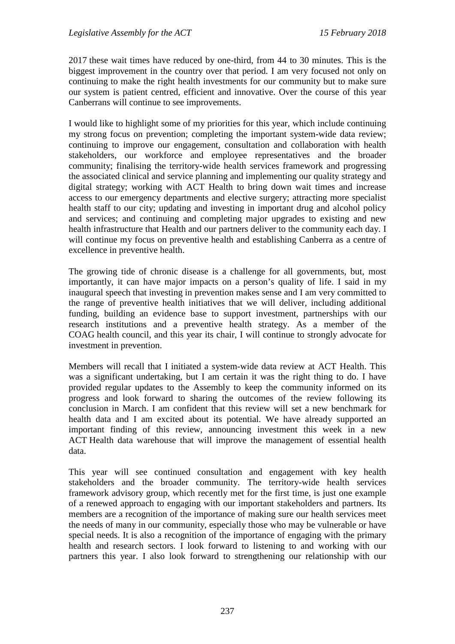2017 these wait times have reduced by one-third, from 44 to 30 minutes. This is the biggest improvement in the country over that period. I am very focused not only on continuing to make the right health investments for our community but to make sure our system is patient centred, efficient and innovative. Over the course of this year Canberrans will continue to see improvements.

I would like to highlight some of my priorities for this year, which include continuing my strong focus on prevention; completing the important system-wide data review; continuing to improve our engagement, consultation and collaboration with health stakeholders, our workforce and employee representatives and the broader community; finalising the territory-wide health services framework and progressing the associated clinical and service planning and implementing our quality strategy and digital strategy; working with ACT Health to bring down wait times and increase access to our emergency departments and elective surgery; attracting more specialist health staff to our city; updating and investing in important drug and alcohol policy and services; and continuing and completing major upgrades to existing and new health infrastructure that Health and our partners deliver to the community each day. I will continue my focus on preventive health and establishing Canberra as a centre of excellence in preventive health.

The growing tide of chronic disease is a challenge for all governments, but, most importantly, it can have major impacts on a person's quality of life. I said in my inaugural speech that investing in prevention makes sense and I am very committed to the range of preventive health initiatives that we will deliver, including additional funding, building an evidence base to support investment, partnerships with our research institutions and a preventive health strategy. As a member of the COAG health council, and this year its chair, I will continue to strongly advocate for investment in prevention.

Members will recall that I initiated a system-wide data review at ACT Health. This was a significant undertaking, but I am certain it was the right thing to do. I have provided regular updates to the Assembly to keep the community informed on its progress and look forward to sharing the outcomes of the review following its conclusion in March. I am confident that this review will set a new benchmark for health data and I am excited about its potential. We have already supported an important finding of this review, announcing investment this week in a new ACT Health data warehouse that will improve the management of essential health data.

This year will see continued consultation and engagement with key health stakeholders and the broader community. The territory-wide health services framework advisory group, which recently met for the first time, is just one example of a renewed approach to engaging with our important stakeholders and partners. Its members are a recognition of the importance of making sure our health services meet the needs of many in our community, especially those who may be vulnerable or have special needs. It is also a recognition of the importance of engaging with the primary health and research sectors. I look forward to listening to and working with our partners this year. I also look forward to strengthening our relationship with our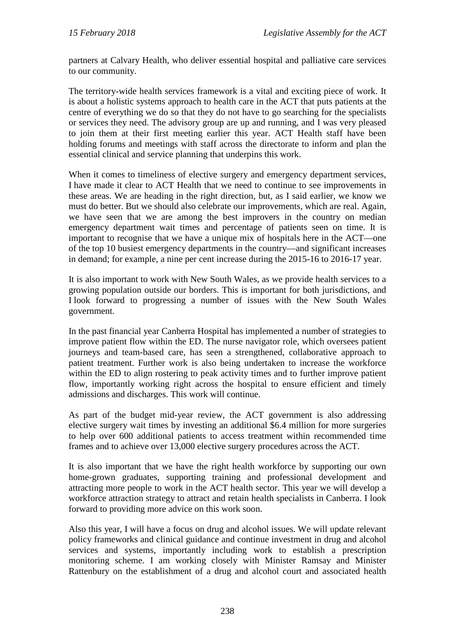partners at Calvary Health, who deliver essential hospital and palliative care services to our community.

The territory-wide health services framework is a vital and exciting piece of work. It is about a holistic systems approach to health care in the ACT that puts patients at the centre of everything we do so that they do not have to go searching for the specialists or services they need. The advisory group are up and running, and I was very pleased to join them at their first meeting earlier this year. ACT Health staff have been holding forums and meetings with staff across the directorate to inform and plan the essential clinical and service planning that underpins this work.

When it comes to timeliness of elective surgery and emergency department services, I have made it clear to ACT Health that we need to continue to see improvements in these areas. We are heading in the right direction, but, as I said earlier, we know we must do better. But we should also celebrate our improvements, which are real. Again, we have seen that we are among the best improvers in the country on median emergency department wait times and percentage of patients seen on time. It is important to recognise that we have a unique mix of hospitals here in the ACT—one of the top 10 busiest emergency departments in the country—and significant increases in demand; for example, a nine per cent increase during the 2015-16 to 2016-17 year.

It is also important to work with New South Wales, as we provide health services to a growing population outside our borders. This is important for both jurisdictions, and I look forward to progressing a number of issues with the New South Wales government.

In the past financial year Canberra Hospital has implemented a number of strategies to improve patient flow within the ED. The nurse navigator role, which oversees patient journeys and team-based care, has seen a strengthened, collaborative approach to patient treatment. Further work is also being undertaken to increase the workforce within the ED to align rostering to peak activity times and to further improve patient flow, importantly working right across the hospital to ensure efficient and timely admissions and discharges. This work will continue.

As part of the budget mid-year review, the ACT government is also addressing elective surgery wait times by investing an additional \$6.4 million for more surgeries to help over 600 additional patients to access treatment within recommended time frames and to achieve over 13,000 elective surgery procedures across the ACT.

It is also important that we have the right health workforce by supporting our own home-grown graduates, supporting training and professional development and attracting more people to work in the ACT health sector. This year we will develop a workforce attraction strategy to attract and retain health specialists in Canberra. I look forward to providing more advice on this work soon.

Also this year, I will have a focus on drug and alcohol issues. We will update relevant policy frameworks and clinical guidance and continue investment in drug and alcohol services and systems, importantly including work to establish a prescription monitoring scheme. I am working closely with Minister Ramsay and Minister Rattenbury on the establishment of a drug and alcohol court and associated health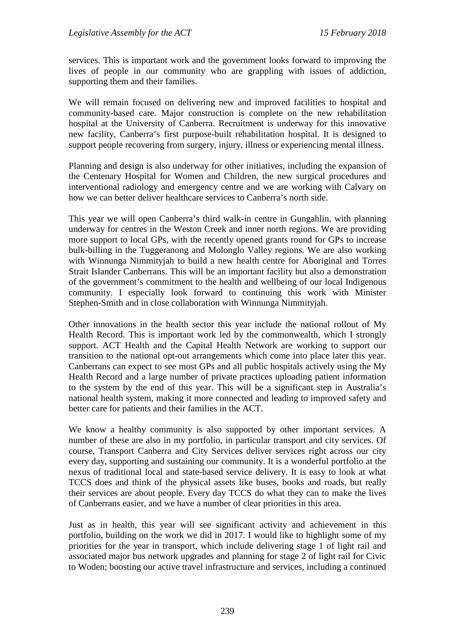services. This is important work and the government looks forward to improving the lives of people in our community who are grappling with issues of addiction, supporting them and their families.

We will remain focused on delivering new and improved facilities to hospital and community-based care. Major construction is complete on the new rehabilitation hospital at the University of Canberra. Recruitment is underway for this innovative new facility, Canberra's first purpose-built rehabilitation hospital. It is designed to support people recovering from surgery, injury, illness or experiencing mental illness.

Planning and design is also underway for other initiatives, including the expansion of the Centenary Hospital for Women and Children, the new surgical procedures and interventional radiology and emergency centre and we are working with Calvary on how we can better deliver healthcare services to Canberra's north side.

This year we will open Canberra's third walk-in centre in Gungahlin, with planning underway for centres in the Weston Creek and inner north regions. We are providing more support to local GPs, with the recently opened grants round for GPs to increase bulk-billing in the Tuggeranong and Molonglo Valley regions. We are also working with Winnunga Nimmityjah to build a new health centre for Aboriginal and Torres Strait Islander Canberrans. This will be an important facility but also a demonstration of the government's commitment to the health and wellbeing of our local Indigenous community. I especially look forward to continuing this work with Minister Stephen-Smith and in close collaboration with Winnunga Nimmityjah.

Other innovations in the health sector this year include the national rollout of My Health Record. This is important work led by the commonwealth, which I strongly support. ACT Health and the Capital Health Network are working to support our transition to the national opt-out arrangements which come into place later this year. Canberrans can expect to see most GPs and all public hospitals actively using the My Health Record and a large number of private practices uploading patient information to the system by the end of this year. This will be a significant step in Australia's national health system, making it more connected and leading to improved safety and better care for patients and their families in the ACT.

We know a healthy community is also supported by other important services. A number of these are also in my portfolio, in particular transport and city services. Of course, Transport Canberra and City Services deliver services right across our city every day, supporting and sustaining our community. It is a wonderful portfolio at the nexus of traditional local and state-based service delivery. It is easy to look at what TCCS does and think of the physical assets like buses, books and roads, but really their services are about people. Every day TCCS do what they can to make the lives of Canberrans easier, and we have a number of clear priorities in this area.

Just as in health, this year will see significant activity and achievement in this portfolio, building on the work we did in 2017. I would like to highlight some of my priorities for the year in transport, which include delivering stage 1 of light rail and associated major bus network upgrades and planning for stage 2 of light rail for Civic to Woden; boosting our active travel infrastructure and services, including a continued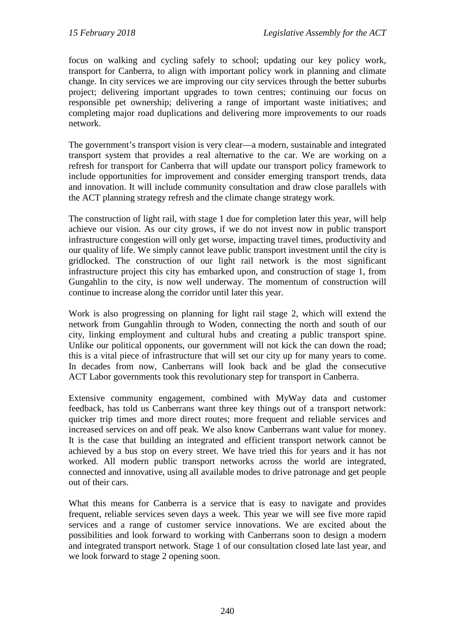focus on walking and cycling safely to school; updating our key policy work, transport for Canberra, to align with important policy work in planning and climate change. In city services we are improving our city services through the better suburbs project; delivering important upgrades to town centres; continuing our focus on responsible pet ownership; delivering a range of important waste initiatives; and completing major road duplications and delivering more improvements to our roads network.

The government's transport vision is very clear—a modern, sustainable and integrated transport system that provides a real alternative to the car. We are working on a refresh for transport for Canberra that will update our transport policy framework to include opportunities for improvement and consider emerging transport trends, data and innovation. It will include community consultation and draw close parallels with the ACT planning strategy refresh and the climate change strategy work.

The construction of light rail, with stage 1 due for completion later this year, will help achieve our vision. As our city grows, if we do not invest now in public transport infrastructure congestion will only get worse, impacting travel times, productivity and our quality of life. We simply cannot leave public transport investment until the city is gridlocked. The construction of our light rail network is the most significant infrastructure project this city has embarked upon, and construction of stage 1, from Gungahlin to the city, is now well underway. The momentum of construction will continue to increase along the corridor until later this year.

Work is also progressing on planning for light rail stage 2, which will extend the network from Gungahlin through to Woden, connecting the north and south of our city, linking employment and cultural hubs and creating a public transport spine. Unlike our political opponents, our government will not kick the can down the road; this is a vital piece of infrastructure that will set our city up for many years to come. In decades from now, Canberrans will look back and be glad the consecutive ACT Labor governments took this revolutionary step for transport in Canberra.

Extensive community engagement, combined with MyWay data and customer feedback, has told us Canberrans want three key things out of a transport network: quicker trip times and more direct routes; more frequent and reliable services and increased services on and off peak. We also know Canberrans want value for money. It is the case that building an integrated and efficient transport network cannot be achieved by a bus stop on every street. We have tried this for years and it has not worked. All modern public transport networks across the world are integrated, connected and innovative, using all available modes to drive patronage and get people out of their cars.

What this means for Canberra is a service that is easy to navigate and provides frequent, reliable services seven days a week. This year we will see five more rapid services and a range of customer service innovations. We are excited about the possibilities and look forward to working with Canberrans soon to design a modern and integrated transport network. Stage 1 of our consultation closed late last year, and we look forward to stage 2 opening soon.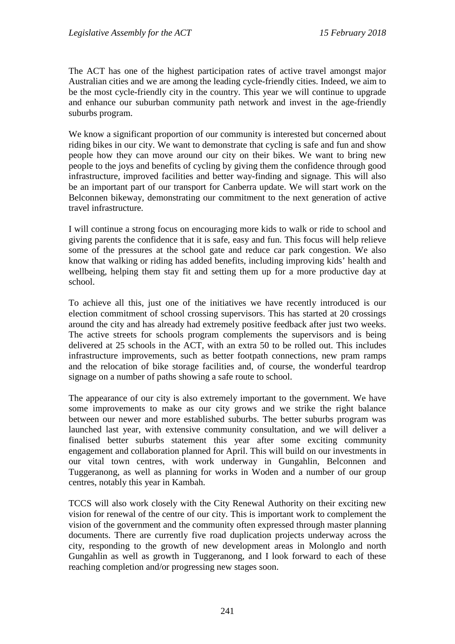The ACT has one of the highest participation rates of active travel amongst major Australian cities and we are among the leading cycle-friendly cities. Indeed, we aim to be the most cycle-friendly city in the country. This year we will continue to upgrade and enhance our suburban community path network and invest in the age-friendly suburbs program.

We know a significant proportion of our community is interested but concerned about riding bikes in our city. We want to demonstrate that cycling is safe and fun and show people how they can move around our city on their bikes. We want to bring new people to the joys and benefits of cycling by giving them the confidence through good infrastructure, improved facilities and better way-finding and signage. This will also be an important part of our transport for Canberra update. We will start work on the Belconnen bikeway, demonstrating our commitment to the next generation of active travel infrastructure.

I will continue a strong focus on encouraging more kids to walk or ride to school and giving parents the confidence that it is safe, easy and fun. This focus will help relieve some of the pressures at the school gate and reduce car park congestion. We also know that walking or riding has added benefits, including improving kids' health and wellbeing, helping them stay fit and setting them up for a more productive day at school.

To achieve all this, just one of the initiatives we have recently introduced is our election commitment of school crossing supervisors. This has started at 20 crossings around the city and has already had extremely positive feedback after just two weeks. The active streets for schools program complements the supervisors and is being delivered at 25 schools in the ACT, with an extra 50 to be rolled out. This includes infrastructure improvements, such as better footpath connections, new pram ramps and the relocation of bike storage facilities and, of course, the wonderful teardrop signage on a number of paths showing a safe route to school.

The appearance of our city is also extremely important to the government. We have some improvements to make as our city grows and we strike the right balance between our newer and more established suburbs. The better suburbs program was launched last year, with extensive community consultation, and we will deliver a finalised better suburbs statement this year after some exciting community engagement and collaboration planned for April. This will build on our investments in our vital town centres, with work underway in Gungahlin, Belconnen and Tuggeranong, as well as planning for works in Woden and a number of our group centres, notably this year in Kambah.

TCCS will also work closely with the City Renewal Authority on their exciting new vision for renewal of the centre of our city. This is important work to complement the vision of the government and the community often expressed through master planning documents. There are currently five road duplication projects underway across the city, responding to the growth of new development areas in Molonglo and north Gungahlin as well as growth in Tuggeranong, and I look forward to each of these reaching completion and/or progressing new stages soon.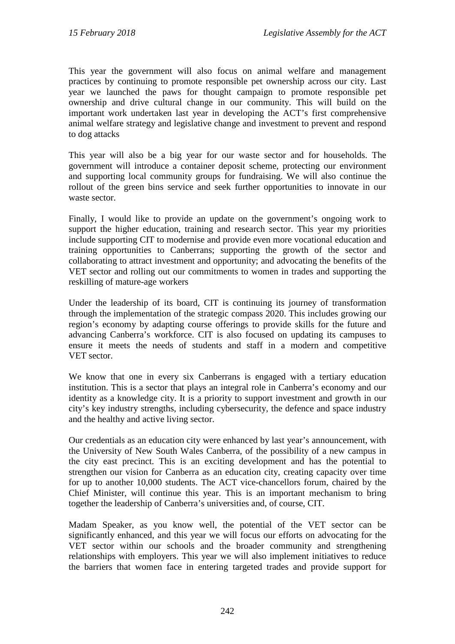This year the government will also focus on animal welfare and management practices by continuing to promote responsible pet ownership across our city. Last year we launched the paws for thought campaign to promote responsible pet ownership and drive cultural change in our community. This will build on the important work undertaken last year in developing the ACT's first comprehensive animal welfare strategy and legislative change and investment to prevent and respond to dog attacks

This year will also be a big year for our waste sector and for households. The government will introduce a container deposit scheme, protecting our environment and supporting local community groups for fundraising. We will also continue the rollout of the green bins service and seek further opportunities to innovate in our waste sector.

Finally, I would like to provide an update on the government's ongoing work to support the higher education, training and research sector. This year my priorities include supporting CIT to modernise and provide even more vocational education and training opportunities to Canberrans; supporting the growth of the sector and collaborating to attract investment and opportunity; and advocating the benefits of the VET sector and rolling out our commitments to women in trades and supporting the reskilling of mature-age workers

Under the leadership of its board, CIT is continuing its journey of transformation through the implementation of the strategic compass 2020. This includes growing our region's economy by adapting course offerings to provide skills for the future and advancing Canberra's workforce. CIT is also focused on updating its campuses to ensure it meets the needs of students and staff in a modern and competitive VET sector.

We know that one in every six Canberrans is engaged with a tertiary education institution. This is a sector that plays an integral role in Canberra's economy and our identity as a knowledge city. It is a priority to support investment and growth in our city's key industry strengths, including cybersecurity, the defence and space industry and the healthy and active living sector.

Our credentials as an education city were enhanced by last year's announcement, with the University of New South Wales Canberra, of the possibility of a new campus in the city east precinct. This is an exciting development and has the potential to strengthen our vision for Canberra as an education city, creating capacity over time for up to another 10,000 students. The ACT vice-chancellors forum, chaired by the Chief Minister, will continue this year. This is an important mechanism to bring together the leadership of Canberra's universities and, of course, CIT.

Madam Speaker, as you know well, the potential of the VET sector can be significantly enhanced, and this year we will focus our efforts on advocating for the VET sector within our schools and the broader community and strengthening relationships with employers. This year we will also implement initiatives to reduce the barriers that women face in entering targeted trades and provide support for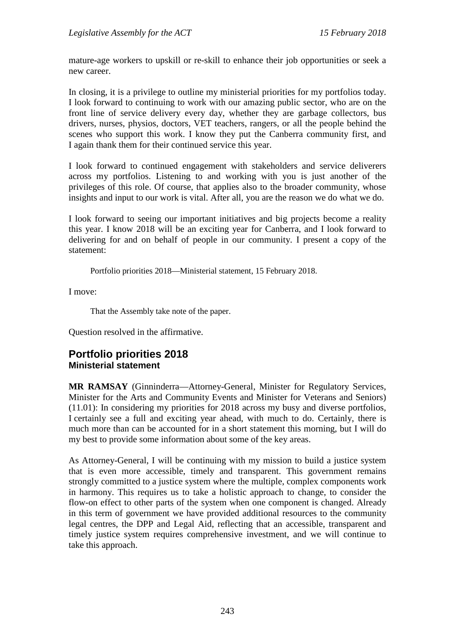mature-age workers to upskill or re-skill to enhance their job opportunities or seek a new career.

In closing, it is a privilege to outline my ministerial priorities for my portfolios today. I look forward to continuing to work with our amazing public sector, who are on the front line of service delivery every day, whether they are garbage collectors, bus drivers, nurses, physios, doctors, VET teachers, rangers, or all the people behind the scenes who support this work. I know they put the Canberra community first, and I again thank them for their continued service this year.

I look forward to continued engagement with stakeholders and service deliverers across my portfolios. Listening to and working with you is just another of the privileges of this role. Of course, that applies also to the broader community, whose insights and input to our work is vital. After all, you are the reason we do what we do.

I look forward to seeing our important initiatives and big projects become a reality this year. I know 2018 will be an exciting year for Canberra, and I look forward to delivering for and on behalf of people in our community. I present a copy of the statement:

Portfolio priorities 2018—Ministerial statement, 15 February 2018.

I move:

That the Assembly take note of the paper.

Question resolved in the affirmative.

#### <span id="page-19-1"></span><span id="page-19-0"></span>**Portfolio priorities 2018 Ministerial statement**

**MR RAMSAY** (Ginninderra—Attorney-General, Minister for Regulatory Services, Minister for the Arts and Community Events and Minister for Veterans and Seniors) (11.01): In considering my priorities for 2018 across my busy and diverse portfolios, I certainly see a full and exciting year ahead, with much to do. Certainly, there is much more than can be accounted for in a short statement this morning, but I will do my best to provide some information about some of the key areas.

As Attorney-General, I will be continuing with my mission to build a justice system that is even more accessible, timely and transparent. This government remains strongly committed to a justice system where the multiple, complex components work in harmony. This requires us to take a holistic approach to change, to consider the flow-on effect to other parts of the system when one component is changed. Already in this term of government we have provided additional resources to the community legal centres, the DPP and Legal Aid, reflecting that an accessible, transparent and timely justice system requires comprehensive investment, and we will continue to take this approach.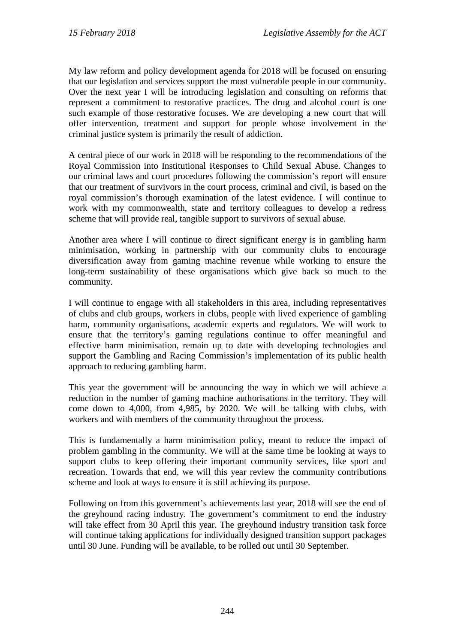My law reform and policy development agenda for 2018 will be focused on ensuring that our legislation and services support the most vulnerable people in our community. Over the next year I will be introducing legislation and consulting on reforms that represent a commitment to restorative practices. The drug and alcohol court is one such example of those restorative focuses. We are developing a new court that will offer intervention, treatment and support for people whose involvement in the criminal justice system is primarily the result of addiction.

A central piece of our work in 2018 will be responding to the recommendations of the Royal Commission into Institutional Responses to Child Sexual Abuse. Changes to our criminal laws and court procedures following the commission's report will ensure that our treatment of survivors in the court process, criminal and civil, is based on the royal commission's thorough examination of the latest evidence. I will continue to work with my commonwealth, state and territory colleagues to develop a redress scheme that will provide real, tangible support to survivors of sexual abuse.

Another area where I will continue to direct significant energy is in gambling harm minimisation, working in partnership with our community clubs to encourage diversification away from gaming machine revenue while working to ensure the long-term sustainability of these organisations which give back so much to the community.

I will continue to engage with all stakeholders in this area, including representatives of clubs and club groups, workers in clubs, people with lived experience of gambling harm, community organisations, academic experts and regulators. We will work to ensure that the territory's gaming regulations continue to offer meaningful and effective harm minimisation, remain up to date with developing technologies and support the Gambling and Racing Commission's implementation of its public health approach to reducing gambling harm.

This year the government will be announcing the way in which we will achieve a reduction in the number of gaming machine authorisations in the territory. They will come down to 4,000, from 4,985, by 2020. We will be talking with clubs, with workers and with members of the community throughout the process.

This is fundamentally a harm minimisation policy, meant to reduce the impact of problem gambling in the community. We will at the same time be looking at ways to support clubs to keep offering their important community services, like sport and recreation. Towards that end, we will this year review the community contributions scheme and look at ways to ensure it is still achieving its purpose.

Following on from this government's achievements last year, 2018 will see the end of the greyhound racing industry. The government's commitment to end the industry will take effect from 30 April this year. The greyhound industry transition task force will continue taking applications for individually designed transition support packages until 30 June. Funding will be available, to be rolled out until 30 September.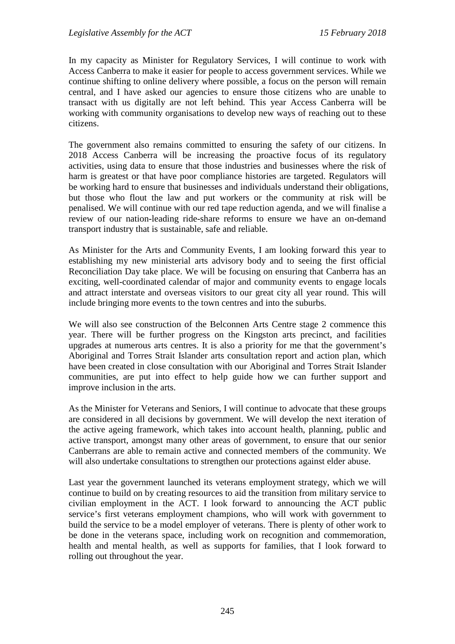In my capacity as Minister for Regulatory Services, I will continue to work with Access Canberra to make it easier for people to access government services. While we continue shifting to online delivery where possible, a focus on the person will remain central, and I have asked our agencies to ensure those citizens who are unable to transact with us digitally are not left behind. This year Access Canberra will be working with community organisations to develop new ways of reaching out to these citizens.

The government also remains committed to ensuring the safety of our citizens. In 2018 Access Canberra will be increasing the proactive focus of its regulatory activities, using data to ensure that those industries and businesses where the risk of harm is greatest or that have poor compliance histories are targeted. Regulators will be working hard to ensure that businesses and individuals understand their obligations, but those who flout the law and put workers or the community at risk will be penalised. We will continue with our red tape reduction agenda, and we will finalise a review of our nation-leading ride-share reforms to ensure we have an on-demand transport industry that is sustainable, safe and reliable.

As Minister for the Arts and Community Events, I am looking forward this year to establishing my new ministerial arts advisory body and to seeing the first official Reconciliation Day take place. We will be focusing on ensuring that Canberra has an exciting, well-coordinated calendar of major and community events to engage locals and attract interstate and overseas visitors to our great city all year round. This will include bringing more events to the town centres and into the suburbs.

We will also see construction of the Belconnen Arts Centre stage 2 commence this year. There will be further progress on the Kingston arts precinct, and facilities upgrades at numerous arts centres. It is also a priority for me that the government's Aboriginal and Torres Strait Islander arts consultation report and action plan, which have been created in close consultation with our Aboriginal and Torres Strait Islander communities, are put into effect to help guide how we can further support and improve inclusion in the arts.

As the Minister for Veterans and Seniors, I will continue to advocate that these groups are considered in all decisions by government. We will develop the next iteration of the active ageing framework, which takes into account health, planning, public and active transport, amongst many other areas of government, to ensure that our senior Canberrans are able to remain active and connected members of the community. We will also undertake consultations to strengthen our protections against elder abuse.

Last year the government launched its veterans employment strategy, which we will continue to build on by creating resources to aid the transition from military service to civilian employment in the ACT. I look forward to announcing the ACT public service's first veterans employment champions, who will work with government to build the service to be a model employer of veterans. There is plenty of other work to be done in the veterans space, including work on recognition and commemoration, health and mental health, as well as supports for families, that I look forward to rolling out throughout the year.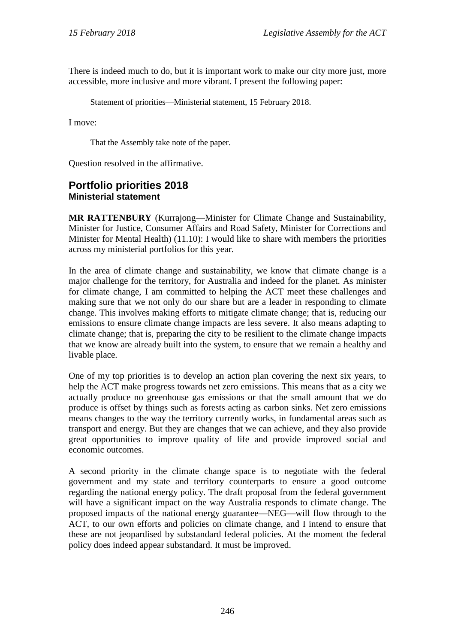There is indeed much to do, but it is important work to make our city more just, more accessible, more inclusive and more vibrant. I present the following paper:

Statement of priorities—Ministerial statement, 15 February 2018.

I move:

That the Assembly take note of the paper.

Question resolved in the affirmative.

#### <span id="page-22-1"></span><span id="page-22-0"></span>**Portfolio priorities 2018 Ministerial statement**

**MR RATTENBURY** (Kurrajong—Minister for Climate Change and Sustainability, Minister for Justice, Consumer Affairs and Road Safety, Minister for Corrections and Minister for Mental Health) (11.10): I would like to share with members the priorities across my ministerial portfolios for this year.

In the area of climate change and sustainability, we know that climate change is a major challenge for the territory, for Australia and indeed for the planet. As minister for climate change, I am committed to helping the ACT meet these challenges and making sure that we not only do our share but are a leader in responding to climate change. This involves making efforts to mitigate climate change; that is, reducing our emissions to ensure climate change impacts are less severe. It also means adapting to climate change; that is, preparing the city to be resilient to the climate change impacts that we know are already built into the system, to ensure that we remain a healthy and livable place.

One of my top priorities is to develop an action plan covering the next six years, to help the ACT make progress towards net zero emissions. This means that as a city we actually produce no greenhouse gas emissions or that the small amount that we do produce is offset by things such as forests acting as carbon sinks. Net zero emissions means changes to the way the territory currently works, in fundamental areas such as transport and energy. But they are changes that we can achieve, and they also provide great opportunities to improve quality of life and provide improved social and economic outcomes.

A second priority in the climate change space is to negotiate with the federal government and my state and territory counterparts to ensure a good outcome regarding the national energy policy. The draft proposal from the federal government will have a significant impact on the way Australia responds to climate change. The proposed impacts of the national energy guarantee—NEG—will flow through to the ACT, to our own efforts and policies on climate change, and I intend to ensure that these are not jeopardised by substandard federal policies. At the moment the federal policy does indeed appear substandard. It must be improved.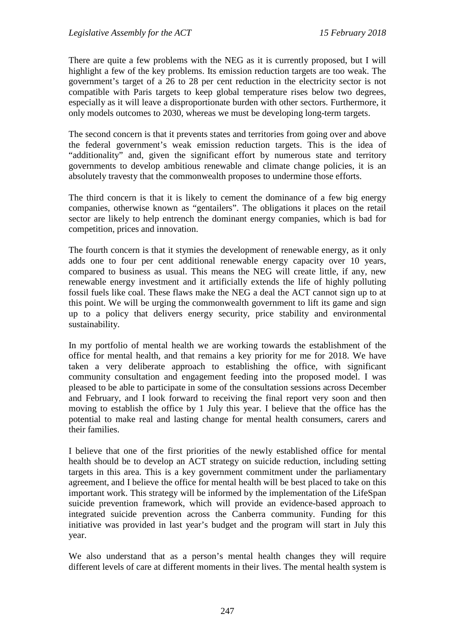There are quite a few problems with the NEG as it is currently proposed, but I will highlight a few of the key problems. Its emission reduction targets are too weak. The government's target of a 26 to 28 per cent reduction in the electricity sector is not compatible with Paris targets to keep global temperature rises below two degrees, especially as it will leave a disproportionate burden with other sectors. Furthermore, it only models outcomes to 2030, whereas we must be developing long-term targets.

The second concern is that it prevents states and territories from going over and above the federal government's weak emission reduction targets. This is the idea of "additionality" and, given the significant effort by numerous state and territory governments to develop ambitious renewable and climate change policies, it is an absolutely travesty that the commonwealth proposes to undermine those efforts.

The third concern is that it is likely to cement the dominance of a few big energy companies, otherwise known as "gentailers". The obligations it places on the retail sector are likely to help entrench the dominant energy companies, which is bad for competition, prices and innovation.

The fourth concern is that it stymies the development of renewable energy, as it only adds one to four per cent additional renewable energy capacity over 10 years, compared to business as usual. This means the NEG will create little, if any, new renewable energy investment and it artificially extends the life of highly polluting fossil fuels like coal. These flaws make the NEG a deal the ACT cannot sign up to at this point. We will be urging the commonwealth government to lift its game and sign up to a policy that delivers energy security, price stability and environmental sustainability.

In my portfolio of mental health we are working towards the establishment of the office for mental health, and that remains a key priority for me for 2018. We have taken a very deliberate approach to establishing the office, with significant community consultation and engagement feeding into the proposed model. I was pleased to be able to participate in some of the consultation sessions across December and February, and I look forward to receiving the final report very soon and then moving to establish the office by 1 July this year. I believe that the office has the potential to make real and lasting change for mental health consumers, carers and their families.

I believe that one of the first priorities of the newly established office for mental health should be to develop an ACT strategy on suicide reduction, including setting targets in this area. This is a key government commitment under the parliamentary agreement, and I believe the office for mental health will be best placed to take on this important work. This strategy will be informed by the implementation of the LifeSpan suicide prevention framework, which will provide an evidence-based approach to integrated suicide prevention across the Canberra community. Funding for this initiative was provided in last year's budget and the program will start in July this year.

We also understand that as a person's mental health changes they will require different levels of care at different moments in their lives. The mental health system is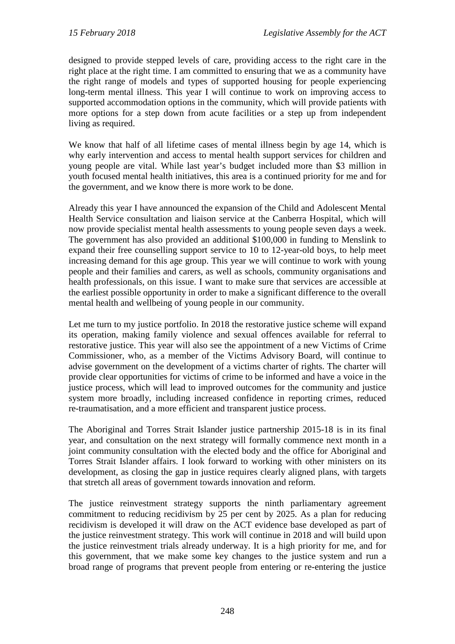designed to provide stepped levels of care, providing access to the right care in the right place at the right time. I am committed to ensuring that we as a community have the right range of models and types of supported housing for people experiencing long-term mental illness. This year I will continue to work on improving access to supported accommodation options in the community, which will provide patients with more options for a step down from acute facilities or a step up from independent living as required.

We know that half of all lifetime cases of mental illness begin by age 14, which is why early intervention and access to mental health support services for children and young people are vital. While last year's budget included more than \$3 million in youth focused mental health initiatives, this area is a continued priority for me and for the government, and we know there is more work to be done.

Already this year I have announced the expansion of the Child and Adolescent Mental Health Service consultation and liaison service at the Canberra Hospital, which will now provide specialist mental health assessments to young people seven days a week. The government has also provided an additional \$100,000 in funding to Menslink to expand their free counselling support service to 10 to 12-year-old boys, to help meet increasing demand for this age group. This year we will continue to work with young people and their families and carers, as well as schools, community organisations and health professionals, on this issue. I want to make sure that services are accessible at the earliest possible opportunity in order to make a significant difference to the overall mental health and wellbeing of young people in our community.

Let me turn to my justice portfolio. In 2018 the restorative justice scheme will expand its operation, making family violence and sexual offences available for referral to restorative justice. This year will also see the appointment of a new Victims of Crime Commissioner, who, as a member of the Victims Advisory Board, will continue to advise government on the development of a victims charter of rights. The charter will provide clear opportunities for victims of crime to be informed and have a voice in the justice process, which will lead to improved outcomes for the community and justice system more broadly, including increased confidence in reporting crimes, reduced re-traumatisation, and a more efficient and transparent justice process.

The Aboriginal and Torres Strait Islander justice partnership 2015-18 is in its final year, and consultation on the next strategy will formally commence next month in a joint community consultation with the elected body and the office for Aboriginal and Torres Strait Islander affairs. I look forward to working with other ministers on its development, as closing the gap in justice requires clearly aligned plans, with targets that stretch all areas of government towards innovation and reform.

The justice reinvestment strategy supports the ninth parliamentary agreement commitment to reducing recidivism by 25 per cent by 2025. As a plan for reducing recidivism is developed it will draw on the ACT evidence base developed as part of the justice reinvestment strategy. This work will continue in 2018 and will build upon the justice reinvestment trials already underway. It is a high priority for me, and for this government, that we make some key changes to the justice system and run a broad range of programs that prevent people from entering or re-entering the justice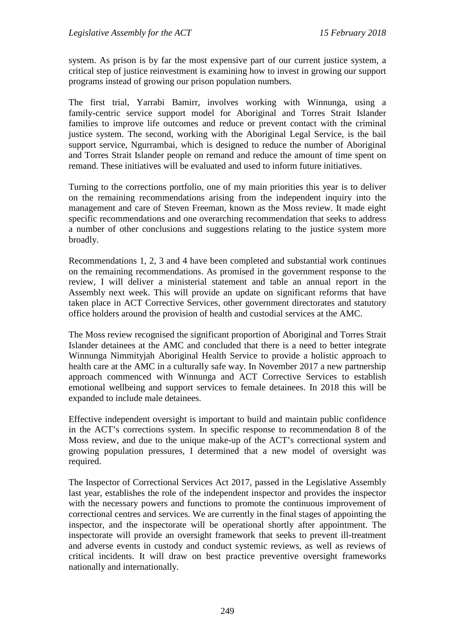system. As prison is by far the most expensive part of our current justice system, a critical step of justice reinvestment is examining how to invest in growing our support programs instead of growing our prison population numbers.

The first trial, Yarrabi Bamirr, involves working with Winnunga, using a family-centric service support model for Aboriginal and Torres Strait Islander families to improve life outcomes and reduce or prevent contact with the criminal justice system. The second, working with the Aboriginal Legal Service, is the bail support service, Ngurrambai, which is designed to reduce the number of Aboriginal and Torres Strait Islander people on remand and reduce the amount of time spent on remand. These initiatives will be evaluated and used to inform future initiatives.

Turning to the corrections portfolio, one of my main priorities this year is to deliver on the remaining recommendations arising from the independent inquiry into the management and care of Steven Freeman, known as the Moss review. It made eight specific recommendations and one overarching recommendation that seeks to address a number of other conclusions and suggestions relating to the justice system more broadly.

Recommendations 1, 2, 3 and 4 have been completed and substantial work continues on the remaining recommendations. As promised in the government response to the review, I will deliver a ministerial statement and table an annual report in the Assembly next week. This will provide an update on significant reforms that have taken place in ACT Corrective Services, other government directorates and statutory office holders around the provision of health and custodial services at the AMC.

The Moss review recognised the significant proportion of Aboriginal and Torres Strait Islander detainees at the AMC and concluded that there is a need to better integrate Winnunga Nimmityjah Aboriginal Health Service to provide a holistic approach to health care at the AMC in a culturally safe way. In November 2017 a new partnership approach commenced with Winnunga and ACT Corrective Services to establish emotional wellbeing and support services to female detainees. In 2018 this will be expanded to include male detainees.

Effective independent oversight is important to build and maintain public confidence in the ACT's corrections system. In specific response to recommendation 8 of the Moss review, and due to the unique make-up of the ACT's correctional system and growing population pressures, I determined that a new model of oversight was required.

The Inspector of Correctional Services Act 2017, passed in the Legislative Assembly last year, establishes the role of the independent inspector and provides the inspector with the necessary powers and functions to promote the continuous improvement of correctional centres and services. We are currently in the final stages of appointing the inspector, and the inspectorate will be operational shortly after appointment. The inspectorate will provide an oversight framework that seeks to prevent ill-treatment and adverse events in custody and conduct systemic reviews, as well as reviews of critical incidents. It will draw on best practice preventive oversight frameworks nationally and internationally.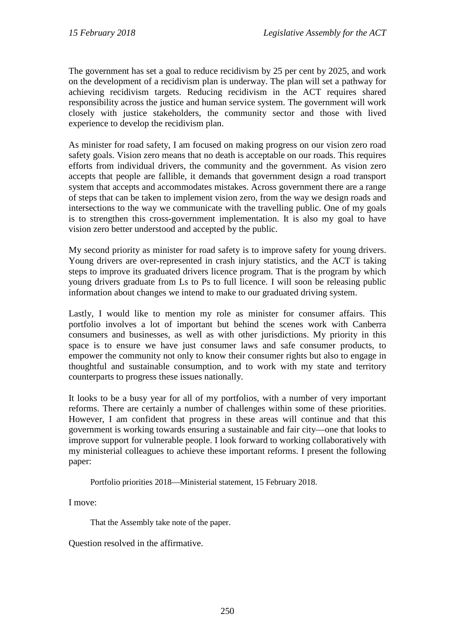The government has set a goal to reduce recidivism by 25 per cent by 2025, and work on the development of a recidivism plan is underway. The plan will set a pathway for achieving recidivism targets. Reducing recidivism in the ACT requires shared responsibility across the justice and human service system. The government will work closely with justice stakeholders, the community sector and those with lived experience to develop the recidivism plan.

As minister for road safety, I am focused on making progress on our vision zero road safety goals. Vision zero means that no death is acceptable on our roads. This requires efforts from individual drivers, the community and the government. As vision zero accepts that people are fallible, it demands that government design a road transport system that accepts and accommodates mistakes. Across government there are a range of steps that can be taken to implement vision zero, from the way we design roads and intersections to the way we communicate with the travelling public. One of my goals is to strengthen this cross-government implementation. It is also my goal to have vision zero better understood and accepted by the public.

My second priority as minister for road safety is to improve safety for young drivers. Young drivers are over-represented in crash injury statistics, and the ACT is taking steps to improve its graduated drivers licence program. That is the program by which young drivers graduate from Ls to Ps to full licence. I will soon be releasing public information about changes we intend to make to our graduated driving system.

Lastly, I would like to mention my role as minister for consumer affairs. This portfolio involves a lot of important but behind the scenes work with Canberra consumers and businesses, as well as with other jurisdictions. My priority in this space is to ensure we have just consumer laws and safe consumer products, to empower the community not only to know their consumer rights but also to engage in thoughtful and sustainable consumption, and to work with my state and territory counterparts to progress these issues nationally.

It looks to be a busy year for all of my portfolios, with a number of very important reforms. There are certainly a number of challenges within some of these priorities. However, I am confident that progress in these areas will continue and that this government is working towards ensuring a sustainable and fair city—one that looks to improve support for vulnerable people. I look forward to working collaboratively with my ministerial colleagues to achieve these important reforms. I present the following paper:

Portfolio priorities 2018—Ministerial statement, 15 February 2018.

I move:

That the Assembly take note of the paper.

Question resolved in the affirmative.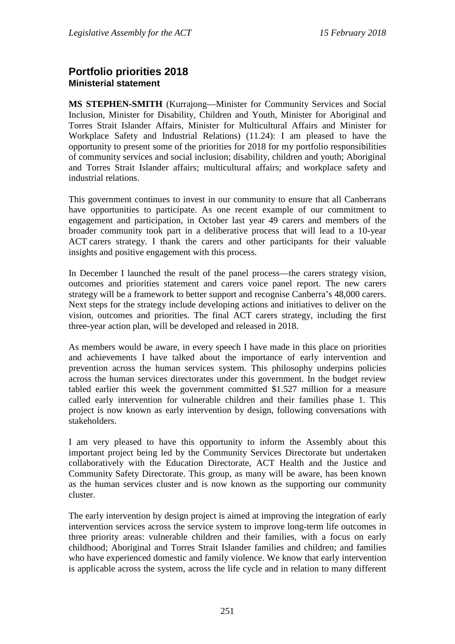#### <span id="page-27-1"></span><span id="page-27-0"></span>**Portfolio priorities 2018 Ministerial statement**

**MS STEPHEN-SMITH** (Kurrajong—Minister for Community Services and Social Inclusion, Minister for Disability, Children and Youth, Minister for Aboriginal and Torres Strait Islander Affairs, Minister for Multicultural Affairs and Minister for Workplace Safety and Industrial Relations) (11.24): I am pleased to have the opportunity to present some of the priorities for 2018 for my portfolio responsibilities of community services and social inclusion; disability, children and youth; Aboriginal and Torres Strait Islander affairs; multicultural affairs; and workplace safety and industrial relations.

This government continues to invest in our community to ensure that all Canberrans have opportunities to participate. As one recent example of our commitment to engagement and participation, in October last year 49 carers and members of the broader community took part in a deliberative process that will lead to a 10-year ACT carers strategy. I thank the carers and other participants for their valuable insights and positive engagement with this process.

In December I launched the result of the panel process—the carers strategy vision, outcomes and priorities statement and carers voice panel report. The new carers strategy will be a framework to better support and recognise Canberra's 48,000 carers. Next steps for the strategy include developing actions and initiatives to deliver on the vision, outcomes and priorities. The final ACT carers strategy, including the first three-year action plan, will be developed and released in 2018.

As members would be aware, in every speech I have made in this place on priorities and achievements I have talked about the importance of early intervention and prevention across the human services system. This philosophy underpins policies across the human services directorates under this government. In the budget review tabled earlier this week the government committed \$1.527 million for a measure called early intervention for vulnerable children and their families phase 1. This project is now known as early intervention by design, following conversations with stakeholders.

I am very pleased to have this opportunity to inform the Assembly about this important project being led by the Community Services Directorate but undertaken collaboratively with the Education Directorate, ACT Health and the Justice and Community Safety Directorate. This group, as many will be aware, has been known as the human services cluster and is now known as the supporting our community cluster.

The early intervention by design project is aimed at improving the integration of early intervention services across the service system to improve long-term life outcomes in three priority areas: vulnerable children and their families, with a focus on early childhood; Aboriginal and Torres Strait Islander families and children; and families who have experienced domestic and family violence. We know that early intervention is applicable across the system, across the life cycle and in relation to many different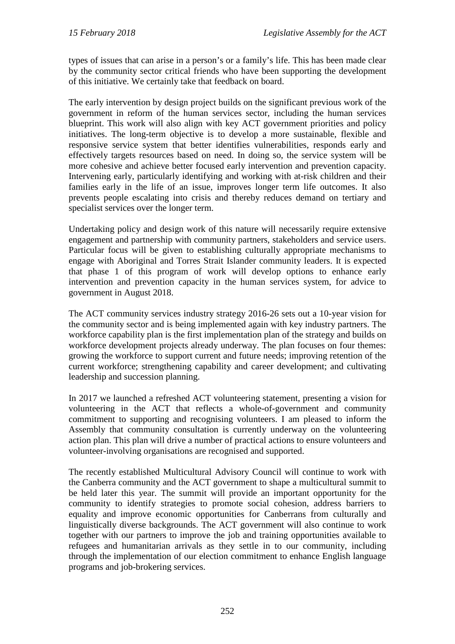types of issues that can arise in a person's or a family's life. This has been made clear by the community sector critical friends who have been supporting the development of this initiative. We certainly take that feedback on board.

The early intervention by design project builds on the significant previous work of the government in reform of the human services sector, including the human services blueprint. This work will also align with key ACT government priorities and policy initiatives. The long-term objective is to develop a more sustainable, flexible and responsive service system that better identifies vulnerabilities, responds early and effectively targets resources based on need. In doing so, the service system will be more cohesive and achieve better focused early intervention and prevention capacity. Intervening early, particularly identifying and working with at-risk children and their families early in the life of an issue, improves longer term life outcomes. It also prevents people escalating into crisis and thereby reduces demand on tertiary and specialist services over the longer term.

Undertaking policy and design work of this nature will necessarily require extensive engagement and partnership with community partners, stakeholders and service users. Particular focus will be given to establishing culturally appropriate mechanisms to engage with Aboriginal and Torres Strait Islander community leaders. It is expected that phase 1 of this program of work will develop options to enhance early intervention and prevention capacity in the human services system, for advice to government in August 2018.

The ACT community services industry strategy 2016-26 sets out a 10-year vision for the community sector and is being implemented again with key industry partners. The workforce capability plan is the first implementation plan of the strategy and builds on workforce development projects already underway. The plan focuses on four themes: growing the workforce to support current and future needs; improving retention of the current workforce; strengthening capability and career development; and cultivating leadership and succession planning.

In 2017 we launched a refreshed ACT volunteering statement, presenting a vision for volunteering in the ACT that reflects a whole-of-government and community commitment to supporting and recognising volunteers. I am pleased to inform the Assembly that community consultation is currently underway on the volunteering action plan. This plan will drive a number of practical actions to ensure volunteers and volunteer-involving organisations are recognised and supported.

The recently established Multicultural Advisory Council will continue to work with the Canberra community and the ACT government to shape a multicultural summit to be held later this year. The summit will provide an important opportunity for the community to identify strategies to promote social cohesion, address barriers to equality and improve economic opportunities for Canberrans from culturally and linguistically diverse backgrounds. The ACT government will also continue to work together with our partners to improve the job and training opportunities available to refugees and humanitarian arrivals as they settle in to our community, including through the implementation of our election commitment to enhance English language programs and job-brokering services.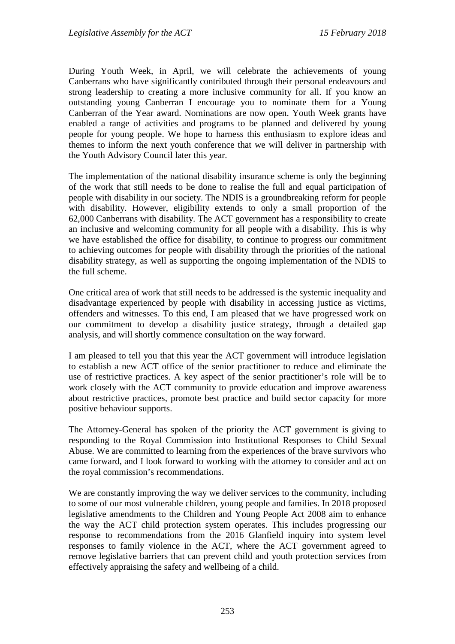During Youth Week, in April, we will celebrate the achievements of young Canberrans who have significantly contributed through their personal endeavours and strong leadership to creating a more inclusive community for all. If you know an outstanding young Canberran I encourage you to nominate them for a Young Canberran of the Year award. Nominations are now open. Youth Week grants have enabled a range of activities and programs to be planned and delivered by young people for young people. We hope to harness this enthusiasm to explore ideas and themes to inform the next youth conference that we will deliver in partnership with the Youth Advisory Council later this year.

The implementation of the national disability insurance scheme is only the beginning of the work that still needs to be done to realise the full and equal participation of people with disability in our society. The NDIS is a groundbreaking reform for people with disability. However, eligibility extends to only a small proportion of the 62,000 Canberrans with disability. The ACT government has a responsibility to create an inclusive and welcoming community for all people with a disability. This is why we have established the office for disability, to continue to progress our commitment to achieving outcomes for people with disability through the priorities of the national disability strategy, as well as supporting the ongoing implementation of the NDIS to the full scheme.

One critical area of work that still needs to be addressed is the systemic inequality and disadvantage experienced by people with disability in accessing justice as victims, offenders and witnesses. To this end, I am pleased that we have progressed work on our commitment to develop a disability justice strategy, through a detailed gap analysis, and will shortly commence consultation on the way forward.

I am pleased to tell you that this year the ACT government will introduce legislation to establish a new ACT office of the senior practitioner to reduce and eliminate the use of restrictive practices. A key aspect of the senior practitioner's role will be to work closely with the ACT community to provide education and improve awareness about restrictive practices, promote best practice and build sector capacity for more positive behaviour supports.

The Attorney-General has spoken of the priority the ACT government is giving to responding to the Royal Commission into Institutional Responses to Child Sexual Abuse. We are committed to learning from the experiences of the brave survivors who came forward, and I look forward to working with the attorney to consider and act on the royal commission's recommendations.

We are constantly improving the way we deliver services to the community, including to some of our most vulnerable children, young people and families. In 2018 proposed legislative amendments to the Children and Young People Act 2008 aim to enhance the way the ACT child protection system operates. This includes progressing our response to recommendations from the 2016 Glanfield inquiry into system level responses to family violence in the ACT, where the ACT government agreed to remove legislative barriers that can prevent child and youth protection services from effectively appraising the safety and wellbeing of a child.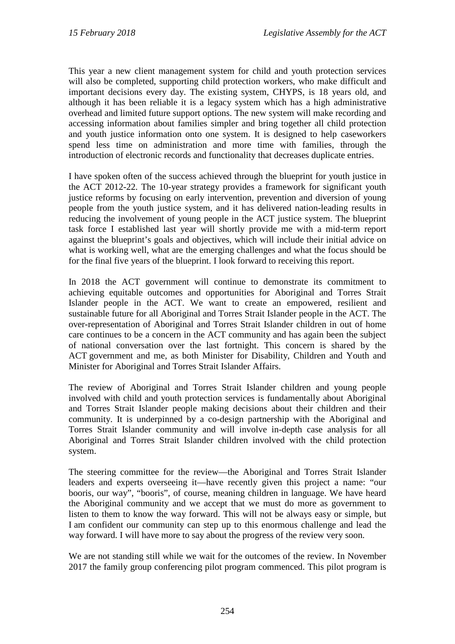This year a new client management system for child and youth protection services will also be completed, supporting child protection workers, who make difficult and important decisions every day. The existing system, CHYPS, is 18 years old, and although it has been reliable it is a legacy system which has a high administrative overhead and limited future support options. The new system will make recording and accessing information about families simpler and bring together all child protection and youth justice information onto one system. It is designed to help caseworkers spend less time on administration and more time with families, through the introduction of electronic records and functionality that decreases duplicate entries.

I have spoken often of the success achieved through the blueprint for youth justice in the ACT 2012-22. The 10-year strategy provides a framework for significant youth justice reforms by focusing on early intervention, prevention and diversion of young people from the youth justice system, and it has delivered nation-leading results in reducing the involvement of young people in the ACT justice system. The blueprint task force I established last year will shortly provide me with a mid-term report against the blueprint's goals and objectives, which will include their initial advice on what is working well, what are the emerging challenges and what the focus should be for the final five years of the blueprint. I look forward to receiving this report.

In 2018 the ACT government will continue to demonstrate its commitment to achieving equitable outcomes and opportunities for Aboriginal and Torres Strait Islander people in the ACT. We want to create an empowered, resilient and sustainable future for all Aboriginal and Torres Strait Islander people in the ACT. The over-representation of Aboriginal and Torres Strait Islander children in out of home care continues to be a concern in the ACT community and has again been the subject of national conversation over the last fortnight. This concern is shared by the ACT government and me, as both Minister for Disability, Children and Youth and Minister for Aboriginal and Torres Strait Islander Affairs.

The review of Aboriginal and Torres Strait Islander children and young people involved with child and youth protection services is fundamentally about Aboriginal and Torres Strait Islander people making decisions about their children and their community. It is underpinned by a co-design partnership with the Aboriginal and Torres Strait Islander community and will involve in-depth case analysis for all Aboriginal and Torres Strait Islander children involved with the child protection system.

The steering committee for the review—the Aboriginal and Torres Strait Islander leaders and experts overseeing it—have recently given this project a name: "our booris, our way", "booris", of course, meaning children in language. We have heard the Aboriginal community and we accept that we must do more as government to listen to them to know the way forward. This will not be always easy or simple, but I am confident our community can step up to this enormous challenge and lead the way forward. I will have more to say about the progress of the review very soon.

We are not standing still while we wait for the outcomes of the review. In November 2017 the family group conferencing pilot program commenced. This pilot program is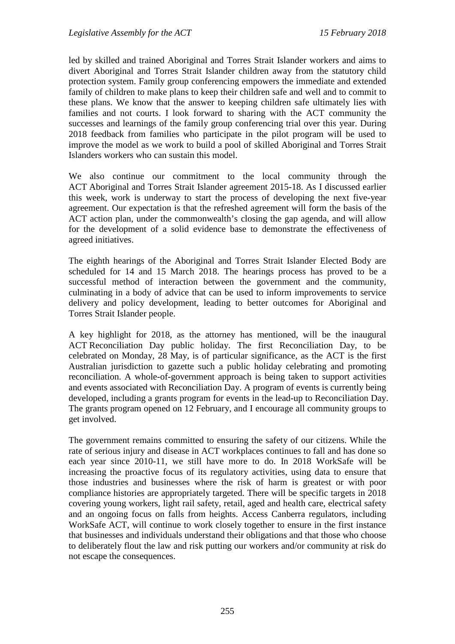led by skilled and trained Aboriginal and Torres Strait Islander workers and aims to divert Aboriginal and Torres Strait Islander children away from the statutory child protection system. Family group conferencing empowers the immediate and extended family of children to make plans to keep their children safe and well and to commit to these plans. We know that the answer to keeping children safe ultimately lies with families and not courts. I look forward to sharing with the ACT community the successes and learnings of the family group conferencing trial over this year. During 2018 feedback from families who participate in the pilot program will be used to improve the model as we work to build a pool of skilled Aboriginal and Torres Strait Islanders workers who can sustain this model.

We also continue our commitment to the local community through the ACT Aboriginal and Torres Strait Islander agreement 2015-18. As I discussed earlier this week, work is underway to start the process of developing the next five-year agreement. Our expectation is that the refreshed agreement will form the basis of the ACT action plan, under the commonwealth's closing the gap agenda, and will allow for the development of a solid evidence base to demonstrate the effectiveness of agreed initiatives.

The eighth hearings of the Aboriginal and Torres Strait Islander Elected Body are scheduled for 14 and 15 March 2018. The hearings process has proved to be a successful method of interaction between the government and the community, culminating in a body of advice that can be used to inform improvements to service delivery and policy development, leading to better outcomes for Aboriginal and Torres Strait Islander people.

A key highlight for 2018, as the attorney has mentioned, will be the inaugural ACT Reconciliation Day public holiday. The first Reconciliation Day, to be celebrated on Monday, 28 May, is of particular significance, as the ACT is the first Australian jurisdiction to gazette such a public holiday celebrating and promoting reconciliation. A whole-of-government approach is being taken to support activities and events associated with Reconciliation Day. A program of events is currently being developed, including a grants program for events in the lead-up to Reconciliation Day. The grants program opened on 12 February, and I encourage all community groups to get involved.

The government remains committed to ensuring the safety of our citizens. While the rate of serious injury and disease in ACT workplaces continues to fall and has done so each year since 2010-11, we still have more to do. In 2018 WorkSafe will be increasing the proactive focus of its regulatory activities, using data to ensure that those industries and businesses where the risk of harm is greatest or with poor compliance histories are appropriately targeted. There will be specific targets in 2018 covering young workers, light rail safety, retail, aged and health care, electrical safety and an ongoing focus on falls from heights. Access Canberra regulators, including WorkSafe ACT, will continue to work closely together to ensure in the first instance that businesses and individuals understand their obligations and that those who choose to deliberately flout the law and risk putting our workers and/or community at risk do not escape the consequences.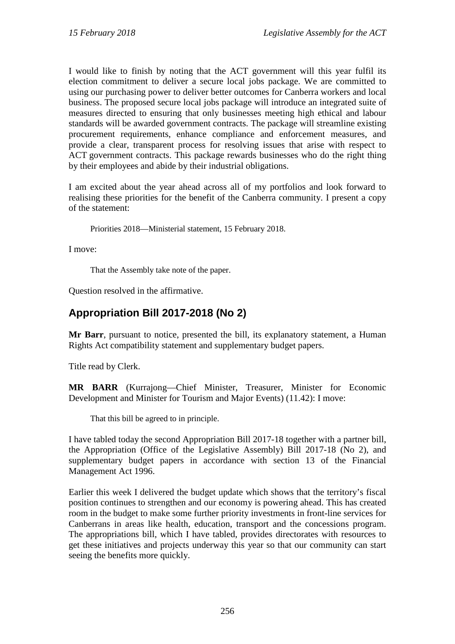I would like to finish by noting that the ACT government will this year fulfil its election commitment to deliver a secure local jobs package. We are committed to using our purchasing power to deliver better outcomes for Canberra workers and local business. The proposed secure local jobs package will introduce an integrated suite of measures directed to ensuring that only businesses meeting high ethical and labour standards will be awarded government contracts. The package will streamline existing procurement requirements, enhance compliance and enforcement measures, and provide a clear, transparent process for resolving issues that arise with respect to ACT government contracts. This package rewards businesses who do the right thing by their employees and abide by their industrial obligations.

I am excited about the year ahead across all of my portfolios and look forward to realising these priorities for the benefit of the Canberra community. I present a copy of the statement:

Priorities 2018—Ministerial statement, 15 February 2018.

I move:

That the Assembly take note of the paper.

Question resolved in the affirmative.

## <span id="page-32-0"></span>**Appropriation Bill 2017-2018 (No 2)**

**Mr Barr**, pursuant to notice, presented the bill, its explanatory statement, a Human Rights Act compatibility statement and supplementary budget papers.

Title read by Clerk.

**MR BARR** (Kurrajong—Chief Minister, Treasurer, Minister for Economic Development and Minister for Tourism and Major Events) (11.42): I move:

That this bill be agreed to in principle.

I have tabled today the second Appropriation Bill 2017-18 together with a partner bill, the Appropriation (Office of the Legislative Assembly) Bill 2017-18 (No 2), and supplementary budget papers in accordance with section 13 of the Financial Management Act 1996.

Earlier this week I delivered the budget update which shows that the territory's fiscal position continues to strengthen and our economy is powering ahead. This has created room in the budget to make some further priority investments in front-line services for Canberrans in areas like health, education, transport and the concessions program. The appropriations bill, which I have tabled, provides directorates with resources to get these initiatives and projects underway this year so that our community can start seeing the benefits more quickly.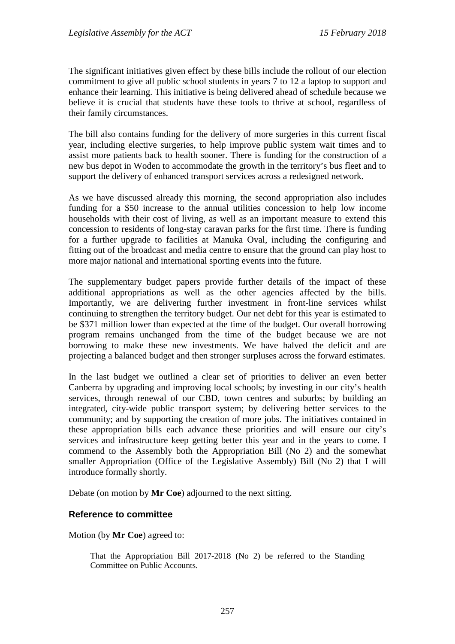The significant initiatives given effect by these bills include the rollout of our election commitment to give all public school students in years 7 to 12 a laptop to support and enhance their learning. This initiative is being delivered ahead of schedule because we believe it is crucial that students have these tools to thrive at school, regardless of their family circumstances.

The bill also contains funding for the delivery of more surgeries in this current fiscal year, including elective surgeries, to help improve public system wait times and to assist more patients back to health sooner. There is funding for the construction of a new bus depot in Woden to accommodate the growth in the territory's bus fleet and to support the delivery of enhanced transport services across a redesigned network.

As we have discussed already this morning, the second appropriation also includes funding for a \$50 increase to the annual utilities concession to help low income households with their cost of living, as well as an important measure to extend this concession to residents of long-stay caravan parks for the first time. There is funding for a further upgrade to facilities at Manuka Oval, including the configuring and fitting out of the broadcast and media centre to ensure that the ground can play host to more major national and international sporting events into the future.

The supplementary budget papers provide further details of the impact of these additional appropriations as well as the other agencies affected by the bills. Importantly, we are delivering further investment in front-line services whilst continuing to strengthen the territory budget. Our net debt for this year is estimated to be \$371 million lower than expected at the time of the budget. Our overall borrowing program remains unchanged from the time of the budget because we are not borrowing to make these new investments. We have halved the deficit and are projecting a balanced budget and then stronger surpluses across the forward estimates.

In the last budget we outlined a clear set of priorities to deliver an even better Canberra by upgrading and improving local schools; by investing in our city's health services, through renewal of our CBD, town centres and suburbs; by building an integrated, city-wide public transport system; by delivering better services to the community; and by supporting the creation of more jobs. The initiatives contained in these appropriation bills each advance these priorities and will ensure our city's services and infrastructure keep getting better this year and in the years to come. I commend to the Assembly both the Appropriation Bill (No 2) and the somewhat smaller Appropriation (Office of the Legislative Assembly) Bill (No 2) that I will introduce formally shortly.

Debate (on motion by **Mr Coe**) adjourned to the next sitting.

#### **Reference to committee**

Motion (by **Mr Coe**) agreed to:

That the Appropriation Bill 2017-2018 (No 2) be referred to the Standing Committee on Public Accounts.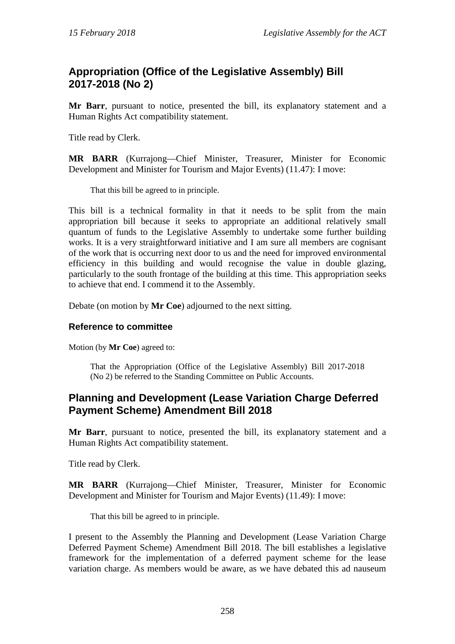## <span id="page-34-0"></span>**Appropriation (Office of the Legislative Assembly) Bill 2017-2018 (No 2)**

**Mr Barr**, pursuant to notice, presented the bill, its explanatory statement and a Human Rights Act compatibility statement.

Title read by Clerk.

**MR BARR** (Kurrajong—Chief Minister, Treasurer, Minister for Economic Development and Minister for Tourism and Major Events) (11.47): I move:

That this bill be agreed to in principle.

This bill is a technical formality in that it needs to be split from the main appropriation bill because it seeks to appropriate an additional relatively small quantum of funds to the Legislative Assembly to undertake some further building works. It is a very straightforward initiative and I am sure all members are cognisant of the work that is occurring next door to us and the need for improved environmental efficiency in this building and would recognise the value in double glazing, particularly to the south frontage of the building at this time. This appropriation seeks to achieve that end. I commend it to the Assembly.

Debate (on motion by **Mr Coe**) adjourned to the next sitting.

#### **Reference to committee**

Motion (by **Mr Coe**) agreed to:

That the Appropriation (Office of the Legislative Assembly) Bill 2017-2018 (No 2) be referred to the Standing Committee on Public Accounts.

### <span id="page-34-1"></span>**Planning and Development (Lease Variation Charge Deferred Payment Scheme) Amendment Bill 2018**

**Mr Barr**, pursuant to notice, presented the bill, its explanatory statement and a Human Rights Act compatibility statement.

Title read by Clerk.

**MR BARR** (Kurrajong—Chief Minister, Treasurer, Minister for Economic Development and Minister for Tourism and Major Events) (11.49): I move:

That this bill be agreed to in principle.

I present to the Assembly the Planning and Development (Lease Variation Charge Deferred Payment Scheme) Amendment Bill 2018. The bill establishes a legislative framework for the implementation of a deferred payment scheme for the lease variation charge. As members would be aware, as we have debated this ad nauseum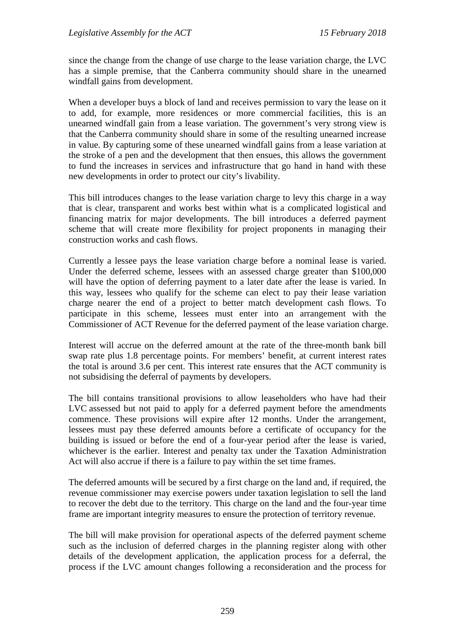since the change from the change of use charge to the lease variation charge, the LVC has a simple premise, that the Canberra community should share in the unearned windfall gains from development.

When a developer buys a block of land and receives permission to vary the lease on it to add, for example, more residences or more commercial facilities, this is an unearned windfall gain from a lease variation. The government's very strong view is that the Canberra community should share in some of the resulting unearned increase in value. By capturing some of these unearned windfall gains from a lease variation at the stroke of a pen and the development that then ensues, this allows the government to fund the increases in services and infrastructure that go hand in hand with these new developments in order to protect our city's livability.

This bill introduces changes to the lease variation charge to levy this charge in a way that is clear, transparent and works best within what is a complicated logistical and financing matrix for major developments. The bill introduces a deferred payment scheme that will create more flexibility for project proponents in managing their construction works and cash flows.

Currently a lessee pays the lease variation charge before a nominal lease is varied. Under the deferred scheme, lessees with an assessed charge greater than \$100,000 will have the option of deferring payment to a later date after the lease is varied. In this way, lessees who qualify for the scheme can elect to pay their lease variation charge nearer the end of a project to better match development cash flows. To participate in this scheme, lessees must enter into an arrangement with the Commissioner of ACT Revenue for the deferred payment of the lease variation charge.

Interest will accrue on the deferred amount at the rate of the three-month bank bill swap rate plus 1.8 percentage points. For members' benefit, at current interest rates the total is around 3.6 per cent. This interest rate ensures that the ACT community is not subsidising the deferral of payments by developers.

The bill contains transitional provisions to allow leaseholders who have had their LVC assessed but not paid to apply for a deferred payment before the amendments commence. These provisions will expire after 12 months. Under the arrangement, lessees must pay these deferred amounts before a certificate of occupancy for the building is issued or before the end of a four-year period after the lease is varied, whichever is the earlier. Interest and penalty tax under the Taxation Administration Act will also accrue if there is a failure to pay within the set time frames.

The deferred amounts will be secured by a first charge on the land and, if required, the revenue commissioner may exercise powers under taxation legislation to sell the land to recover the debt due to the territory. This charge on the land and the four-year time frame are important integrity measures to ensure the protection of territory revenue.

The bill will make provision for operational aspects of the deferred payment scheme such as the inclusion of deferred charges in the planning register along with other details of the development application, the application process for a deferral, the process if the LVC amount changes following a reconsideration and the process for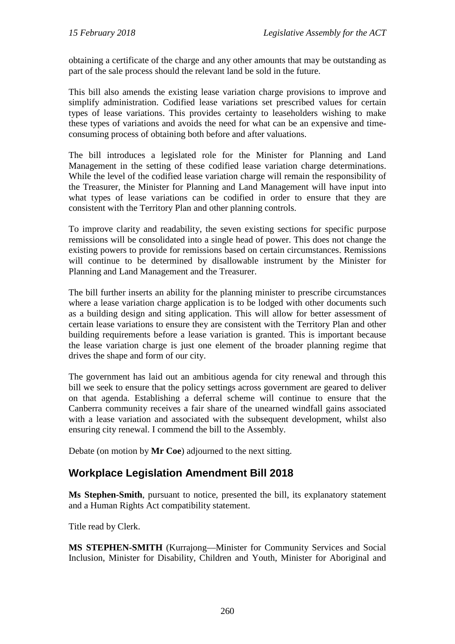obtaining a certificate of the charge and any other amounts that may be outstanding as part of the sale process should the relevant land be sold in the future.

This bill also amends the existing lease variation charge provisions to improve and simplify administration. Codified lease variations set prescribed values for certain types of lease variations. This provides certainty to leaseholders wishing to make these types of variations and avoids the need for what can be an expensive and timeconsuming process of obtaining both before and after valuations.

The bill introduces a legislated role for the Minister for Planning and Land Management in the setting of these codified lease variation charge determinations. While the level of the codified lease variation charge will remain the responsibility of the Treasurer, the Minister for Planning and Land Management will have input into what types of lease variations can be codified in order to ensure that they are consistent with the Territory Plan and other planning controls.

To improve clarity and readability, the seven existing sections for specific purpose remissions will be consolidated into a single head of power. This does not change the existing powers to provide for remissions based on certain circumstances. Remissions will continue to be determined by disallowable instrument by the Minister for Planning and Land Management and the Treasurer.

The bill further inserts an ability for the planning minister to prescribe circumstances where a lease variation charge application is to be lodged with other documents such as a building design and siting application. This will allow for better assessment of certain lease variations to ensure they are consistent with the Territory Plan and other building requirements before a lease variation is granted. This is important because the lease variation charge is just one element of the broader planning regime that drives the shape and form of our city.

The government has laid out an ambitious agenda for city renewal and through this bill we seek to ensure that the policy settings across government are geared to deliver on that agenda. Establishing a deferral scheme will continue to ensure that the Canberra community receives a fair share of the unearned windfall gains associated with a lease variation and associated with the subsequent development, whilst also ensuring city renewal. I commend the bill to the Assembly.

Debate (on motion by **Mr Coe**) adjourned to the next sitting.

# **Workplace Legislation Amendment Bill 2018**

**Ms Stephen-Smith**, pursuant to notice, presented the bill, its explanatory statement and a Human Rights Act compatibility statement.

Title read by Clerk.

**MS STEPHEN-SMITH** (Kurrajong—Minister for Community Services and Social Inclusion, Minister for Disability, Children and Youth, Minister for Aboriginal and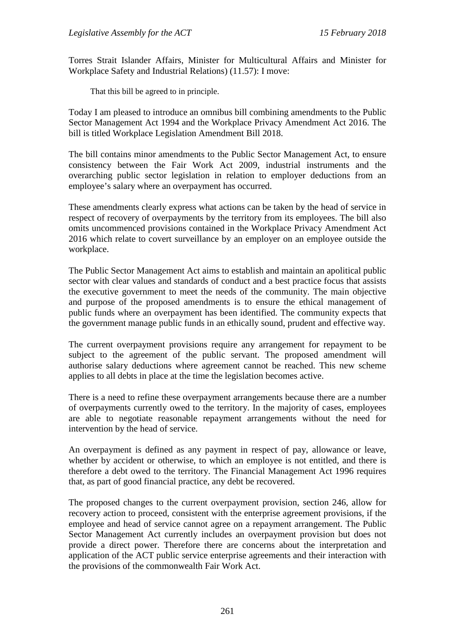Torres Strait Islander Affairs, Minister for Multicultural Affairs and Minister for Workplace Safety and Industrial Relations) (11.57): I move:

That this bill be agreed to in principle.

Today I am pleased to introduce an omnibus bill combining amendments to the Public Sector Management Act 1994 and the Workplace Privacy Amendment Act 2016. The bill is titled Workplace Legislation Amendment Bill 2018.

The bill contains minor amendments to the Public Sector Management Act, to ensure consistency between the Fair Work Act 2009, industrial instruments and the overarching public sector legislation in relation to employer deductions from an employee's salary where an overpayment has occurred.

These amendments clearly express what actions can be taken by the head of service in respect of recovery of overpayments by the territory from its employees. The bill also omits uncommenced provisions contained in the Workplace Privacy Amendment Act 2016 which relate to covert surveillance by an employer on an employee outside the workplace.

The Public Sector Management Act aims to establish and maintain an apolitical public sector with clear values and standards of conduct and a best practice focus that assists the executive government to meet the needs of the community. The main objective and purpose of the proposed amendments is to ensure the ethical management of public funds where an overpayment has been identified. The community expects that the government manage public funds in an ethically sound, prudent and effective way.

The current overpayment provisions require any arrangement for repayment to be subject to the agreement of the public servant. The proposed amendment will authorise salary deductions where agreement cannot be reached. This new scheme applies to all debts in place at the time the legislation becomes active.

There is a need to refine these overpayment arrangements because there are a number of overpayments currently owed to the territory. In the majority of cases, employees are able to negotiate reasonable repayment arrangements without the need for intervention by the head of service.

An overpayment is defined as any payment in respect of pay, allowance or leave, whether by accident or otherwise, to which an employee is not entitled, and there is therefore a debt owed to the territory. The Financial Management Act 1996 requires that, as part of good financial practice, any debt be recovered.

The proposed changes to the current overpayment provision, section 246, allow for recovery action to proceed, consistent with the enterprise agreement provisions, if the employee and head of service cannot agree on a repayment arrangement. The Public Sector Management Act currently includes an overpayment provision but does not provide a direct power. Therefore there are concerns about the interpretation and application of the ACT public service enterprise agreements and their interaction with the provisions of the commonwealth Fair Work Act.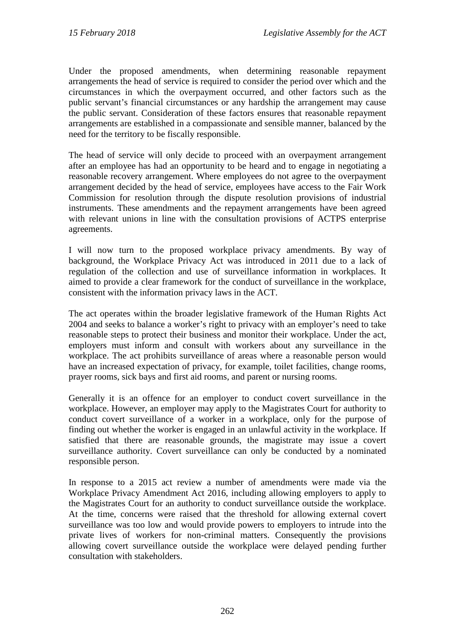Under the proposed amendments, when determining reasonable repayment arrangements the head of service is required to consider the period over which and the circumstances in which the overpayment occurred, and other factors such as the public servant's financial circumstances or any hardship the arrangement may cause the public servant. Consideration of these factors ensures that reasonable repayment arrangements are established in a compassionate and sensible manner, balanced by the need for the territory to be fiscally responsible.

The head of service will only decide to proceed with an overpayment arrangement after an employee has had an opportunity to be heard and to engage in negotiating a reasonable recovery arrangement. Where employees do not agree to the overpayment arrangement decided by the head of service, employees have access to the Fair Work Commission for resolution through the dispute resolution provisions of industrial instruments. These amendments and the repayment arrangements have been agreed with relevant unions in line with the consultation provisions of ACTPS enterprise agreements.

I will now turn to the proposed workplace privacy amendments. By way of background, the Workplace Privacy Act was introduced in 2011 due to a lack of regulation of the collection and use of surveillance information in workplaces. It aimed to provide a clear framework for the conduct of surveillance in the workplace, consistent with the information privacy laws in the ACT.

The act operates within the broader legislative framework of the Human Rights Act 2004 and seeks to balance a worker's right to privacy with an employer's need to take reasonable steps to protect their business and monitor their workplace. Under the act, employers must inform and consult with workers about any surveillance in the workplace. The act prohibits surveillance of areas where a reasonable person would have an increased expectation of privacy, for example, toilet facilities, change rooms, prayer rooms, sick bays and first aid rooms, and parent or nursing rooms.

Generally it is an offence for an employer to conduct covert surveillance in the workplace. However, an employer may apply to the Magistrates Court for authority to conduct covert surveillance of a worker in a workplace, only for the purpose of finding out whether the worker is engaged in an unlawful activity in the workplace. If satisfied that there are reasonable grounds, the magistrate may issue a covert surveillance authority. Covert surveillance can only be conducted by a nominated responsible person.

In response to a 2015 act review a number of amendments were made via the Workplace Privacy Amendment Act 2016, including allowing employers to apply to the Magistrates Court for an authority to conduct surveillance outside the workplace. At the time, concerns were raised that the threshold for allowing external covert surveillance was too low and would provide powers to employers to intrude into the private lives of workers for non-criminal matters. Consequently the provisions allowing covert surveillance outside the workplace were delayed pending further consultation with stakeholders.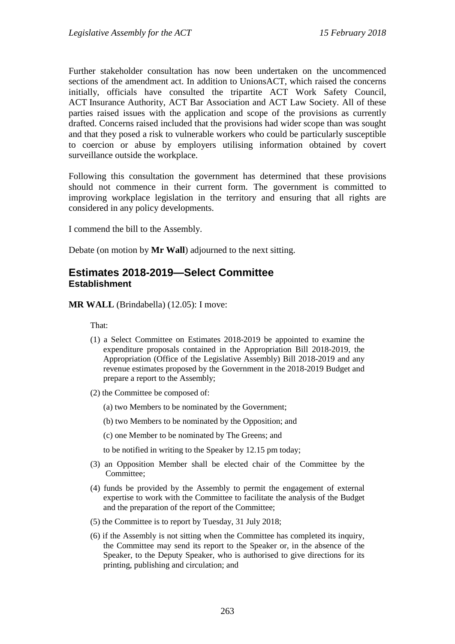Further stakeholder consultation has now been undertaken on the uncommenced sections of the amendment act. In addition to UnionsACT, which raised the concerns initially, officials have consulted the tripartite ACT Work Safety Council, ACT Insurance Authority, ACT Bar Association and ACT Law Society. All of these parties raised issues with the application and scope of the provisions as currently drafted. Concerns raised included that the provisions had wider scope than was sought and that they posed a risk to vulnerable workers who could be particularly susceptible to coercion or abuse by employers utilising information obtained by covert surveillance outside the workplace.

Following this consultation the government has determined that these provisions should not commence in their current form. The government is committed to improving workplace legislation in the territory and ensuring that all rights are considered in any policy developments.

I commend the bill to the Assembly.

Debate (on motion by **Mr Wall**) adjourned to the next sitting.

## **Estimates 2018-2019—Select Committee Establishment**

**MR WALL** (Brindabella) (12.05): I move:

That:

- (1) a Select Committee on Estimates 2018-2019 be appointed to examine the expenditure proposals contained in the Appropriation Bill 2018-2019, the Appropriation (Office of the Legislative Assembly) Bill 2018-2019 and any revenue estimates proposed by the Government in the 2018-2019 Budget and prepare a report to the Assembly;
- (2) the Committee be composed of:
	- (a) two Members to be nominated by the Government;
	- (b) two Members to be nominated by the Opposition; and
	- (c) one Member to be nominated by The Greens; and

to be notified in writing to the Speaker by 12.15 pm today;

- (3) an Opposition Member shall be elected chair of the Committee by the Committee;
- (4) funds be provided by the Assembly to permit the engagement of external expertise to work with the Committee to facilitate the analysis of the Budget and the preparation of the report of the Committee;
- (5) the Committee is to report by Tuesday, 31 July 2018;
- (6) if the Assembly is not sitting when the Committee has completed its inquiry, the Committee may send its report to the Speaker or, in the absence of the Speaker, to the Deputy Speaker, who is authorised to give directions for its printing, publishing and circulation; and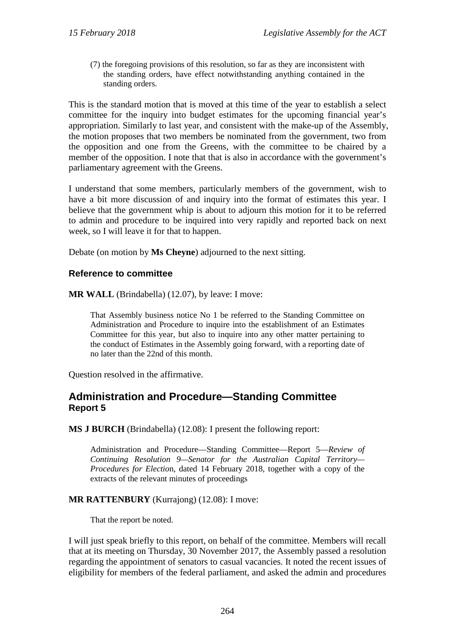(7) the foregoing provisions of this resolution, so far as they are inconsistent with the standing orders, have effect notwithstanding anything contained in the standing orders.

This is the standard motion that is moved at this time of the year to establish a select committee for the inquiry into budget estimates for the upcoming financial year's appropriation. Similarly to last year, and consistent with the make-up of the Assembly, the motion proposes that two members be nominated from the government, two from the opposition and one from the Greens, with the committee to be chaired by a member of the opposition. I note that that is also in accordance with the government's parliamentary agreement with the Greens.

I understand that some members, particularly members of the government, wish to have a bit more discussion of and inquiry into the format of estimates this year. I believe that the government whip is about to adjourn this motion for it to be referred to admin and procedure to be inquired into very rapidly and reported back on next week, so I will leave it for that to happen.

Debate (on motion by **Ms Cheyne**) adjourned to the next sitting.

#### **Reference to committee**

**MR WALL** (Brindabella) (12.07), by leave: I move:

That Assembly business notice No 1 be referred to the Standing Committee on Administration and Procedure to inquire into the establishment of an Estimates Committee for this year, but also to inquire into any other matter pertaining to the conduct of Estimates in the Assembly going forward, with a reporting date of no later than the 22nd of this month.

Question resolved in the affirmative.

### **Administration and Procedure—Standing Committee Report 5**

**MS J BURCH** (Brindabella) (12.08): I present the following report:

Administration and Procedure—Standing Committee—Report 5—*Review of Continuing Resolution 9—Senator for the Australian Capital Territory— Procedures for Electio*n, dated 14 February 2018, together with a copy of the extracts of the relevant minutes of proceedings

#### **MR RATTENBURY** (Kurrajong) (12.08): I move:

That the report be noted.

I will just speak briefly to this report, on behalf of the committee. Members will recall that at its meeting on Thursday, 30 November 2017, the Assembly passed a resolution regarding the appointment of senators to casual vacancies. It noted the recent issues of eligibility for members of the federal parliament, and asked the admin and procedures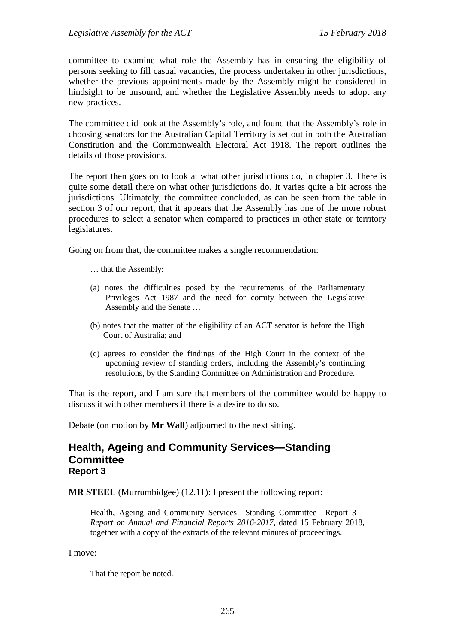committee to examine what role the Assembly has in ensuring the eligibility of persons seeking to fill casual vacancies, the process undertaken in other jurisdictions, whether the previous appointments made by the Assembly might be considered in hindsight to be unsound, and whether the Legislative Assembly needs to adopt any new practices.

The committee did look at the Assembly's role, and found that the Assembly's role in choosing senators for the Australian Capital Territory is set out in both the Australian Constitution and the Commonwealth Electoral Act 1918. The report outlines the details of those provisions.

The report then goes on to look at what other jurisdictions do, in chapter 3. There is quite some detail there on what other jurisdictions do. It varies quite a bit across the jurisdictions. Ultimately, the committee concluded, as can be seen from the table in section 3 of our report, that it appears that the Assembly has one of the more robust procedures to select a senator when compared to practices in other state or territory legislatures.

Going on from that, the committee makes a single recommendation:

- … that the Assembly:
- (a) notes the difficulties posed by the requirements of the Parliamentary Privileges Act 1987 and the need for comity between the Legislative Assembly and the Senate …
- (b) notes that the matter of the eligibility of an ACT senator is before the High Court of Australia; and
- (c) agrees to consider the findings of the High Court in the context of the upcoming review of standing orders, including the Assembly's continuing resolutions, by the Standing Committee on Administration and Procedure.

That is the report, and I am sure that members of the committee would be happy to discuss it with other members if there is a desire to do so.

Debate (on motion by **Mr Wall**) adjourned to the next sitting.

### **Health, Ageing and Community Services—Standing Committee Report 3**

**MR STEEL** (Murrumbidgee) (12.11): I present the following report:

Health, Ageing and Community Services—Standing Committee—Report 3— *Report on Annual and Financial Reports 2016-2017*, dated 15 February 2018, together with a copy of the extracts of the relevant minutes of proceedings.

I move:

That the report be noted.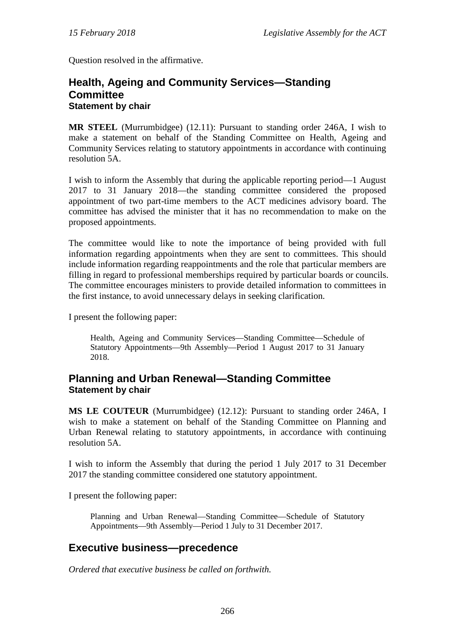Question resolved in the affirmative.

### **Health, Ageing and Community Services—Standing Committee Statement by chair**

**MR STEEL** (Murrumbidgee) (12.11): Pursuant to standing order 246A, I wish to make a statement on behalf of the Standing Committee on Health, Ageing and Community Services relating to statutory appointments in accordance with continuing resolution 5A.

I wish to inform the Assembly that during the applicable reporting period—1 August 2017 to 31 January 2018—the standing committee considered the proposed appointment of two part-time members to the ACT medicines advisory board. The committee has advised the minister that it has no recommendation to make on the proposed appointments.

The committee would like to note the importance of being provided with full information regarding appointments when they are sent to committees. This should include information regarding reappointments and the role that particular members are filling in regard to professional memberships required by particular boards or councils. The committee encourages ministers to provide detailed information to committees in the first instance, to avoid unnecessary delays in seeking clarification.

I present the following paper:

Health, Ageing and Community Services—Standing Committee—Schedule of Statutory Appointments—9th Assembly—Period 1 August 2017 to 31 January 2018.

### **Planning and Urban Renewal—Standing Committee Statement by chair**

**MS LE COUTEUR** (Murrumbidgee) (12.12): Pursuant to standing order 246A, I wish to make a statement on behalf of the Standing Committee on Planning and Urban Renewal relating to statutory appointments, in accordance with continuing resolution 5A.

I wish to inform the Assembly that during the period 1 July 2017 to 31 December 2017 the standing committee considered one statutory appointment.

I present the following paper:

Planning and Urban Renewal—Standing Committee—Schedule of Statutory Appointments—9th Assembly—Period 1 July to 31 December 2017.

# **Executive business—precedence**

*Ordered that executive business be called on forthwith.*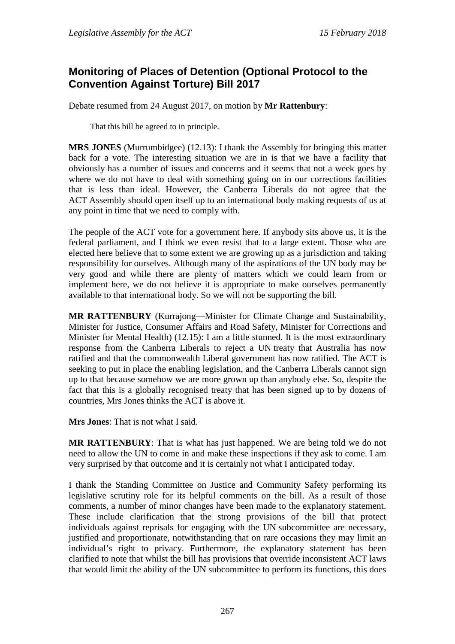# **Monitoring of Places of Detention (Optional Protocol to the Convention Against Torture) Bill 2017**

Debate resumed from 24 August 2017, on motion by **Mr Rattenbury**:

That this bill be agreed to in principle.

**MRS JONES** (Murrumbidgee) (12.13): I thank the Assembly for bringing this matter back for a vote. The interesting situation we are in is that we have a facility that obviously has a number of issues and concerns and it seems that not a week goes by where we do not have to deal with something going on in our corrections facilities that is less than ideal. However, the Canberra Liberals do not agree that the ACT Assembly should open itself up to an international body making requests of us at any point in time that we need to comply with.

The people of the ACT vote for a government here. If anybody sits above us, it is the federal parliament, and I think we even resist that to a large extent. Those who are elected here believe that to some extent we are growing up as a jurisdiction and taking responsibility for ourselves. Although many of the aspirations of the UN body may be very good and while there are plenty of matters which we could learn from or implement here, we do not believe it is appropriate to make ourselves permanently available to that international body. So we will not be supporting the bill.

**MR RATTENBURY** (Kurrajong—Minister for Climate Change and Sustainability, Minister for Justice, Consumer Affairs and Road Safety, Minister for Corrections and Minister for Mental Health) (12.15): I am a little stunned. It is the most extraordinary response from the Canberra Liberals to reject a UN treaty that Australia has now ratified and that the commonwealth Liberal government has now ratified. The ACT is seeking to put in place the enabling legislation, and the Canberra Liberals cannot sign up to that because somehow we are more grown up than anybody else. So, despite the fact that this is a globally recognised treaty that has been signed up to by dozens of countries, Mrs Jones thinks the ACT is above it.

**Mrs Jones**: That is not what I said.

**MR RATTENBURY**: That is what has just happened. We are being told we do not need to allow the UN to come in and make these inspections if they ask to come. I am very surprised by that outcome and it is certainly not what I anticipated today.

I thank the Standing Committee on Justice and Community Safety performing its legislative scrutiny role for its helpful comments on the bill. As a result of those comments, a number of minor changes have been made to the explanatory statement. These include clarification that the strong provisions of the bill that protect individuals against reprisals for engaging with the UN subcommittee are necessary, justified and proportionate, notwithstanding that on rare occasions they may limit an individual's right to privacy. Furthermore, the explanatory statement has been clarified to note that whilst the bill has provisions that override inconsistent ACT laws that would limit the ability of the UN subcommittee to perform its functions, this does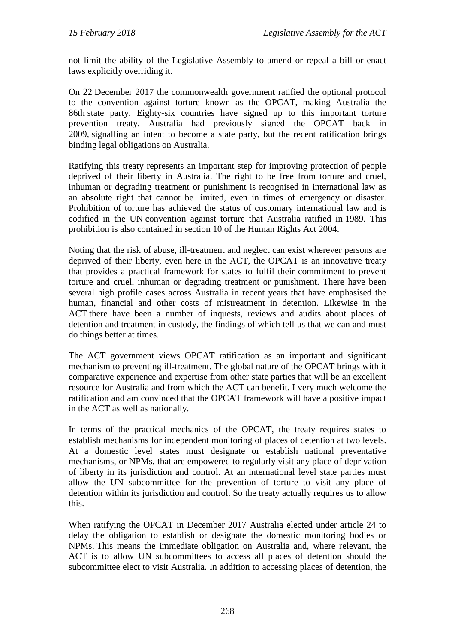not limit the ability of the Legislative Assembly to amend or repeal a bill or enact laws explicitly overriding it.

On 22 December 2017 the commonwealth government ratified the optional protocol to the convention against torture known as the OPCAT, making Australia the 86th state party. Eighty-six countries have signed up to this important torture prevention treaty. Australia had previously signed the OPCAT back in 2009, signalling an intent to become a state party, but the recent ratification brings binding legal obligations on Australia.

Ratifying this treaty represents an important step for improving protection of people deprived of their liberty in Australia. The right to be free from torture and cruel, inhuman or degrading treatment or punishment is recognised in international law as an absolute right that cannot be limited, even in times of emergency or disaster. Prohibition of torture has achieved the status of customary international law and is codified in the UN convention against torture that Australia ratified in 1989. This prohibition is also contained in section 10 of the Human Rights Act 2004.

Noting that the risk of abuse, ill-treatment and neglect can exist wherever persons are deprived of their liberty, even here in the ACT, the OPCAT is an innovative treaty that provides a practical framework for states to fulfil their commitment to prevent torture and cruel, inhuman or degrading treatment or punishment. There have been several high profile cases across Australia in recent years that have emphasised the human, financial and other costs of mistreatment in detention. Likewise in the ACT there have been a number of inquests, reviews and audits about places of detention and treatment in custody, the findings of which tell us that we can and must do things better at times.

The ACT government views OPCAT ratification as an important and significant mechanism to preventing ill-treatment. The global nature of the OPCAT brings with it comparative experience and expertise from other state parties that will be an excellent resource for Australia and from which the ACT can benefit. I very much welcome the ratification and am convinced that the OPCAT framework will have a positive impact in the ACT as well as nationally.

In terms of the practical mechanics of the OPCAT, the treaty requires states to establish mechanisms for independent monitoring of places of detention at two levels. At a domestic level states must designate or establish national preventative mechanisms, or NPMs, that are empowered to regularly visit any place of deprivation of liberty in its jurisdiction and control. At an international level state parties must allow the UN subcommittee for the prevention of torture to visit any place of detention within its jurisdiction and control. So the treaty actually requires us to allow this.

When ratifying the OPCAT in December 2017 Australia elected under article 24 to delay the obligation to establish or designate the domestic monitoring bodies or NPMs. This means the immediate obligation on Australia and, where relevant, the ACT is to allow UN subcommittees to access all places of detention should the subcommittee elect to visit Australia. In addition to accessing places of detention, the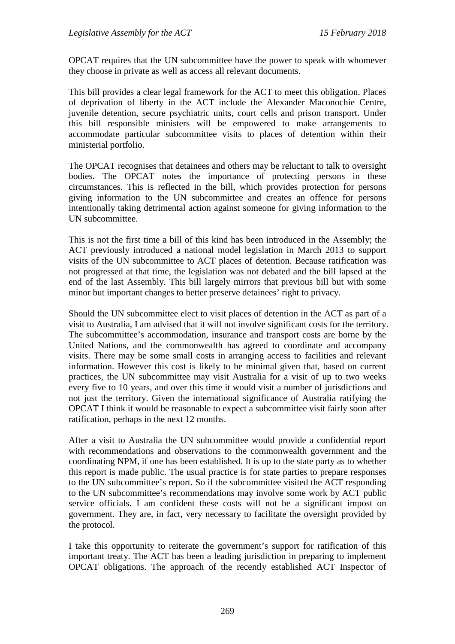OPCAT requires that the UN subcommittee have the power to speak with whomever they choose in private as well as access all relevant documents.

This bill provides a clear legal framework for the ACT to meet this obligation. Places of deprivation of liberty in the ACT include the Alexander Maconochie Centre, juvenile detention, secure psychiatric units, court cells and prison transport. Under this bill responsible ministers will be empowered to make arrangements to accommodate particular subcommittee visits to places of detention within their ministerial portfolio.

The OPCAT recognises that detainees and others may be reluctant to talk to oversight bodies. The OPCAT notes the importance of protecting persons in these circumstances. This is reflected in the bill, which provides protection for persons giving information to the UN subcommittee and creates an offence for persons intentionally taking detrimental action against someone for giving information to the UN subcommittee.

This is not the first time a bill of this kind has been introduced in the Assembly; the ACT previously introduced a national model legislation in March 2013 to support visits of the UN subcommittee to ACT places of detention. Because ratification was not progressed at that time, the legislation was not debated and the bill lapsed at the end of the last Assembly. This bill largely mirrors that previous bill but with some minor but important changes to better preserve detainees' right to privacy.

Should the UN subcommittee elect to visit places of detention in the ACT as part of a visit to Australia, I am advised that it will not involve significant costs for the territory. The subcommittee's accommodation, insurance and transport costs are borne by the United Nations, and the commonwealth has agreed to coordinate and accompany visits. There may be some small costs in arranging access to facilities and relevant information. However this cost is likely to be minimal given that, based on current practices, the UN subcommittee may visit Australia for a visit of up to two weeks every five to 10 years, and over this time it would visit a number of jurisdictions and not just the territory. Given the international significance of Australia ratifying the OPCAT I think it would be reasonable to expect a subcommittee visit fairly soon after ratification, perhaps in the next 12 months.

After a visit to Australia the UN subcommittee would provide a confidential report with recommendations and observations to the commonwealth government and the coordinating NPM, if one has been established. It is up to the state party as to whether this report is made public. The usual practice is for state parties to prepare responses to the UN subcommittee's report. So if the subcommittee visited the ACT responding to the UN subcommittee's recommendations may involve some work by ACT public service officials. I am confident these costs will not be a significant impost on government. They are, in fact, very necessary to facilitate the oversight provided by the protocol.

I take this opportunity to reiterate the government's support for ratification of this important treaty. The ACT has been a leading jurisdiction in preparing to implement OPCAT obligations. The approach of the recently established ACT Inspector of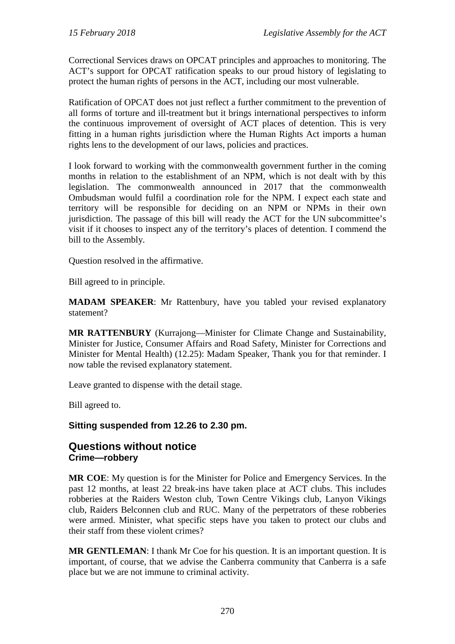Correctional Services draws on OPCAT principles and approaches to monitoring. The ACT's support for OPCAT ratification speaks to our proud history of legislating to protect the human rights of persons in the ACT, including our most vulnerable.

Ratification of OPCAT does not just reflect a further commitment to the prevention of all forms of torture and ill-treatment but it brings international perspectives to inform the continuous improvement of oversight of ACT places of detention. This is very fitting in a human rights jurisdiction where the Human Rights Act imports a human rights lens to the development of our laws, policies and practices.

I look forward to working with the commonwealth government further in the coming months in relation to the establishment of an NPM, which is not dealt with by this legislation. The commonwealth announced in 2017 that the commonwealth Ombudsman would fulfil a coordination role for the NPM. I expect each state and territory will be responsible for deciding on an NPM or NPMs in their own jurisdiction. The passage of this bill will ready the ACT for the UN subcommittee's visit if it chooses to inspect any of the territory's places of detention. I commend the bill to the Assembly.

Question resolved in the affirmative.

Bill agreed to in principle.

**MADAM SPEAKER**: Mr Rattenbury, have you tabled your revised explanatory statement?

**MR RATTENBURY** (Kurrajong—Minister for Climate Change and Sustainability, Minister for Justice, Consumer Affairs and Road Safety, Minister for Corrections and Minister for Mental Health) (12.25): Madam Speaker, Thank you for that reminder. I now table the revised explanatory statement.

Leave granted to dispense with the detail stage.

Bill agreed to.

**Sitting suspended from 12.26 to 2.30 pm.**

### **Questions without notice Crime—robbery**

**MR COE**: My question is for the Minister for Police and Emergency Services. In the past 12 months, at least 22 break-ins have taken place at ACT clubs. This includes robberies at the Raiders Weston club, Town Centre Vikings club, Lanyon Vikings club, Raiders Belconnen club and RUC. Many of the perpetrators of these robberies were armed. Minister, what specific steps have you taken to protect our clubs and their staff from these violent crimes?

**MR GENTLEMAN**: I thank Mr Coe for his question. It is an important question. It is important, of course, that we advise the Canberra community that Canberra is a safe place but we are not immune to criminal activity.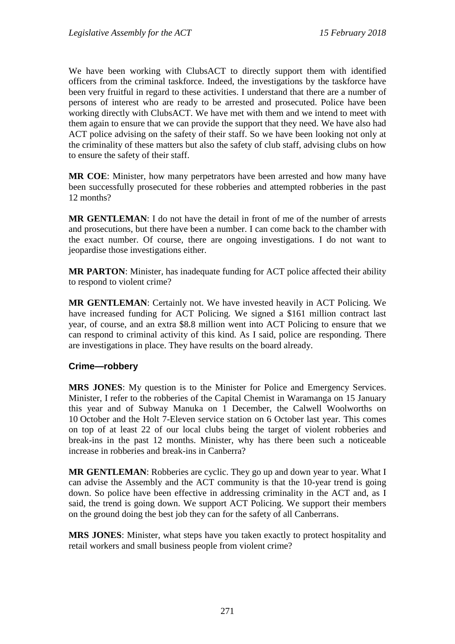We have been working with ClubsACT to directly support them with identified officers from the criminal taskforce. Indeed, the investigations by the taskforce have been very fruitful in regard to these activities. I understand that there are a number of persons of interest who are ready to be arrested and prosecuted. Police have been working directly with ClubsACT. We have met with them and we intend to meet with them again to ensure that we can provide the support that they need. We have also had ACT police advising on the safety of their staff. So we have been looking not only at the criminality of these matters but also the safety of club staff, advising clubs on how to ensure the safety of their staff.

**MR COE**: Minister, how many perpetrators have been arrested and how many have been successfully prosecuted for these robberies and attempted robberies in the past 12 months?

**MR GENTLEMAN**: I do not have the detail in front of me of the number of arrests and prosecutions, but there have been a number. I can come back to the chamber with the exact number. Of course, there are ongoing investigations. I do not want to jeopardise those investigations either.

**MR PARTON**: Minister, has inadequate funding for ACT police affected their ability to respond to violent crime?

**MR GENTLEMAN**: Certainly not. We have invested heavily in ACT Policing. We have increased funding for ACT Policing. We signed a \$161 million contract last year, of course, and an extra \$8.8 million went into ACT Policing to ensure that we can respond to criminal activity of this kind. As I said, police are responding. There are investigations in place. They have results on the board already.

#### **Crime—robbery**

**MRS JONES**: My question is to the Minister for Police and Emergency Services. Minister, I refer to the robberies of the Capital Chemist in Waramanga on 15 January this year and of Subway Manuka on 1 December, the Calwell Woolworths on 10 October and the Holt 7-Eleven service station on 6 October last year. This comes on top of at least 22 of our local clubs being the target of violent robberies and break-ins in the past 12 months. Minister, why has there been such a noticeable increase in robberies and break-ins in Canberra?

**MR GENTLEMAN:** Robberies are cyclic. They go up and down year to year. What I can advise the Assembly and the ACT community is that the 10-year trend is going down. So police have been effective in addressing criminality in the ACT and, as I said, the trend is going down. We support ACT Policing. We support their members on the ground doing the best job they can for the safety of all Canberrans.

**MRS JONES**: Minister, what steps have you taken exactly to protect hospitality and retail workers and small business people from violent crime?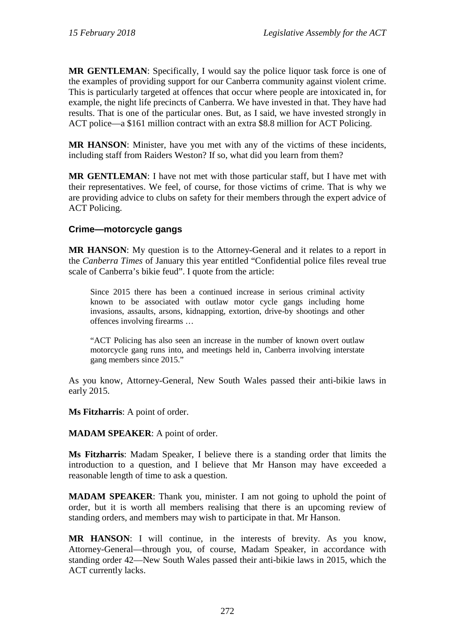**MR GENTLEMAN**: Specifically, I would say the police liquor task force is one of the examples of providing support for our Canberra community against violent crime. This is particularly targeted at offences that occur where people are intoxicated in, for example, the night life precincts of Canberra. We have invested in that. They have had results. That is one of the particular ones. But, as I said, we have invested strongly in ACT police—a \$161 million contract with an extra \$8.8 million for ACT Policing.

**MR HANSON**: Minister, have you met with any of the victims of these incidents, including staff from Raiders Weston? If so, what did you learn from them?

**MR GENTLEMAN**: I have not met with those particular staff, but I have met with their representatives. We feel, of course, for those victims of crime. That is why we are providing advice to clubs on safety for their members through the expert advice of ACT Policing.

### **Crime—motorcycle gangs**

**MR HANSON**: My question is to the Attorney-General and it relates to a report in the *Canberra Times* of January this year entitled "Confidential police files reveal true scale of Canberra's bikie feud". I quote from the article:

Since 2015 there has been a continued increase in serious criminal activity known to be associated with outlaw motor cycle gangs including home invasions, assaults, arsons, kidnapping, extortion, drive-by shootings and other offences involving firearms …

"ACT Policing has also seen an increase in the number of known overt outlaw motorcycle gang runs into, and meetings held in, Canberra involving interstate gang members since 2015."

As you know, Attorney-General, New South Wales passed their anti-bikie laws in early 2015.

**Ms Fitzharris**: A point of order.

#### **MADAM SPEAKER**: A point of order.

**Ms Fitzharris**: Madam Speaker, I believe there is a standing order that limits the introduction to a question, and I believe that Mr Hanson may have exceeded a reasonable length of time to ask a question.

**MADAM SPEAKER**: Thank you, minister. I am not going to uphold the point of order, but it is worth all members realising that there is an upcoming review of standing orders, and members may wish to participate in that. Mr Hanson.

**MR HANSON**: I will continue, in the interests of brevity. As you know, Attorney-General—through you, of course, Madam Speaker, in accordance with standing order 42—New South Wales passed their anti-bikie laws in 2015, which the ACT currently lacks.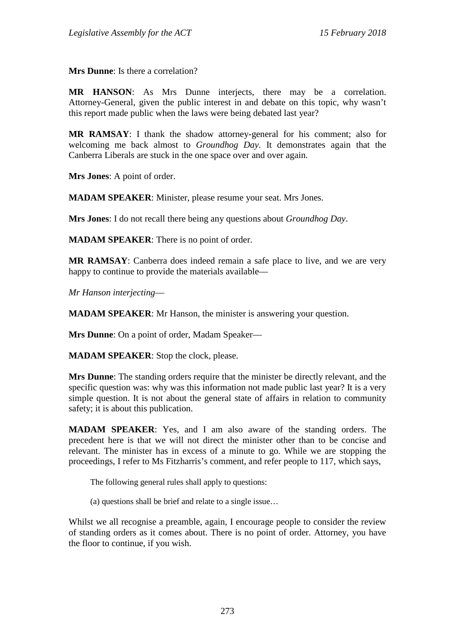**Mrs Dunne**: Is there a correlation?

**MR HANSON**: As Mrs Dunne interjects, there may be a correlation. Attorney-General, given the public interest in and debate on this topic, why wasn't this report made public when the laws were being debated last year?

**MR RAMSAY**: I thank the shadow attorney-general for his comment; also for welcoming me back almost to *Groundhog Day*. It demonstrates again that the Canberra Liberals are stuck in the one space over and over again.

**Mrs Jones**: A point of order.

**MADAM SPEAKER**: Minister, please resume your seat. Mrs Jones.

**Mrs Jones**: I do not recall there being any questions about *Groundhog Day*.

**MADAM SPEAKER**: There is no point of order.

**MR RAMSAY**: Canberra does indeed remain a safe place to live, and we are very happy to continue to provide the materials available—

*Mr Hanson interjecting*—

**MADAM SPEAKER**: Mr Hanson, the minister is answering your question.

**Mrs Dunne**: On a point of order, Madam Speaker—

**MADAM SPEAKER**: Stop the clock, please.

**Mrs Dunne**: The standing orders require that the minister be directly relevant, and the specific question was: why was this information not made public last year? It is a very simple question. It is not about the general state of affairs in relation to community safety; it is about this publication.

**MADAM SPEAKER**: Yes, and I am also aware of the standing orders. The precedent here is that we will not direct the minister other than to be concise and relevant. The minister has in excess of a minute to go. While we are stopping the proceedings, I refer to Ms Fitzharris's comment, and refer people to 117, which says,

The following general rules shall apply to questions:

(a) questions shall be brief and relate to a single issue…

Whilst we all recognise a preamble, again, I encourage people to consider the review of standing orders as it comes about. There is no point of order. Attorney, you have the floor to continue, if you wish.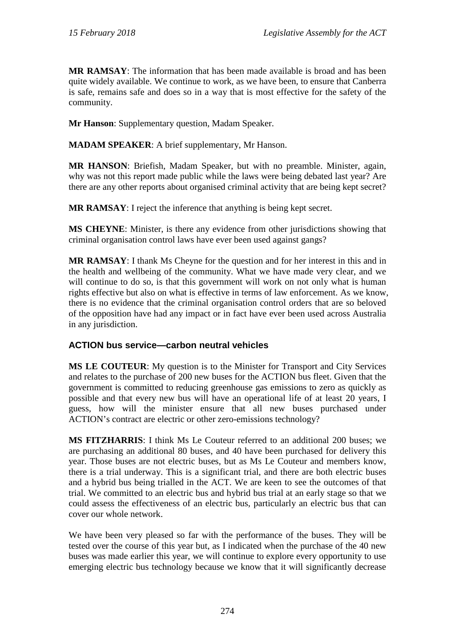**MR RAMSAY**: The information that has been made available is broad and has been quite widely available. We continue to work, as we have been, to ensure that Canberra is safe, remains safe and does so in a way that is most effective for the safety of the community.

**Mr Hanson**: Supplementary question, Madam Speaker.

**MADAM SPEAKER**: A brief supplementary, Mr Hanson.

**MR HANSON**: Briefish, Madam Speaker, but with no preamble. Minister, again, why was not this report made public while the laws were being debated last year? Are there are any other reports about organised criminal activity that are being kept secret?

**MR RAMSAY**: I reject the inference that anything is being kept secret.

**MS CHEYNE**: Minister, is there any evidence from other jurisdictions showing that criminal organisation control laws have ever been used against gangs?

**MR RAMSAY**: I thank Ms Cheyne for the question and for her interest in this and in the health and wellbeing of the community. What we have made very clear, and we will continue to do so, is that this government will work on not only what is human rights effective but also on what is effective in terms of law enforcement. As we know, there is no evidence that the criminal organisation control orders that are so beloved of the opposition have had any impact or in fact have ever been used across Australia in any jurisdiction.

### **ACTION bus service—carbon neutral vehicles**

**MS LE COUTEUR**: My question is to the Minister for Transport and City Services and relates to the purchase of 200 new buses for the ACTION bus fleet. Given that the government is committed to reducing greenhouse gas emissions to zero as quickly as possible and that every new bus will have an operational life of at least 20 years, I guess, how will the minister ensure that all new buses purchased under ACTION's contract are electric or other zero-emissions technology?

**MS FITZHARRIS**: I think Ms Le Couteur referred to an additional 200 buses; we are purchasing an additional 80 buses, and 40 have been purchased for delivery this year. Those buses are not electric buses, but as Ms Le Couteur and members know, there is a trial underway. This is a significant trial, and there are both electric buses and a hybrid bus being trialled in the ACT. We are keen to see the outcomes of that trial. We committed to an electric bus and hybrid bus trial at an early stage so that we could assess the effectiveness of an electric bus, particularly an electric bus that can cover our whole network.

We have been very pleased so far with the performance of the buses. They will be tested over the course of this year but, as I indicated when the purchase of the 40 new buses was made earlier this year, we will continue to explore every opportunity to use emerging electric bus technology because we know that it will significantly decrease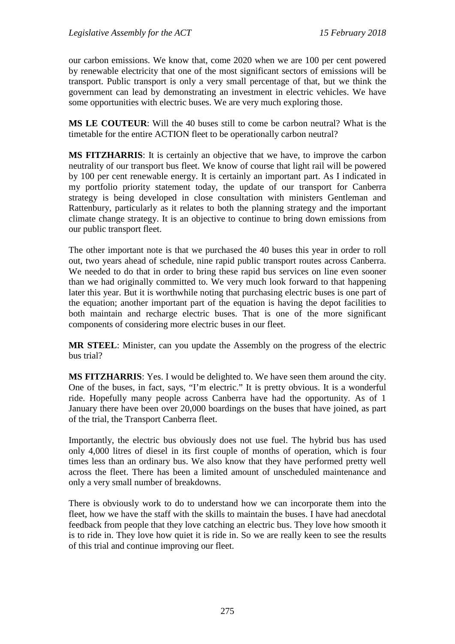our carbon emissions. We know that, come 2020 when we are 100 per cent powered by renewable electricity that one of the most significant sectors of emissions will be transport. Public transport is only a very small percentage of that, but we think the government can lead by demonstrating an investment in electric vehicles. We have some opportunities with electric buses. We are very much exploring those.

**MS LE COUTEUR**: Will the 40 buses still to come be carbon neutral? What is the timetable for the entire ACTION fleet to be operationally carbon neutral?

**MS FITZHARRIS**: It is certainly an objective that we have, to improve the carbon neutrality of our transport bus fleet. We know of course that light rail will be powered by 100 per cent renewable energy. It is certainly an important part. As I indicated in my portfolio priority statement today, the update of our transport for Canberra strategy is being developed in close consultation with ministers Gentleman and Rattenbury, particularly as it relates to both the planning strategy and the important climate change strategy. It is an objective to continue to bring down emissions from our public transport fleet.

The other important note is that we purchased the 40 buses this year in order to roll out, two years ahead of schedule, nine rapid public transport routes across Canberra. We needed to do that in order to bring these rapid bus services on line even sooner than we had originally committed to. We very much look forward to that happening later this year. But it is worthwhile noting that purchasing electric buses is one part of the equation; another important part of the equation is having the depot facilities to both maintain and recharge electric buses. That is one of the more significant components of considering more electric buses in our fleet.

**MR STEEL**: Minister, can you update the Assembly on the progress of the electric bus trial?

**MS FITZHARRIS**: Yes. I would be delighted to. We have seen them around the city. One of the buses, in fact, says, "I'm electric." It is pretty obvious. It is a wonderful ride. Hopefully many people across Canberra have had the opportunity. As of 1 January there have been over 20,000 boardings on the buses that have joined, as part of the trial, the Transport Canberra fleet.

Importantly, the electric bus obviously does not use fuel. The hybrid bus has used only 4,000 litres of diesel in its first couple of months of operation, which is four times less than an ordinary bus. We also know that they have performed pretty well across the fleet. There has been a limited amount of unscheduled maintenance and only a very small number of breakdowns.

There is obviously work to do to understand how we can incorporate them into the fleet, how we have the staff with the skills to maintain the buses. I have had anecdotal feedback from people that they love catching an electric bus. They love how smooth it is to ride in. They love how quiet it is ride in. So we are really keen to see the results of this trial and continue improving our fleet.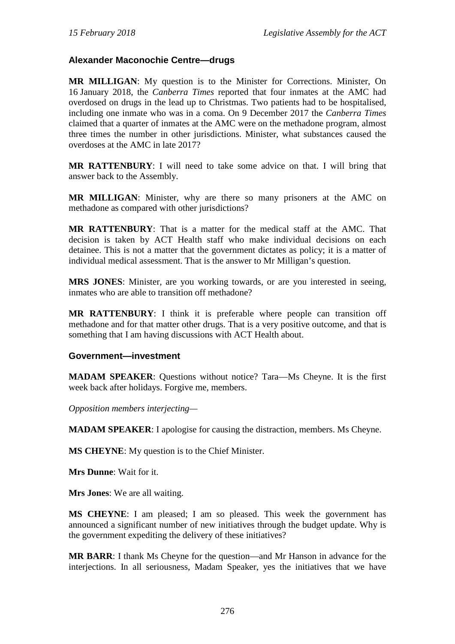### **Alexander Maconochie Centre—drugs**

**MR MILLIGAN**: My question is to the Minister for Corrections. Minister, On 16 January 2018, the *Canberra Times* reported that four inmates at the AMC had overdosed on drugs in the lead up to Christmas. Two patients had to be hospitalised, including one inmate who was in a coma. On 9 December 2017 the *Canberra Times* claimed that a quarter of inmates at the AMC were on the methadone program, almost three times the number in other jurisdictions. Minister, what substances caused the overdoses at the AMC in late 2017?

**MR RATTENBURY**: I will need to take some advice on that. I will bring that answer back to the Assembly.

**MR MILLIGAN**: Minister, why are there so many prisoners at the AMC on methadone as compared with other jurisdictions?

**MR RATTENBURY**: That is a matter for the medical staff at the AMC. That decision is taken by ACT Health staff who make individual decisions on each detainee. This is not a matter that the government dictates as policy; it is a matter of individual medical assessment. That is the answer to Mr Milligan's question.

**MRS JONES**: Minister, are you working towards, or are you interested in seeing, inmates who are able to transition off methadone?

**MR RATTENBURY**: I think it is preferable where people can transition off methadone and for that matter other drugs. That is a very positive outcome, and that is something that I am having discussions with ACT Health about.

#### **Government—investment**

**MADAM SPEAKER**: Questions without notice? Tara—Ms Cheyne. It is the first week back after holidays. Forgive me, members.

*Opposition members interjecting—*

**MADAM SPEAKER**: I apologise for causing the distraction, members. Ms Cheyne.

**MS CHEYNE**: My question is to the Chief Minister.

**Mrs Dunne**: Wait for it.

**Mrs Jones**: We are all waiting.

**MS CHEYNE**: I am pleased; I am so pleased. This week the government has announced a significant number of new initiatives through the budget update. Why is the government expediting the delivery of these initiatives?

**MR BARR**: I thank Ms Cheyne for the question—and Mr Hanson in advance for the interjections. In all seriousness, Madam Speaker, yes the initiatives that we have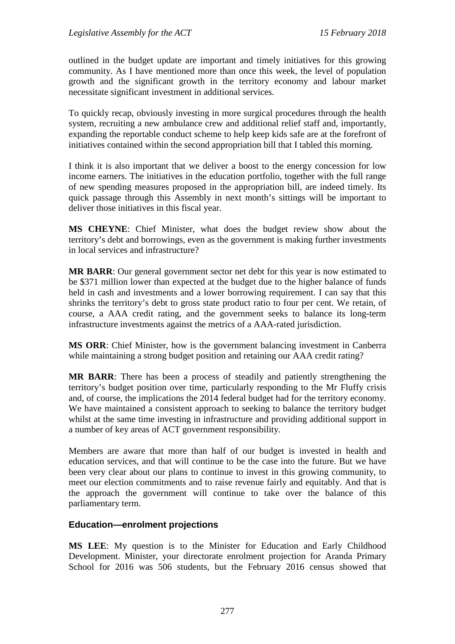outlined in the budget update are important and timely initiatives for this growing community. As I have mentioned more than once this week, the level of population growth and the significant growth in the territory economy and labour market necessitate significant investment in additional services.

To quickly recap, obviously investing in more surgical procedures through the health system, recruiting a new ambulance crew and additional relief staff and, importantly, expanding the reportable conduct scheme to help keep kids safe are at the forefront of initiatives contained within the second appropriation bill that I tabled this morning.

I think it is also important that we deliver a boost to the energy concession for low income earners. The initiatives in the education portfolio, together with the full range of new spending measures proposed in the appropriation bill, are indeed timely. Its quick passage through this Assembly in next month's sittings will be important to deliver those initiatives in this fiscal year.

**MS CHEYNE**: Chief Minister, what does the budget review show about the territory's debt and borrowings, even as the government is making further investments in local services and infrastructure?

**MR BARR**: Our general government sector net debt for this year is now estimated to be \$371 million lower than expected at the budget due to the higher balance of funds held in cash and investments and a lower borrowing requirement. I can say that this shrinks the territory's debt to gross state product ratio to four per cent. We retain, of course, a AAA credit rating, and the government seeks to balance its long-term infrastructure investments against the metrics of a AAA-rated jurisdiction.

**MS ORR**: Chief Minister, how is the government balancing investment in Canberra while maintaining a strong budget position and retaining our AAA credit rating?

**MR BARR**: There has been a process of steadily and patiently strengthening the territory's budget position over time, particularly responding to the Mr Fluffy crisis and, of course, the implications the 2014 federal budget had for the territory economy. We have maintained a consistent approach to seeking to balance the territory budget whilst at the same time investing in infrastructure and providing additional support in a number of key areas of ACT government responsibility.

Members are aware that more than half of our budget is invested in health and education services, and that will continue to be the case into the future. But we have been very clear about our plans to continue to invest in this growing community, to meet our election commitments and to raise revenue fairly and equitably. And that is the approach the government will continue to take over the balance of this parliamentary term.

#### **Education—enrolment projections**

**MS LEE**: My question is to the Minister for Education and Early Childhood Development. Minister, your directorate enrolment projection for Aranda Primary School for 2016 was 506 students, but the February 2016 census showed that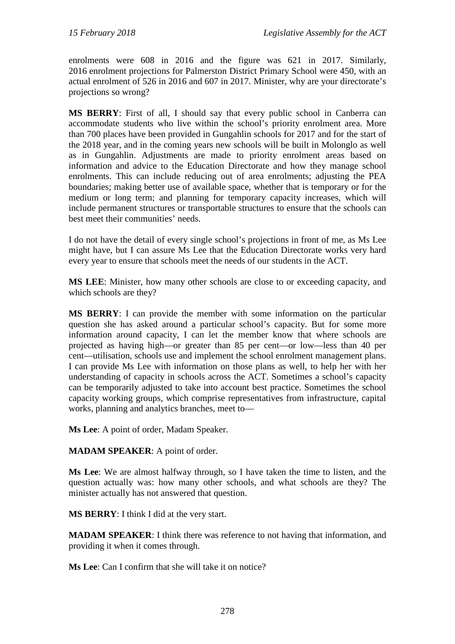enrolments were 608 in 2016 and the figure was 621 in 2017. Similarly, 2016 enrolment projections for Palmerston District Primary School were 450, with an actual enrolment of 526 in 2016 and 607 in 2017. Minister, why are your directorate's projections so wrong?

**MS BERRY**: First of all, I should say that every public school in Canberra can accommodate students who live within the school's priority enrolment area. More than 700 places have been provided in Gungahlin schools for 2017 and for the start of the 2018 year, and in the coming years new schools will be built in Molonglo as well as in Gungahlin. Adjustments are made to priority enrolment areas based on information and advice to the Education Directorate and how they manage school enrolments. This can include reducing out of area enrolments; adjusting the PEA boundaries; making better use of available space, whether that is temporary or for the medium or long term; and planning for temporary capacity increases, which will include permanent structures or transportable structures to ensure that the schools can best meet their communities' needs.

I do not have the detail of every single school's projections in front of me, as Ms Lee might have, but I can assure Ms Lee that the Education Directorate works very hard every year to ensure that schools meet the needs of our students in the ACT.

**MS LEE**: Minister, how many other schools are close to or exceeding capacity, and which schools are they?

**MS BERRY**: I can provide the member with some information on the particular question she has asked around a particular school's capacity. But for some more information around capacity, I can let the member know that where schools are projected as having high—or greater than 85 per cent—or low—less than 40 per cent—utilisation, schools use and implement the school enrolment management plans. I can provide Ms Lee with information on those plans as well, to help her with her understanding of capacity in schools across the ACT. Sometimes a school's capacity can be temporarily adjusted to take into account best practice. Sometimes the school capacity working groups, which comprise representatives from infrastructure, capital works, planning and analytics branches, meet to—

**Ms Lee**: A point of order, Madam Speaker.

**MADAM SPEAKER**: A point of order.

**Ms Lee**: We are almost halfway through, so I have taken the time to listen, and the question actually was: how many other schools, and what schools are they? The minister actually has not answered that question.

**MS BERRY**: I think I did at the very start.

**MADAM SPEAKER**: I think there was reference to not having that information, and providing it when it comes through.

**Ms Lee**: Can I confirm that she will take it on notice?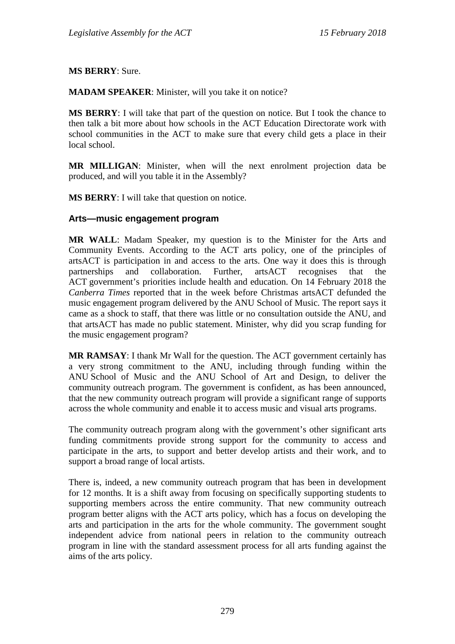**MS BERRY**: Sure.

**MADAM SPEAKER**: Minister, will you take it on notice?

**MS BERRY**: I will take that part of the question on notice. But I took the chance to then talk a bit more about how schools in the ACT Education Directorate work with school communities in the ACT to make sure that every child gets a place in their local school.

**MR MILLIGAN**: Minister, when will the next enrolment projection data be produced, and will you table it in the Assembly?

**MS BERRY**: I will take that question on notice.

#### **Arts—music engagement program**

**MR WALL**: Madam Speaker, my question is to the Minister for the Arts and Community Events. According to the ACT arts policy, one of the principles of artsACT is participation in and access to the arts. One way it does this is through partnerships and collaboration. Further, artsACT recognises that the ACT government's priorities include health and education. On 14 February 2018 the *Canberra Times* reported that in the week before Christmas artsACT defunded the music engagement program delivered by the ANU School of Music. The report says it came as a shock to staff, that there was little or no consultation outside the ANU, and that artsACT has made no public statement. Minister, why did you scrap funding for the music engagement program?

**MR RAMSAY**: I thank Mr Wall for the question. The ACT government certainly has a very strong commitment to the ANU, including through funding within the ANU School of Music and the ANU School of Art and Design, to deliver the community outreach program. The government is confident, as has been announced, that the new community outreach program will provide a significant range of supports across the whole community and enable it to access music and visual arts programs.

The community outreach program along with the government's other significant arts funding commitments provide strong support for the community to access and participate in the arts, to support and better develop artists and their work, and to support a broad range of local artists.

There is, indeed, a new community outreach program that has been in development for 12 months. It is a shift away from focusing on specifically supporting students to supporting members across the entire community. That new community outreach program better aligns with the ACT arts policy, which has a focus on developing the arts and participation in the arts for the whole community. The government sought independent advice from national peers in relation to the community outreach program in line with the standard assessment process for all arts funding against the aims of the arts policy.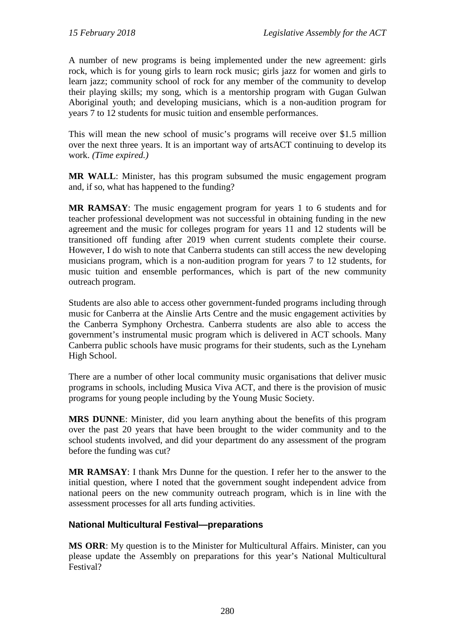A number of new programs is being implemented under the new agreement: girls rock, which is for young girls to learn rock music; girls jazz for women and girls to learn jazz; community school of rock for any member of the community to develop their playing skills; my song, which is a mentorship program with Gugan Gulwan Aboriginal youth; and developing musicians, which is a non-audition program for years 7 to 12 students for music tuition and ensemble performances.

This will mean the new school of music's programs will receive over \$1.5 million over the next three years. It is an important way of artsACT continuing to develop its work. *(Time expired.)*

**MR WALL**: Minister, has this program subsumed the music engagement program and, if so, what has happened to the funding?

**MR RAMSAY**: The music engagement program for years 1 to 6 students and for teacher professional development was not successful in obtaining funding in the new agreement and the music for colleges program for years 11 and 12 students will be transitioned off funding after 2019 when current students complete their course. However, I do wish to note that Canberra students can still access the new developing musicians program, which is a non-audition program for years 7 to 12 students, for music tuition and ensemble performances, which is part of the new community outreach program.

Students are also able to access other government-funded programs including through music for Canberra at the Ainslie Arts Centre and the music engagement activities by the Canberra Symphony Orchestra. Canberra students are also able to access the government's instrumental music program which is delivered in ACT schools. Many Canberra public schools have music programs for their students, such as the Lyneham High School.

There are a number of other local community music organisations that deliver music programs in schools, including Musica Viva ACT, and there is the provision of music programs for young people including by the Young Music Society.

**MRS DUNNE**: Minister, did you learn anything about the benefits of this program over the past 20 years that have been brought to the wider community and to the school students involved, and did your department do any assessment of the program before the funding was cut?

**MR RAMSAY**: I thank Mrs Dunne for the question. I refer her to the answer to the initial question, where I noted that the government sought independent advice from national peers on the new community outreach program, which is in line with the assessment processes for all arts funding activities.

### **National Multicultural Festival—preparations**

**MS ORR**: My question is to the Minister for Multicultural Affairs. Minister, can you please update the Assembly on preparations for this year's National Multicultural Festival?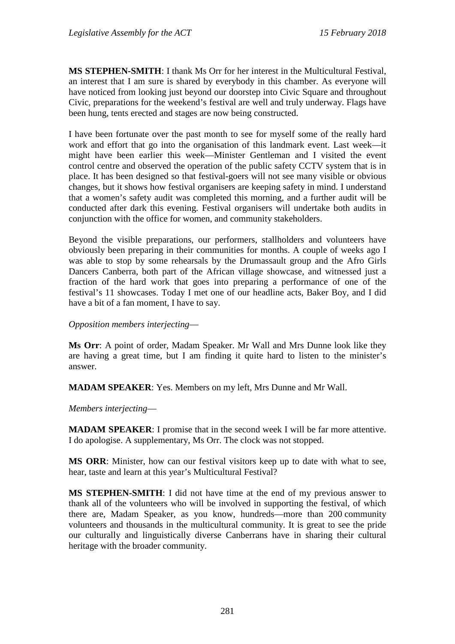**MS STEPHEN-SMITH**: I thank Ms Orr for her interest in the Multicultural Festival, an interest that I am sure is shared by everybody in this chamber. As everyone will have noticed from looking just beyond our doorstep into Civic Square and throughout Civic, preparations for the weekend's festival are well and truly underway. Flags have been hung, tents erected and stages are now being constructed.

I have been fortunate over the past month to see for myself some of the really hard work and effort that go into the organisation of this landmark event. Last week—it might have been earlier this week—Minister Gentleman and I visited the event control centre and observed the operation of the public safety CCTV system that is in place. It has been designed so that festival-goers will not see many visible or obvious changes, but it shows how festival organisers are keeping safety in mind. I understand that a women's safety audit was completed this morning, and a further audit will be conducted after dark this evening. Festival organisers will undertake both audits in conjunction with the office for women, and community stakeholders.

Beyond the visible preparations, our performers, stallholders and volunteers have obviously been preparing in their communities for months. A couple of weeks ago I was able to stop by some rehearsals by the Drumassault group and the Afro Girls Dancers Canberra, both part of the African village showcase, and witnessed just a fraction of the hard work that goes into preparing a performance of one of the festival's 11 showcases. Today I met one of our headline acts, Baker Boy, and I did have a bit of a fan moment, I have to say.

*Opposition members interjecting*—

**Ms Orr**: A point of order, Madam Speaker. Mr Wall and Mrs Dunne look like they are having a great time, but I am finding it quite hard to listen to the minister's answer.

**MADAM SPEAKER**: Yes. Members on my left, Mrs Dunne and Mr Wall.

*Members interjecting*—

**MADAM SPEAKER**: I promise that in the second week I will be far more attentive. I do apologise. A supplementary, Ms Orr. The clock was not stopped.

**MS ORR**: Minister, how can our festival visitors keep up to date with what to see, hear, taste and learn at this year's Multicultural Festival?

**MS STEPHEN-SMITH**: I did not have time at the end of my previous answer to thank all of the volunteers who will be involved in supporting the festival, of which there are, Madam Speaker, as you know, hundreds—more than 200 community volunteers and thousands in the multicultural community. It is great to see the pride our culturally and linguistically diverse Canberrans have in sharing their cultural heritage with the broader community.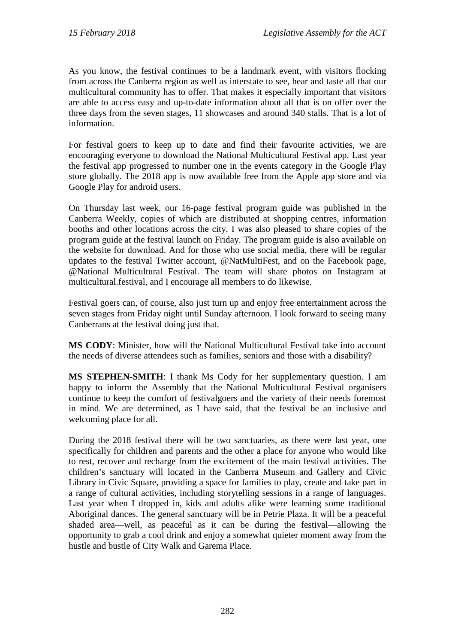As you know, the festival continues to be a landmark event, with visitors flocking from across the Canberra region as well as interstate to see, hear and taste all that our multicultural community has to offer. That makes it especially important that visitors are able to access easy and up-to-date information about all that is on offer over the three days from the seven stages, 11 showcases and around 340 stalls. That is a lot of information.

For festival goers to keep up to date and find their favourite activities, we are encouraging everyone to download the National Multicultural Festival app. Last year the festival app progressed to number one in the events category in the Google Play store globally. The 2018 app is now available free from the Apple app store and via Google Play for android users.

On Thursday last week, our 16-page festival program guide was published in the Canberra Weekly, copies of which are distributed at shopping centres, information booths and other locations across the city. I was also pleased to share copies of the program guide at the festival launch on Friday. The program guide is also available on the website for download. And for those who use social media, there will be regular updates to the festival Twitter account, @NatMultiFest, and on the Facebook page, @National Multicultural Festival. The team will share photos on Instagram at multicultural.festival, and I encourage all members to do likewise.

Festival goers can, of course, also just turn up and enjoy free entertainment across the seven stages from Friday night until Sunday afternoon. I look forward to seeing many Canberrans at the festival doing just that.

**MS CODY**: Minister, how will the National Multicultural Festival take into account the needs of diverse attendees such as families, seniors and those with a disability?

**MS STEPHEN-SMITH**: I thank Ms Cody for her supplementary question. I am happy to inform the Assembly that the National Multicultural Festival organisers continue to keep the comfort of festivalgoers and the variety of their needs foremost in mind. We are determined, as I have said, that the festival be an inclusive and welcoming place for all.

During the 2018 festival there will be two sanctuaries, as there were last year, one specifically for children and parents and the other a place for anyone who would like to rest, recover and recharge from the excitement of the main festival activities. The children's sanctuary will located in the Canberra Museum and Gallery and Civic Library in Civic Square, providing a space for families to play, create and take part in a range of cultural activities, including storytelling sessions in a range of languages. Last year when I dropped in, kids and adults alike were learning some traditional Aboriginal dances. The general sanctuary will be in Petrie Plaza. It will be a peaceful shaded area—well, as peaceful as it can be during the festival—allowing the opportunity to grab a cool drink and enjoy a somewhat quieter moment away from the hustle and bustle of City Walk and Garema Place.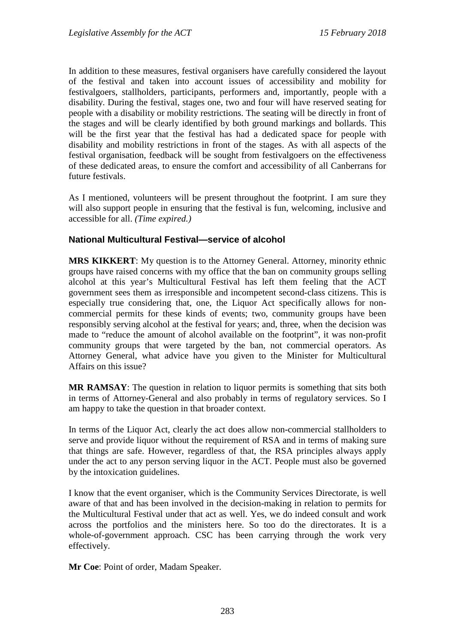In addition to these measures, festival organisers have carefully considered the layout of the festival and taken into account issues of accessibility and mobility for festivalgoers, stallholders, participants, performers and, importantly, people with a disability. During the festival, stages one, two and four will have reserved seating for people with a disability or mobility restrictions. The seating will be directly in front of the stages and will be clearly identified by both ground markings and bollards. This will be the first year that the festival has had a dedicated space for people with disability and mobility restrictions in front of the stages. As with all aspects of the festival organisation, feedback will be sought from festivalgoers on the effectiveness of these dedicated areas, to ensure the comfort and accessibility of all Canberrans for future festivals.

As I mentioned, volunteers will be present throughout the footprint. I am sure they will also support people in ensuring that the festival is fun, welcoming, inclusive and accessible for all. *(Time expired.)*

### **National Multicultural Festival—service of alcohol**

**MRS KIKKERT**: My question is to the Attorney General. Attorney, minority ethnic groups have raised concerns with my office that the ban on community groups selling alcohol at this year's Multicultural Festival has left them feeling that the ACT government sees them as irresponsible and incompetent second-class citizens. This is especially true considering that, one, the Liquor Act specifically allows for noncommercial permits for these kinds of events; two, community groups have been responsibly serving alcohol at the festival for years; and, three, when the decision was made to "reduce the amount of alcohol available on the footprint", it was non-profit community groups that were targeted by the ban, not commercial operators. As Attorney General, what advice have you given to the Minister for Multicultural Affairs on this issue?

**MR RAMSAY**: The question in relation to liquor permits is something that sits both in terms of Attorney-General and also probably in terms of regulatory services. So I am happy to take the question in that broader context.

In terms of the Liquor Act, clearly the act does allow non-commercial stallholders to serve and provide liquor without the requirement of RSA and in terms of making sure that things are safe. However, regardless of that, the RSA principles always apply under the act to any person serving liquor in the ACT. People must also be governed by the intoxication guidelines.

I know that the event organiser, which is the Community Services Directorate, is well aware of that and has been involved in the decision-making in relation to permits for the Multicultural Festival under that act as well. Yes, we do indeed consult and work across the portfolios and the ministers here. So too do the directorates. It is a whole-of-government approach. CSC has been carrying through the work very effectively.

**Mr Coe**: Point of order, Madam Speaker.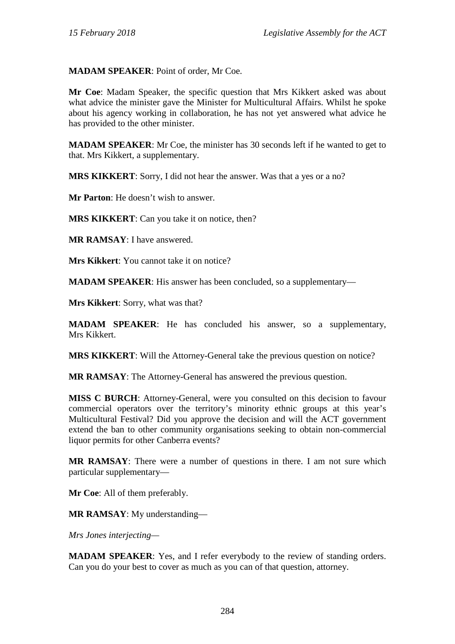### **MADAM SPEAKER**: Point of order, Mr Coe.

**Mr Coe**: Madam Speaker, the specific question that Mrs Kikkert asked was about what advice the minister gave the Minister for Multicultural Affairs. Whilst he spoke about his agency working in collaboration, he has not yet answered what advice he has provided to the other minister.

**MADAM SPEAKER**: Mr Coe, the minister has 30 seconds left if he wanted to get to that. Mrs Kikkert, a supplementary.

**MRS KIKKERT**: Sorry, I did not hear the answer. Was that a yes or a no?

**Mr Parton**: He doesn't wish to answer.

**MRS KIKKERT**: Can you take it on notice, then?

**MR RAMSAY**: I have answered.

**Mrs Kikkert**: You cannot take it on notice?

**MADAM SPEAKER**: His answer has been concluded, so a supplementary—

**Mrs Kikkert**: Sorry, what was that?

**MADAM SPEAKER**: He has concluded his answer, so a supplementary, Mrs Kikkert.

**MRS KIKKERT**: Will the Attorney-General take the previous question on notice?

**MR RAMSAY**: The Attorney-General has answered the previous question.

**MISS C BURCH**: Attorney-General, were you consulted on this decision to favour commercial operators over the territory's minority ethnic groups at this year's Multicultural Festival? Did you approve the decision and will the ACT government extend the ban to other community organisations seeking to obtain non-commercial liquor permits for other Canberra events?

**MR RAMSAY**: There were a number of questions in there. I am not sure which particular supplementary—

**Mr Coe**: All of them preferably.

**MR RAMSAY**: My understanding—

*Mrs Jones interjecting—*

**MADAM SPEAKER**: Yes, and I refer everybody to the review of standing orders. Can you do your best to cover as much as you can of that question, attorney.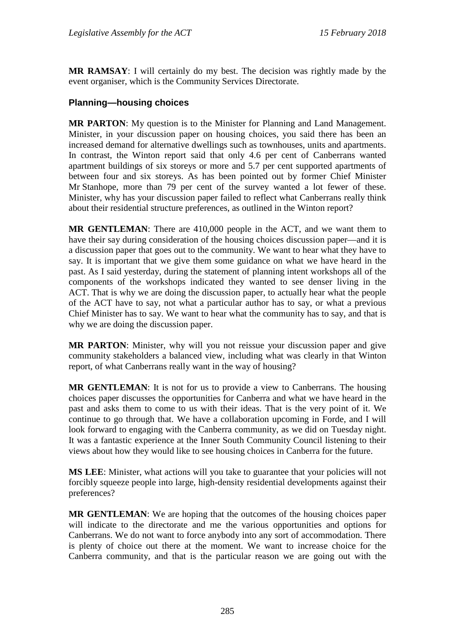**MR RAMSAY**: I will certainly do my best. The decision was rightly made by the event organiser, which is the Community Services Directorate.

### **Planning—housing choices**

**MR PARTON**: My question is to the Minister for Planning and Land Management. Minister, in your discussion paper on housing choices, you said there has been an increased demand for alternative dwellings such as townhouses, units and apartments. In contrast, the Winton report said that only 4.6 per cent of Canberrans wanted apartment buildings of six storeys or more and 5.7 per cent supported apartments of between four and six storeys. As has been pointed out by former Chief Minister Mr Stanhope, more than 79 per cent of the survey wanted a lot fewer of these. Minister, why has your discussion paper failed to reflect what Canberrans really think about their residential structure preferences, as outlined in the Winton report?

**MR GENTLEMAN**: There are 410,000 people in the ACT, and we want them to have their say during consideration of the housing choices discussion paper—and it is a discussion paper that goes out to the community. We want to hear what they have to say. It is important that we give them some guidance on what we have heard in the past. As I said yesterday, during the statement of planning intent workshops all of the components of the workshops indicated they wanted to see denser living in the ACT. That is why we are doing the discussion paper, to actually hear what the people of the ACT have to say, not what a particular author has to say, or what a previous Chief Minister has to say. We want to hear what the community has to say, and that is why we are doing the discussion paper.

**MR PARTON**: Minister, why will you not reissue your discussion paper and give community stakeholders a balanced view, including what was clearly in that Winton report, of what Canberrans really want in the way of housing?

**MR GENTLEMAN**: It is not for us to provide a view to Canberrans. The housing choices paper discusses the opportunities for Canberra and what we have heard in the past and asks them to come to us with their ideas. That is the very point of it. We continue to go through that. We have a collaboration upcoming in Forde, and I will look forward to engaging with the Canberra community, as we did on Tuesday night. It was a fantastic experience at the Inner South Community Council listening to their views about how they would like to see housing choices in Canberra for the future.

**MS LEE**: Minister, what actions will you take to guarantee that your policies will not forcibly squeeze people into large, high-density residential developments against their preferences?

**MR GENTLEMAN**: We are hoping that the outcomes of the housing choices paper will indicate to the directorate and me the various opportunities and options for Canberrans. We do not want to force anybody into any sort of accommodation. There is plenty of choice out there at the moment. We want to increase choice for the Canberra community, and that is the particular reason we are going out with the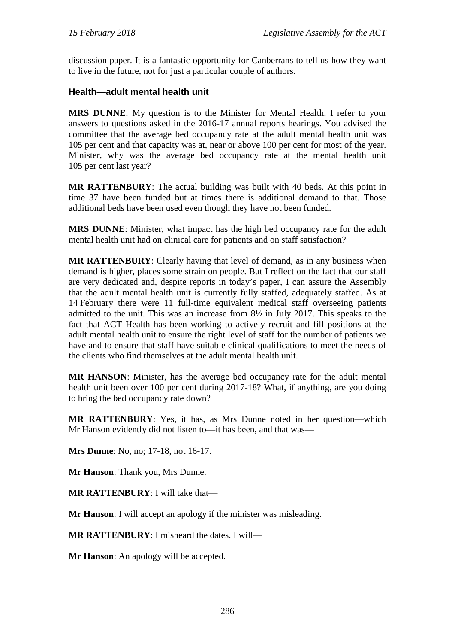discussion paper. It is a fantastic opportunity for Canberrans to tell us how they want to live in the future, not for just a particular couple of authors.

### **Health—adult mental health unit**

**MRS DUNNE**: My question is to the Minister for Mental Health. I refer to your answers to questions asked in the 2016-17 annual reports hearings. You advised the committee that the average bed occupancy rate at the adult mental health unit was 105 per cent and that capacity was at, near or above 100 per cent for most of the year. Minister, why was the average bed occupancy rate at the mental health unit 105 per cent last year?

**MR RATTENBURY**: The actual building was built with 40 beds. At this point in time 37 have been funded but at times there is additional demand to that. Those additional beds have been used even though they have not been funded.

**MRS DUNNE**: Minister, what impact has the high bed occupancy rate for the adult mental health unit had on clinical care for patients and on staff satisfaction?

**MR RATTENBURY**: Clearly having that level of demand, as in any business when demand is higher, places some strain on people. But I reflect on the fact that our staff are very dedicated and, despite reports in today's paper, I can assure the Assembly that the adult mental health unit is currently fully staffed, adequately staffed. As at 14 February there were 11 full-time equivalent medical staff overseeing patients admitted to the unit. This was an increase from 8½ in July 2017. This speaks to the fact that ACT Health has been working to actively recruit and fill positions at the adult mental health unit to ensure the right level of staff for the number of patients we have and to ensure that staff have suitable clinical qualifications to meet the needs of the clients who find themselves at the adult mental health unit.

**MR HANSON**: Minister, has the average bed occupancy rate for the adult mental health unit been over 100 per cent during 2017-18? What, if anything, are you doing to bring the bed occupancy rate down?

**MR RATTENBURY**: Yes, it has, as Mrs Dunne noted in her question—which Mr Hanson evidently did not listen to—it has been, and that was—

**Mrs Dunne**: No, no; 17-18, not 16-17.

**Mr Hanson**: Thank you, Mrs Dunne.

**MR RATTENBURY**: I will take that—

**Mr Hanson**: I will accept an apology if the minister was misleading.

**MR RATTENBURY**: I misheard the dates. I will—

**Mr Hanson**: An apology will be accepted.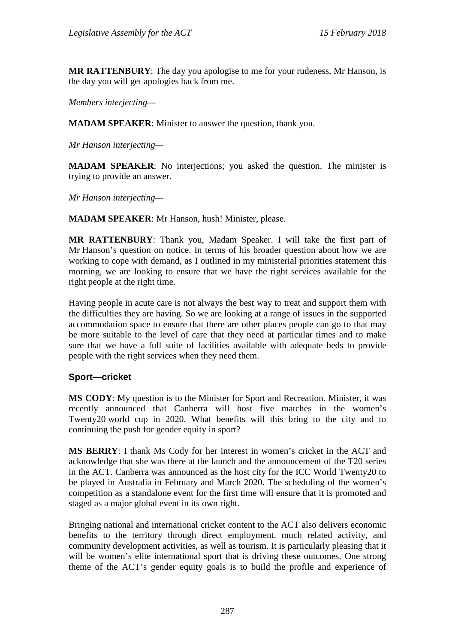**MR RATTENBURY**: The day you apologise to me for your rudeness, Mr Hanson, is the day you will get apologies back from me.

*Members interjecting—*

**MADAM SPEAKER**: Minister to answer the question, thank you.

*Mr Hanson interjecting—*

**MADAM SPEAKER**: No interjections; you asked the question. The minister is trying to provide an answer.

*Mr Hanson interjecting—*

**MADAM SPEAKER**: Mr Hanson, hush! Minister, please.

**MR RATTENBURY**: Thank you, Madam Speaker. I will take the first part of Mr Hanson's question on notice. In terms of his broader question about how we are working to cope with demand, as I outlined in my ministerial priorities statement this morning, we are looking to ensure that we have the right services available for the right people at the right time.

Having people in acute care is not always the best way to treat and support them with the difficulties they are having. So we are looking at a range of issues in the supported accommodation space to ensure that there are other places people can go to that may be more suitable to the level of care that they need at particular times and to make sure that we have a full suite of facilities available with adequate beds to provide people with the right services when they need them.

#### **Sport—cricket**

**MS CODY**: My question is to the Minister for Sport and Recreation. Minister, it was recently announced that Canberra will host five matches in the women's Twenty20 world cup in 2020. What benefits will this bring to the city and to continuing the push for gender equity in sport?

**MS BERRY**: I thank Ms Cody for her interest in women's cricket in the ACT and acknowledge that she was there at the launch and the announcement of the T20 series in the ACT. Canberra was announced as the host city for the ICC World Twenty20 to be played in Australia in February and March 2020. The scheduling of the women's competition as a standalone event for the first time will ensure that it is promoted and staged as a major global event in its own right.

Bringing national and international cricket content to the ACT also delivers economic benefits to the territory through direct employment, much related activity, and community development activities, as well as tourism. It is particularly pleasing that it will be women's elite international sport that is driving these outcomes. One strong theme of the ACT's gender equity goals is to build the profile and experience of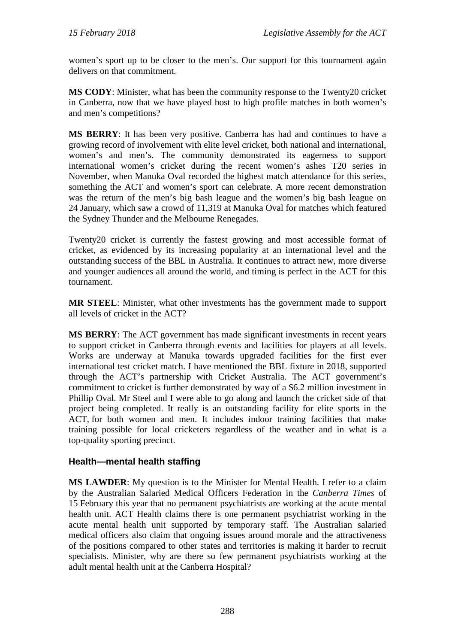women's sport up to be closer to the men's. Our support for this tournament again delivers on that commitment.

**MS CODY**: Minister, what has been the community response to the Twenty20 cricket in Canberra, now that we have played host to high profile matches in both women's and men's competitions?

**MS BERRY**: It has been very positive. Canberra has had and continues to have a growing record of involvement with elite level cricket, both national and international, women's and men's. The community demonstrated its eagerness to support international women's cricket during the recent women's ashes T20 series in November, when Manuka Oval recorded the highest match attendance for this series, something the ACT and women's sport can celebrate. A more recent demonstration was the return of the men's big bash league and the women's big bash league on 24 January, which saw a crowd of 11,319 at Manuka Oval for matches which featured the Sydney Thunder and the Melbourne Renegades.

Twenty20 cricket is currently the fastest growing and most accessible format of cricket, as evidenced by its increasing popularity at an international level and the outstanding success of the BBL in Australia. It continues to attract new, more diverse and younger audiences all around the world, and timing is perfect in the ACT for this tournament.

**MR STEEL**: Minister, what other investments has the government made to support all levels of cricket in the ACT?

**MS BERRY**: The ACT government has made significant investments in recent years to support cricket in Canberra through events and facilities for players at all levels. Works are underway at Manuka towards upgraded facilities for the first ever international test cricket match. I have mentioned the BBL fixture in 2018, supported through the ACT's partnership with Cricket Australia. The ACT government's commitment to cricket is further demonstrated by way of a \$6.2 million investment in Phillip Oval. Mr Steel and I were able to go along and launch the cricket side of that project being completed. It really is an outstanding facility for elite sports in the ACT, for both women and men. It includes indoor training facilities that make training possible for local cricketers regardless of the weather and in what is a top-quality sporting precinct.

#### **Health—mental health staffing**

**MS LAWDER**: My question is to the Minister for Mental Health. I refer to a claim by the Australian Salaried Medical Officers Federation in the *Canberra Times* of 15 February this year that no permanent psychiatrists are working at the acute mental health unit. ACT Health claims there is one permanent psychiatrist working in the acute mental health unit supported by temporary staff. The Australian salaried medical officers also claim that ongoing issues around morale and the attractiveness of the positions compared to other states and territories is making it harder to recruit specialists. Minister, why are there so few permanent psychiatrists working at the adult mental health unit at the Canberra Hospital?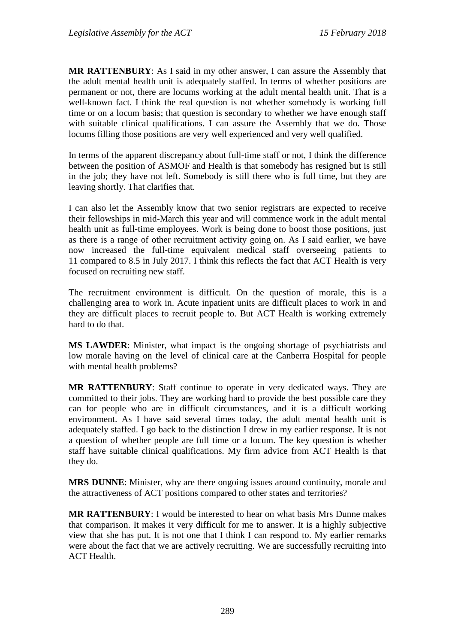**MR RATTENBURY**: As I said in my other answer, I can assure the Assembly that the adult mental health unit is adequately staffed. In terms of whether positions are permanent or not, there are locums working at the adult mental health unit. That is a well-known fact. I think the real question is not whether somebody is working full time or on a locum basis; that question is secondary to whether we have enough staff with suitable clinical qualifications. I can assure the Assembly that we do. Those locums filling those positions are very well experienced and very well qualified.

In terms of the apparent discrepancy about full-time staff or not, I think the difference between the position of ASMOF and Health is that somebody has resigned but is still in the job; they have not left. Somebody is still there who is full time, but they are leaving shortly. That clarifies that.

I can also let the Assembly know that two senior registrars are expected to receive their fellowships in mid-March this year and will commence work in the adult mental health unit as full-time employees. Work is being done to boost those positions, just as there is a range of other recruitment activity going on. As I said earlier, we have now increased the full-time equivalent medical staff overseeing patients to 11 compared to 8.5 in July 2017. I think this reflects the fact that ACT Health is very focused on recruiting new staff.

The recruitment environment is difficult. On the question of morale, this is a challenging area to work in. Acute inpatient units are difficult places to work in and they are difficult places to recruit people to. But ACT Health is working extremely hard to do that.

**MS LAWDER**: Minister, what impact is the ongoing shortage of psychiatrists and low morale having on the level of clinical care at the Canberra Hospital for people with mental health problems?

**MR RATTENBURY**: Staff continue to operate in very dedicated ways. They are committed to their jobs. They are working hard to provide the best possible care they can for people who are in difficult circumstances, and it is a difficult working environment. As I have said several times today, the adult mental health unit is adequately staffed. I go back to the distinction I drew in my earlier response. It is not a question of whether people are full time or a locum. The key question is whether staff have suitable clinical qualifications. My firm advice from ACT Health is that they do.

**MRS DUNNE**: Minister, why are there ongoing issues around continuity, morale and the attractiveness of ACT positions compared to other states and territories?

**MR RATTENBURY**: I would be interested to hear on what basis Mrs Dunne makes that comparison. It makes it very difficult for me to answer. It is a highly subjective view that she has put. It is not one that I think I can respond to. My earlier remarks were about the fact that we are actively recruiting. We are successfully recruiting into ACT Health.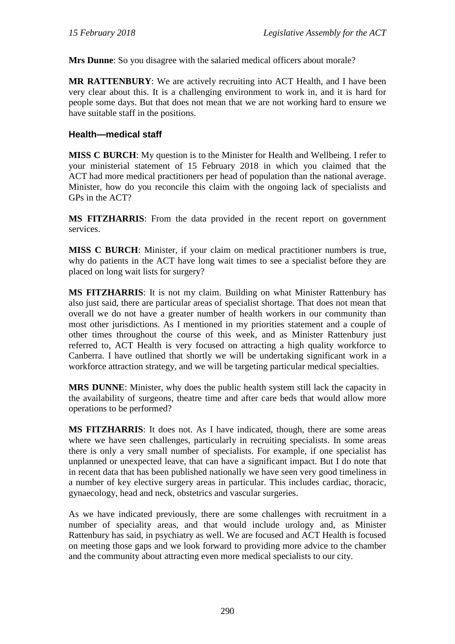**Mrs Dunne**: So you disagree with the salaried medical officers about morale?

**MR RATTENBURY**: We are actively recruiting into ACT Health, and I have been very clear about this. It is a challenging environment to work in, and it is hard for people some days. But that does not mean that we are not working hard to ensure we have suitable staff in the positions.

#### **Health—medical staff**

**MISS C BURCH**: My question is to the Minister for Health and Wellbeing. I refer to your ministerial statement of 15 February 2018 in which you claimed that the ACT had more medical practitioners per head of population than the national average. Minister, how do you reconcile this claim with the ongoing lack of specialists and GPs in the ACT?

**MS FITZHARRIS**: From the data provided in the recent report on government services.

**MISS C BURCH**: Minister, if your claim on medical practitioner numbers is true, why do patients in the ACT have long wait times to see a specialist before they are placed on long wait lists for surgery?

**MS FITZHARRIS**: It is not my claim. Building on what Minister Rattenbury has also just said, there are particular areas of specialist shortage. That does not mean that overall we do not have a greater number of health workers in our community than most other jurisdictions. As I mentioned in my priorities statement and a couple of other times throughout the course of this week, and as Minister Rattenbury just referred to, ACT Health is very focused on attracting a high quality workforce to Canberra. I have outlined that shortly we will be undertaking significant work in a workforce attraction strategy, and we will be targeting particular medical specialties.

**MRS DUNNE**: Minister, why does the public health system still lack the capacity in the availability of surgeons, theatre time and after care beds that would allow more operations to be performed?

**MS FITZHARRIS**: It does not. As I have indicated, though, there are some areas where we have seen challenges, particularly in recruiting specialists. In some areas there is only a very small number of specialists. For example, if one specialist has unplanned or unexpected leave, that can have a significant impact. But I do note that in recent data that has been published nationally we have seen very good timeliness in a number of key elective surgery areas in particular. This includes cardiac, thoracic, gynaecology, head and neck, obstetrics and vascular surgeries.

As we have indicated previously, there are some challenges with recruitment in a number of speciality areas, and that would include urology and, as Minister Rattenbury has said, in psychiatry as well. We are focused and ACT Health is focused on meeting those gaps and we look forward to providing more advice to the chamber and the community about attracting even more medical specialists to our city.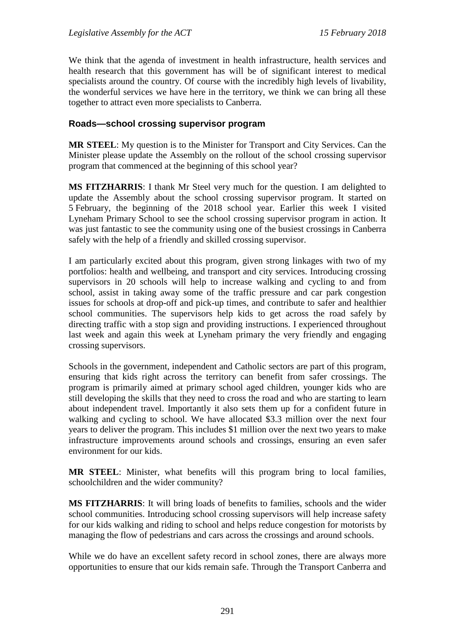We think that the agenda of investment in health infrastructure, health services and health research that this government has will be of significant interest to medical specialists around the country. Of course with the incredibly high levels of livability, the wonderful services we have here in the territory, we think we can bring all these together to attract even more specialists to Canberra.

#### **Roads—school crossing supervisor program**

**MR STEEL**: My question is to the Minister for Transport and City Services. Can the Minister please update the Assembly on the rollout of the school crossing supervisor program that commenced at the beginning of this school year?

**MS FITZHARRIS**: I thank Mr Steel very much for the question. I am delighted to update the Assembly about the school crossing supervisor program. It started on 5 February, the beginning of the 2018 school year. Earlier this week I visited Lyneham Primary School to see the school crossing supervisor program in action. It was just fantastic to see the community using one of the busiest crossings in Canberra safely with the help of a friendly and skilled crossing supervisor.

I am particularly excited about this program, given strong linkages with two of my portfolios: health and wellbeing, and transport and city services. Introducing crossing supervisors in 20 schools will help to increase walking and cycling to and from school, assist in taking away some of the traffic pressure and car park congestion issues for schools at drop-off and pick-up times, and contribute to safer and healthier school communities. The supervisors help kids to get across the road safely by directing traffic with a stop sign and providing instructions. I experienced throughout last week and again this week at Lyneham primary the very friendly and engaging crossing supervisors.

Schools in the government, independent and Catholic sectors are part of this program, ensuring that kids right across the territory can benefit from safer crossings. The program is primarily aimed at primary school aged children, younger kids who are still developing the skills that they need to cross the road and who are starting to learn about independent travel. Importantly it also sets them up for a confident future in walking and cycling to school. We have allocated \$3.3 million over the next four years to deliver the program. This includes \$1 million over the next two years to make infrastructure improvements around schools and crossings, ensuring an even safer environment for our kids.

**MR STEEL**: Minister, what benefits will this program bring to local families, schoolchildren and the wider community?

**MS FITZHARRIS**: It will bring loads of benefits to families, schools and the wider school communities. Introducing school crossing supervisors will help increase safety for our kids walking and riding to school and helps reduce congestion for motorists by managing the flow of pedestrians and cars across the crossings and around schools.

While we do have an excellent safety record in school zones, there are always more opportunities to ensure that our kids remain safe. Through the Transport Canberra and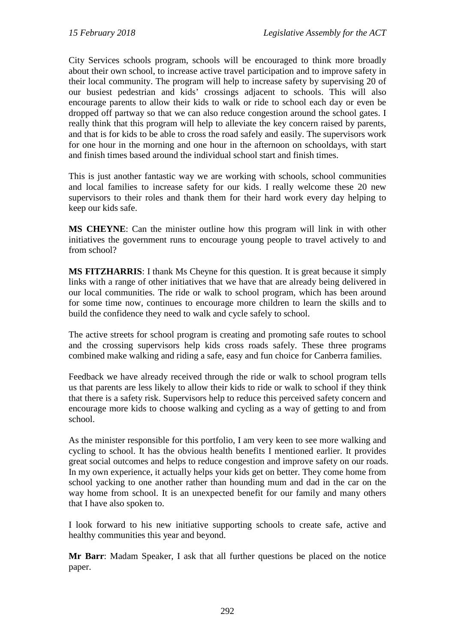City Services schools program, schools will be encouraged to think more broadly about their own school, to increase active travel participation and to improve safety in their local community. The program will help to increase safety by supervising 20 of our busiest pedestrian and kids' crossings adjacent to schools. This will also encourage parents to allow their kids to walk or ride to school each day or even be dropped off partway so that we can also reduce congestion around the school gates. I really think that this program will help to alleviate the key concern raised by parents, and that is for kids to be able to cross the road safely and easily. The supervisors work for one hour in the morning and one hour in the afternoon on schooldays, with start and finish times based around the individual school start and finish times.

This is just another fantastic way we are working with schools, school communities and local families to increase safety for our kids. I really welcome these 20 new supervisors to their roles and thank them for their hard work every day helping to keep our kids safe.

**MS CHEYNE**: Can the minister outline how this program will link in with other initiatives the government runs to encourage young people to travel actively to and from school?

**MS FITZHARRIS**: I thank Ms Cheyne for this question. It is great because it simply links with a range of other initiatives that we have that are already being delivered in our local communities. The ride or walk to school program, which has been around for some time now, continues to encourage more children to learn the skills and to build the confidence they need to walk and cycle safely to school.

The active streets for school program is creating and promoting safe routes to school and the crossing supervisors help kids cross roads safely. These three programs combined make walking and riding a safe, easy and fun choice for Canberra families.

Feedback we have already received through the ride or walk to school program tells us that parents are less likely to allow their kids to ride or walk to school if they think that there is a safety risk. Supervisors help to reduce this perceived safety concern and encourage more kids to choose walking and cycling as a way of getting to and from school.

As the minister responsible for this portfolio, I am very keen to see more walking and cycling to school. It has the obvious health benefits I mentioned earlier. It provides great social outcomes and helps to reduce congestion and improve safety on our roads. In my own experience, it actually helps your kids get on better. They come home from school yacking to one another rather than hounding mum and dad in the car on the way home from school. It is an unexpected benefit for our family and many others that I have also spoken to.

I look forward to his new initiative supporting schools to create safe, active and healthy communities this year and beyond.

**Mr Barr**: Madam Speaker, I ask that all further questions be placed on the notice paper.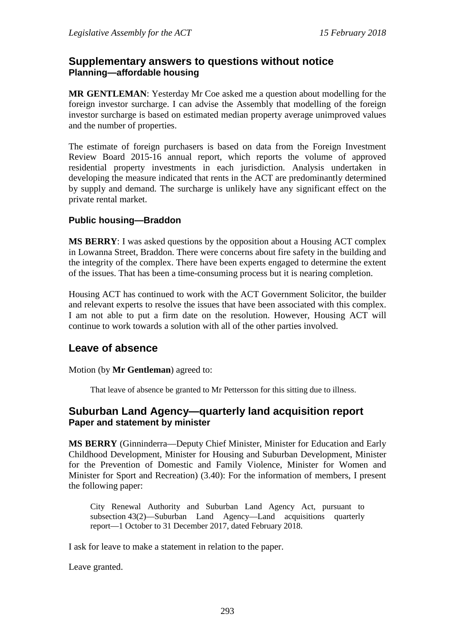# **Supplementary answers to questions without notice Planning—affordable housing**

**MR GENTLEMAN**: Yesterday Mr Coe asked me a question about modelling for the foreign investor surcharge. I can advise the Assembly that modelling of the foreign investor surcharge is based on estimated median property average unimproved values and the number of properties.

The estimate of foreign purchasers is based on data from the Foreign Investment Review Board 2015-16 annual report, which reports the volume of approved residential property investments in each jurisdiction. Analysis undertaken in developing the measure indicated that rents in the ACT are predominantly determined by supply and demand. The surcharge is unlikely have any significant effect on the private rental market.

### **Public housing—Braddon**

**MS BERRY**: I was asked questions by the opposition about a Housing ACT complex in Lowanna Street, Braddon. There were concerns about fire safety in the building and the integrity of the complex. There have been experts engaged to determine the extent of the issues. That has been a time-consuming process but it is nearing completion.

Housing ACT has continued to work with the ACT Government Solicitor, the builder and relevant experts to resolve the issues that have been associated with this complex. I am not able to put a firm date on the resolution. However, Housing ACT will continue to work towards a solution with all of the other parties involved.

### **Leave of absence**

Motion (by **Mr Gentleman**) agreed to:

That leave of absence be granted to Mr Pettersson for this sitting due to illness.

### **Suburban Land Agency—quarterly land acquisition report Paper and statement by minister**

**MS BERRY** (Ginninderra—Deputy Chief Minister, Minister for Education and Early Childhood Development, Minister for Housing and Suburban Development, Minister for the Prevention of Domestic and Family Violence, Minister for Women and Minister for Sport and Recreation) (3.40): For the information of members, I present the following paper:

City Renewal Authority and Suburban Land Agency Act, pursuant to subsection 43(2)—Suburban Land Agency—Land acquisitions quarterly report—1 October to 31 December 2017, dated February 2018.

I ask for leave to make a statement in relation to the paper.

Leave granted.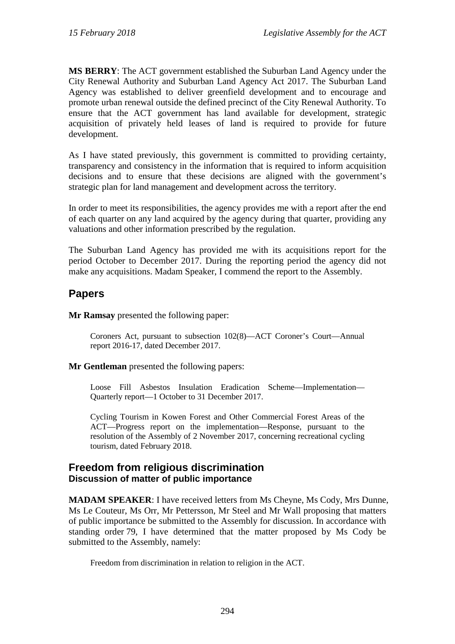**MS BERRY**: The ACT government established the Suburban Land Agency under the City Renewal Authority and Suburban Land Agency Act 2017. The Suburban Land Agency was established to deliver greenfield development and to encourage and promote urban renewal outside the defined precinct of the City Renewal Authority. To ensure that the ACT government has land available for development, strategic acquisition of privately held leases of land is required to provide for future development.

As I have stated previously, this government is committed to providing certainty, transparency and consistency in the information that is required to inform acquisition decisions and to ensure that these decisions are aligned with the government's strategic plan for land management and development across the territory.

In order to meet its responsibilities, the agency provides me with a report after the end of each quarter on any land acquired by the agency during that quarter, providing any valuations and other information prescribed by the regulation.

The Suburban Land Agency has provided me with its acquisitions report for the period October to December 2017. During the reporting period the agency did not make any acquisitions. Madam Speaker, I commend the report to the Assembly.

# **Papers**

**Mr Ramsay** presented the following paper:

Coroners Act, pursuant to subsection 102(8)—ACT Coroner's Court—Annual report 2016-17, dated December 2017.

**Mr Gentleman** presented the following papers:

Loose Fill Asbestos Insulation Eradication Scheme—Implementation— Quarterly report—1 October to 31 December 2017.

Cycling Tourism in Kowen Forest and Other Commercial Forest Areas of the ACT—Progress report on the implementation—Response, pursuant to the resolution of the Assembly of 2 November 2017, concerning recreational cycling tourism, dated February 2018.

## **Freedom from religious discrimination Discussion of matter of public importance**

**MADAM SPEAKER**: I have received letters from Ms Cheyne, Ms Cody, Mrs Dunne, Ms Le Couteur, Ms Orr, Mr Pettersson, Mr Steel and Mr Wall proposing that matters of public importance be submitted to the Assembly for discussion. In accordance with standing order 79, I have determined that the matter proposed by Ms Cody be submitted to the Assembly, namely:

Freedom from discrimination in relation to religion in the ACT.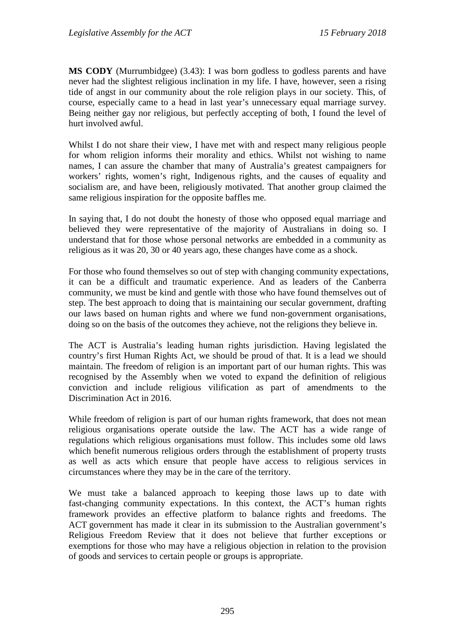**MS CODY** (Murrumbidgee) (3.43): I was born godless to godless parents and have never had the slightest religious inclination in my life. I have, however, seen a rising tide of angst in our community about the role religion plays in our society. This, of course, especially came to a head in last year's unnecessary equal marriage survey. Being neither gay nor religious, but perfectly accepting of both, I found the level of hurt involved awful.

Whilst I do not share their view, I have met with and respect many religious people for whom religion informs their morality and ethics. Whilst not wishing to name names, I can assure the chamber that many of Australia's greatest campaigners for workers' rights, women's right, Indigenous rights, and the causes of equality and socialism are, and have been, religiously motivated. That another group claimed the same religious inspiration for the opposite baffles me.

In saying that, I do not doubt the honesty of those who opposed equal marriage and believed they were representative of the majority of Australians in doing so. I understand that for those whose personal networks are embedded in a community as religious as it was 20, 30 or 40 years ago, these changes have come as a shock.

For those who found themselves so out of step with changing community expectations, it can be a difficult and traumatic experience. And as leaders of the Canberra community, we must be kind and gentle with those who have found themselves out of step. The best approach to doing that is maintaining our secular government, drafting our laws based on human rights and where we fund non-government organisations, doing so on the basis of the outcomes they achieve, not the religions they believe in.

The ACT is Australia's leading human rights jurisdiction. Having legislated the country's first Human Rights Act, we should be proud of that. It is a lead we should maintain. The freedom of religion is an important part of our human rights. This was recognised by the Assembly when we voted to expand the definition of religious conviction and include religious vilification as part of amendments to the Discrimination Act in 2016.

While freedom of religion is part of our human rights framework, that does not mean religious organisations operate outside the law. The ACT has a wide range of regulations which religious organisations must follow. This includes some old laws which benefit numerous religious orders through the establishment of property trusts as well as acts which ensure that people have access to religious services in circumstances where they may be in the care of the territory.

We must take a balanced approach to keeping those laws up to date with fast-changing community expectations. In this context, the ACT's human rights framework provides an effective platform to balance rights and freedoms. The ACT government has made it clear in its submission to the Australian government's Religious Freedom Review that it does not believe that further exceptions or exemptions for those who may have a religious objection in relation to the provision of goods and services to certain people or groups is appropriate.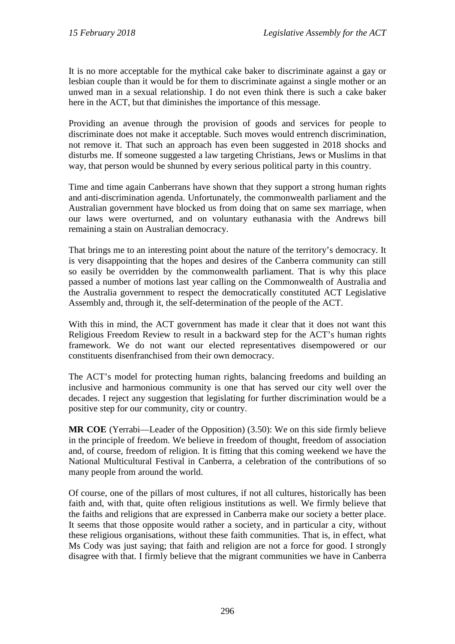It is no more acceptable for the mythical cake baker to discriminate against a gay or lesbian couple than it would be for them to discriminate against a single mother or an unwed man in a sexual relationship. I do not even think there is such a cake baker here in the ACT, but that diminishes the importance of this message.

Providing an avenue through the provision of goods and services for people to discriminate does not make it acceptable. Such moves would entrench discrimination, not remove it. That such an approach has even been suggested in 2018 shocks and disturbs me. If someone suggested a law targeting Christians, Jews or Muslims in that way, that person would be shunned by every serious political party in this country.

Time and time again Canberrans have shown that they support a strong human rights and anti-discrimination agenda. Unfortunately, the commonwealth parliament and the Australian government have blocked us from doing that on same sex marriage, when our laws were overturned, and on voluntary euthanasia with the Andrews bill remaining a stain on Australian democracy.

That brings me to an interesting point about the nature of the territory's democracy. It is very disappointing that the hopes and desires of the Canberra community can still so easily be overridden by the commonwealth parliament. That is why this place passed a number of motions last year calling on the Commonwealth of Australia and the Australia government to respect the democratically constituted ACT Legislative Assembly and, through it, the self-determination of the people of the ACT.

With this in mind, the ACT government has made it clear that it does not want this Religious Freedom Review to result in a backward step for the ACT's human rights framework. We do not want our elected representatives disempowered or our constituents disenfranchised from their own democracy.

The ACT's model for protecting human rights, balancing freedoms and building an inclusive and harmonious community is one that has served our city well over the decades. I reject any suggestion that legislating for further discrimination would be a positive step for our community, city or country.

**MR COE** (Yerrabi—Leader of the Opposition) (3.50): We on this side firmly believe in the principle of freedom. We believe in freedom of thought, freedom of association and, of course, freedom of religion. It is fitting that this coming weekend we have the National Multicultural Festival in Canberra, a celebration of the contributions of so many people from around the world.

Of course, one of the pillars of most cultures, if not all cultures, historically has been faith and, with that, quite often religious institutions as well. We firmly believe that the faiths and religions that are expressed in Canberra make our society a better place. It seems that those opposite would rather a society, and in particular a city, without these religious organisations, without these faith communities. That is, in effect, what Ms Cody was just saying; that faith and religion are not a force for good. I strongly disagree with that. I firmly believe that the migrant communities we have in Canberra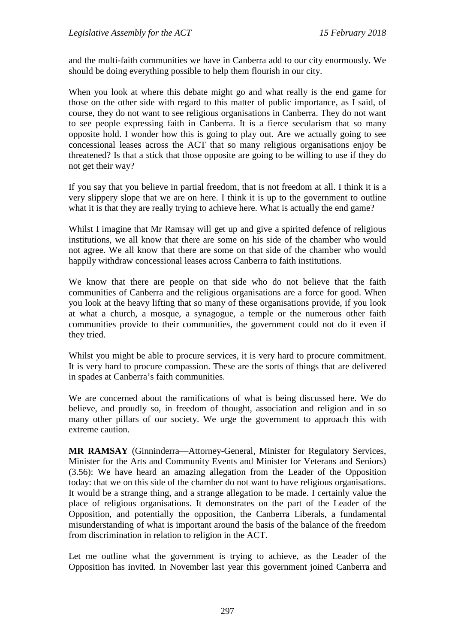and the multi-faith communities we have in Canberra add to our city enormously. We should be doing everything possible to help them flourish in our city.

When you look at where this debate might go and what really is the end game for those on the other side with regard to this matter of public importance, as I said, of course, they do not want to see religious organisations in Canberra. They do not want to see people expressing faith in Canberra. It is a fierce secularism that so many opposite hold. I wonder how this is going to play out. Are we actually going to see concessional leases across the ACT that so many religious organisations enjoy be threatened? Is that a stick that those opposite are going to be willing to use if they do not get their way?

If you say that you believe in partial freedom, that is not freedom at all. I think it is a very slippery slope that we are on here. I think it is up to the government to outline what it is that they are really trying to achieve here. What is actually the end game?

Whilst I imagine that Mr Ramsay will get up and give a spirited defence of religious institutions, we all know that there are some on his side of the chamber who would not agree. We all know that there are some on that side of the chamber who would happily withdraw concessional leases across Canberra to faith institutions.

We know that there are people on that side who do not believe that the faith communities of Canberra and the religious organisations are a force for good. When you look at the heavy lifting that so many of these organisations provide, if you look at what a church, a mosque, a synagogue, a temple or the numerous other faith communities provide to their communities, the government could not do it even if they tried.

Whilst you might be able to procure services, it is very hard to procure commitment. It is very hard to procure compassion. These are the sorts of things that are delivered in spades at Canberra's faith communities.

We are concerned about the ramifications of what is being discussed here. We do believe, and proudly so, in freedom of thought, association and religion and in so many other pillars of our society. We urge the government to approach this with extreme caution.

**MR RAMSAY** (Ginninderra—Attorney-General, Minister for Regulatory Services, Minister for the Arts and Community Events and Minister for Veterans and Seniors) (3.56): We have heard an amazing allegation from the Leader of the Opposition today: that we on this side of the chamber do not want to have religious organisations. It would be a strange thing, and a strange allegation to be made. I certainly value the place of religious organisations. It demonstrates on the part of the Leader of the Opposition, and potentially the opposition, the Canberra Liberals, a fundamental misunderstanding of what is important around the basis of the balance of the freedom from discrimination in relation to religion in the ACT.

Let me outline what the government is trying to achieve, as the Leader of the Opposition has invited. In November last year this government joined Canberra and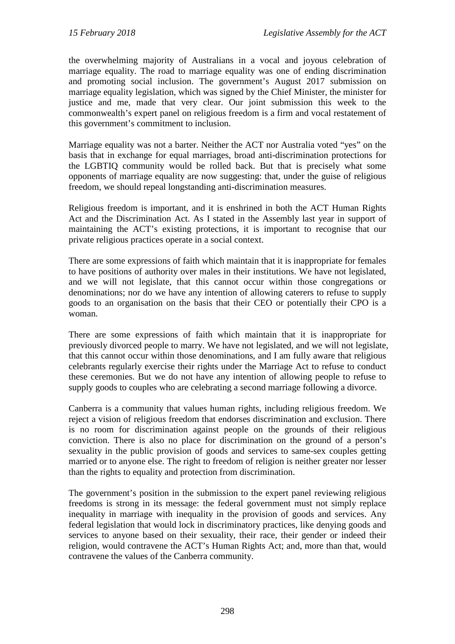the overwhelming majority of Australians in a vocal and joyous celebration of marriage equality. The road to marriage equality was one of ending discrimination and promoting social inclusion. The government's August 2017 submission on marriage equality legislation, which was signed by the Chief Minister, the minister for justice and me, made that very clear. Our joint submission this week to the commonwealth's expert panel on religious freedom is a firm and vocal restatement of this government's commitment to inclusion.

Marriage equality was not a barter. Neither the ACT nor Australia voted "yes" on the basis that in exchange for equal marriages, broad anti-discrimination protections for the LGBTIQ community would be rolled back. But that is precisely what some opponents of marriage equality are now suggesting: that, under the guise of religious freedom, we should repeal longstanding anti-discrimination measures.

Religious freedom is important, and it is enshrined in both the ACT Human Rights Act and the Discrimination Act. As I stated in the Assembly last year in support of maintaining the ACT's existing protections, it is important to recognise that our private religious practices operate in a social context.

There are some expressions of faith which maintain that it is inappropriate for females to have positions of authority over males in their institutions. We have not legislated, and we will not legislate, that this cannot occur within those congregations or denominations; nor do we have any intention of allowing caterers to refuse to supply goods to an organisation on the basis that their CEO or potentially their CPO is a woman.

There are some expressions of faith which maintain that it is inappropriate for previously divorced people to marry. We have not legislated, and we will not legislate, that this cannot occur within those denominations, and I am fully aware that religious celebrants regularly exercise their rights under the Marriage Act to refuse to conduct these ceremonies. But we do not have any intention of allowing people to refuse to supply goods to couples who are celebrating a second marriage following a divorce.

Canberra is a community that values human rights, including religious freedom. We reject a vision of religious freedom that endorses discrimination and exclusion. There is no room for discrimination against people on the grounds of their religious conviction. There is also no place for discrimination on the ground of a person's sexuality in the public provision of goods and services to same-sex couples getting married or to anyone else. The right to freedom of religion is neither greater nor lesser than the rights to equality and protection from discrimination.

The government's position in the submission to the expert panel reviewing religious freedoms is strong in its message: the federal government must not simply replace inequality in marriage with inequality in the provision of goods and services. Any federal legislation that would lock in discriminatory practices, like denying goods and services to anyone based on their sexuality, their race, their gender or indeed their religion, would contravene the ACT's Human Rights Act; and, more than that, would contravene the values of the Canberra community.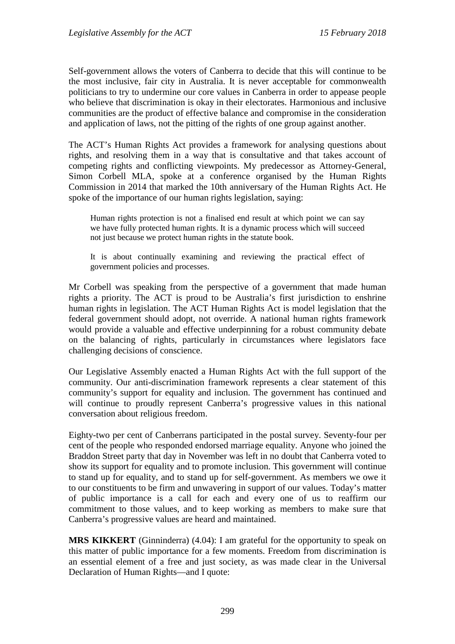Self-government allows the voters of Canberra to decide that this will continue to be the most inclusive, fair city in Australia. It is never acceptable for commonwealth politicians to try to undermine our core values in Canberra in order to appease people who believe that discrimination is okay in their electorates. Harmonious and inclusive communities are the product of effective balance and compromise in the consideration and application of laws, not the pitting of the rights of one group against another.

The ACT's Human Rights Act provides a framework for analysing questions about rights, and resolving them in a way that is consultative and that takes account of competing rights and conflicting viewpoints. My predecessor as Attorney-General, Simon Corbell MLA, spoke at a conference organised by the Human Rights Commission in 2014 that marked the 10th anniversary of the Human Rights Act. He spoke of the importance of our human rights legislation, saying:

Human rights protection is not a finalised end result at which point we can say we have fully protected human rights. It is a dynamic process which will succeed not just because we protect human rights in the statute book.

It is about continually examining and reviewing the practical effect of government policies and processes.

Mr Corbell was speaking from the perspective of a government that made human rights a priority. The ACT is proud to be Australia's first jurisdiction to enshrine human rights in legislation. The ACT Human Rights Act is model legislation that the federal government should adopt, not override. A national human rights framework would provide a valuable and effective underpinning for a robust community debate on the balancing of rights, particularly in circumstances where legislators face challenging decisions of conscience.

Our Legislative Assembly enacted a Human Rights Act with the full support of the community. Our anti-discrimination framework represents a clear statement of this community's support for equality and inclusion. The government has continued and will continue to proudly represent Canberra's progressive values in this national conversation about religious freedom.

Eighty-two per cent of Canberrans participated in the postal survey. Seventy-four per cent of the people who responded endorsed marriage equality. Anyone who joined the Braddon Street party that day in November was left in no doubt that Canberra voted to show its support for equality and to promote inclusion. This government will continue to stand up for equality, and to stand up for self-government. As members we owe it to our constituents to be firm and unwavering in support of our values. Today's matter of public importance is a call for each and every one of us to reaffirm our commitment to those values, and to keep working as members to make sure that Canberra's progressive values are heard and maintained.

**MRS KIKKERT** (Ginninderra) (4.04): I am grateful for the opportunity to speak on this matter of public importance for a few moments. Freedom from discrimination is an essential element of a free and just society, as was made clear in the Universal Declaration of Human Rights—and I quote: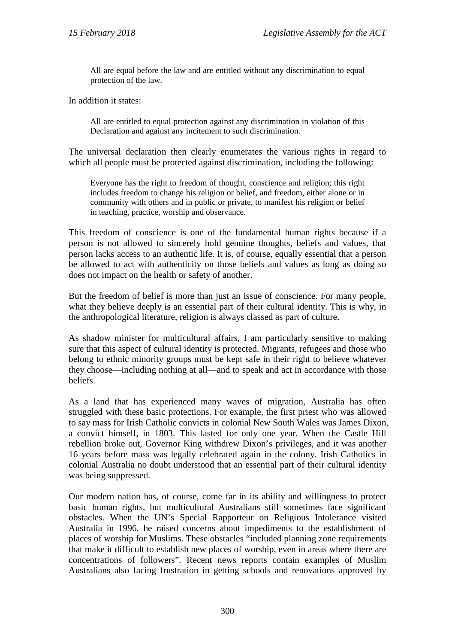All are equal before the law and are entitled without any discrimination to equal protection of the law.

In addition it states:

All are entitled to equal protection against any discrimination in violation of this Declaration and against any incitement to such discrimination.

The universal declaration then clearly enumerates the various rights in regard to which all people must be protected against discrimination, including the following:

Everyone has the right to freedom of thought, conscience and religion; this right includes freedom to change his religion or belief, and freedom, either alone or in community with others and in public or private, to manifest his religion or belief in teaching, practice, worship and observance.

This freedom of conscience is one of the fundamental human rights because if a person is not allowed to sincerely hold genuine thoughts, beliefs and values, that person lacks access to an authentic life. It is, of course, equally essential that a person be allowed to act with authenticity on those beliefs and values as long as doing so does not impact on the health or safety of another.

But the freedom of belief is more than just an issue of conscience. For many people, what they believe deeply is an essential part of their cultural identity. This is why, in the anthropological literature, religion is always classed as part of culture.

As shadow minister for multicultural affairs, I am particularly sensitive to making sure that this aspect of cultural identity is protected. Migrants, refugees and those who belong to ethnic minority groups must be kept safe in their right to believe whatever they choose—including nothing at all—and to speak and act in accordance with those beliefs.

As a land that has experienced many waves of migration, Australia has often struggled with these basic protections. For example, the first priest who was allowed to say mass for Irish Catholic convicts in colonial New South Wales was James Dixon, a convict himself, in 1803. This lasted for only one year. When the Castle Hill rebellion broke out, Governor King withdrew Dixon's privileges, and it was another 16 years before mass was legally celebrated again in the colony. Irish Catholics in colonial Australia no doubt understood that an essential part of their cultural identity was being suppressed.

Our modern nation has, of course, come far in its ability and willingness to protect basic human rights, but multicultural Australians still sometimes face significant obstacles. When the UN's Special Rapporteur on Religious Intolerance visited Australia in 1996, he raised concerns about impediments to the establishment of places of worship for Muslims. These obstacles "included planning zone requirements that make it difficult to establish new places of worship, even in areas where there are concentrations of followers". Recent news reports contain examples of Muslim Australians also facing frustration in getting schools and renovations approved by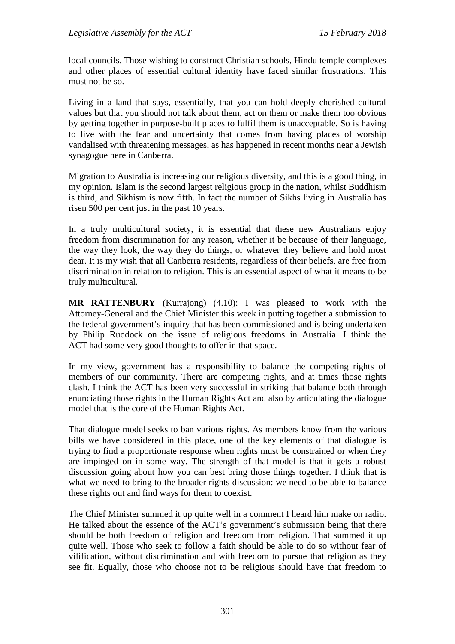local councils. Those wishing to construct Christian schools, Hindu temple complexes and other places of essential cultural identity have faced similar frustrations. This must not be so.

Living in a land that says, essentially, that you can hold deeply cherished cultural values but that you should not talk about them, act on them or make them too obvious by getting together in purpose-built places to fulfil them is unacceptable. So is having to live with the fear and uncertainty that comes from having places of worship vandalised with threatening messages, as has happened in recent months near a Jewish synagogue here in Canberra.

Migration to Australia is increasing our religious diversity, and this is a good thing, in my opinion. Islam is the second largest religious group in the nation, whilst Buddhism is third, and Sikhism is now fifth. In fact the number of Sikhs living in Australia has risen 500 per cent just in the past 10 years.

In a truly multicultural society, it is essential that these new Australians enjoy freedom from discrimination for any reason, whether it be because of their language, the way they look, the way they do things, or whatever they believe and hold most dear. It is my wish that all Canberra residents, regardless of their beliefs, are free from discrimination in relation to religion. This is an essential aspect of what it means to be truly multicultural.

**MR RATTENBURY** (Kurrajong) (4.10): I was pleased to work with the Attorney-General and the Chief Minister this week in putting together a submission to the federal government's inquiry that has been commissioned and is being undertaken by Philip Ruddock on the issue of religious freedoms in Australia. I think the ACT had some very good thoughts to offer in that space.

In my view, government has a responsibility to balance the competing rights of members of our community. There are competing rights, and at times those rights clash. I think the ACT has been very successful in striking that balance both through enunciating those rights in the Human Rights Act and also by articulating the dialogue model that is the core of the Human Rights Act.

That dialogue model seeks to ban various rights. As members know from the various bills we have considered in this place, one of the key elements of that dialogue is trying to find a proportionate response when rights must be constrained or when they are impinged on in some way. The strength of that model is that it gets a robust discussion going about how you can best bring those things together. I think that is what we need to bring to the broader rights discussion: we need to be able to balance these rights out and find ways for them to coexist.

The Chief Minister summed it up quite well in a comment I heard him make on radio. He talked about the essence of the ACT's government's submission being that there should be both freedom of religion and freedom from religion. That summed it up quite well. Those who seek to follow a faith should be able to do so without fear of vilification, without discrimination and with freedom to pursue that religion as they see fit. Equally, those who choose not to be religious should have that freedom to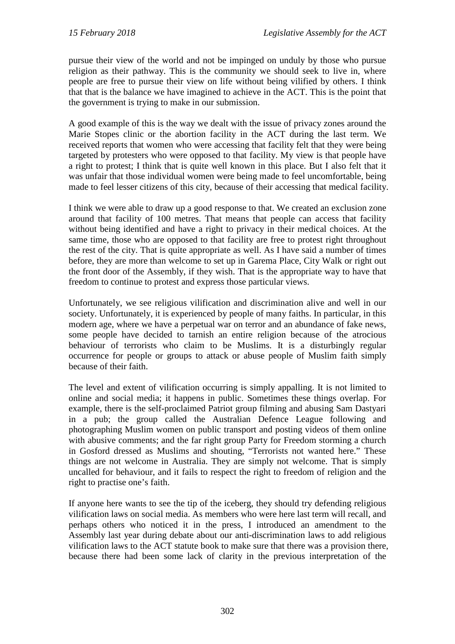pursue their view of the world and not be impinged on unduly by those who pursue religion as their pathway. This is the community we should seek to live in, where people are free to pursue their view on life without being vilified by others. I think that that is the balance we have imagined to achieve in the ACT. This is the point that the government is trying to make in our submission.

A good example of this is the way we dealt with the issue of privacy zones around the Marie Stopes clinic or the abortion facility in the ACT during the last term. We received reports that women who were accessing that facility felt that they were being targeted by protesters who were opposed to that facility. My view is that people have a right to protest; I think that is quite well known in this place. But I also felt that it was unfair that those individual women were being made to feel uncomfortable, being made to feel lesser citizens of this city, because of their accessing that medical facility.

I think we were able to draw up a good response to that. We created an exclusion zone around that facility of 100 metres. That means that people can access that facility without being identified and have a right to privacy in their medical choices. At the same time, those who are opposed to that facility are free to protest right throughout the rest of the city. That is quite appropriate as well. As I have said a number of times before, they are more than welcome to set up in Garema Place, City Walk or right out the front door of the Assembly, if they wish. That is the appropriate way to have that freedom to continue to protest and express those particular views.

Unfortunately, we see religious vilification and discrimination alive and well in our society. Unfortunately, it is experienced by people of many faiths. In particular, in this modern age, where we have a perpetual war on terror and an abundance of fake news, some people have decided to tarnish an entire religion because of the atrocious behaviour of terrorists who claim to be Muslims. It is a disturbingly regular occurrence for people or groups to attack or abuse people of Muslim faith simply because of their faith.

The level and extent of vilification occurring is simply appalling. It is not limited to online and social media; it happens in public. Sometimes these things overlap. For example, there is the self-proclaimed Patriot group filming and abusing Sam Dastyari in a pub; the group called the Australian Defence League following and photographing Muslim women on public transport and posting videos of them online with abusive comments; and the far right group Party for Freedom storming a church in Gosford dressed as Muslims and shouting, "Terrorists not wanted here." These things are not welcome in Australia. They are simply not welcome. That is simply uncalled for behaviour, and it fails to respect the right to freedom of religion and the right to practise one's faith.

If anyone here wants to see the tip of the iceberg, they should try defending religious vilification laws on social media. As members who were here last term will recall, and perhaps others who noticed it in the press, I introduced an amendment to the Assembly last year during debate about our anti-discrimination laws to add religious vilification laws to the ACT statute book to make sure that there was a provision there, because there had been some lack of clarity in the previous interpretation of the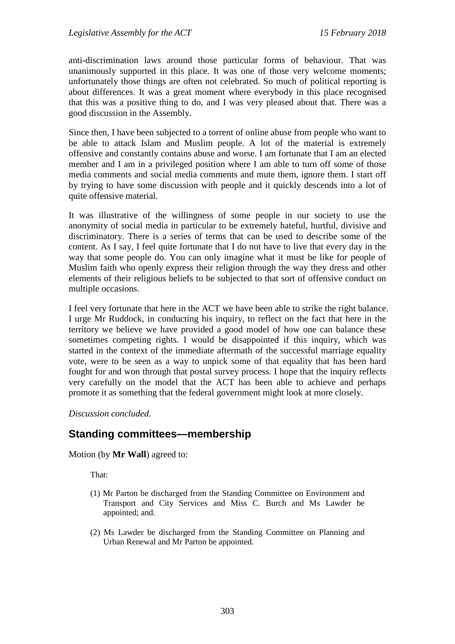anti-discrimination laws around those particular forms of behaviour. That was unanimously supported in this place. It was one of those very welcome moments; unfortunately those things are often not celebrated. So much of political reporting is about differences. It was a great moment where everybody in this place recognised that this was a positive thing to do, and I was very pleased about that. There was a good discussion in the Assembly.

Since then, I have been subjected to a torrent of online abuse from people who want to be able to attack Islam and Muslim people. A lot of the material is extremely offensive and constantly contains abuse and worse. I am fortunate that I am an elected member and I am in a privileged position where I am able to turn off some of those media comments and social media comments and mute them, ignore them. I start off by trying to have some discussion with people and it quickly descends into a lot of quite offensive material.

It was illustrative of the willingness of some people in our society to use the anonymity of social media in particular to be extremely hateful, hurtful, divisive and discriminatory. There is a series of terms that can be used to describe some of the content. As I say, I feel quite fortunate that I do not have to live that every day in the way that some people do. You can only imagine what it must be like for people of Muslim faith who openly express their religion through the way they dress and other elements of their religious beliefs to be subjected to that sort of offensive conduct on multiple occasions.

I feel very fortunate that here in the ACT we have been able to strike the right balance. I urge Mr Ruddock, in conducting his inquiry, to reflect on the fact that here in the territory we believe we have provided a good model of how one can balance these sometimes competing rights. I would be disappointed if this inquiry, which was started in the context of the immediate aftermath of the successful marriage equality vote, were to be seen as a way to unpick some of that equality that has been hard fought for and won through that postal survey process. I hope that the inquiry reflects very carefully on the model that the ACT has been able to achieve and perhaps promote it as something that the federal government might look at more closely.

#### *Discussion concluded.*

# **Standing committees—membership**

Motion (by **Mr Wall**) agreed to:

That:

- (1) Mr Parton be discharged from the Standing Committee on Environment and Transport and City Services and Miss C. Burch and Ms Lawder be appointed; and.
- (2) Ms Lawder be discharged from the Standing Committee on Planning and Urban Renewal and Mr Parton be appointed.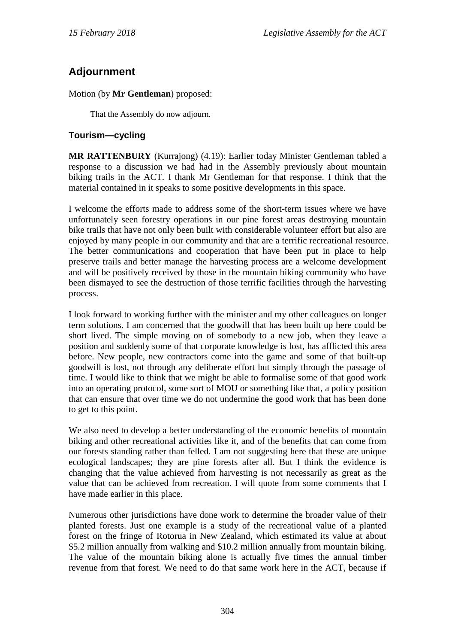# **Adjournment**

Motion (by **Mr Gentleman**) proposed:

That the Assembly do now adjourn.

# **Tourism—cycling**

**MR RATTENBURY** (Kurrajong) (4.19): Earlier today Minister Gentleman tabled a response to a discussion we had had in the Assembly previously about mountain biking trails in the ACT. I thank Mr Gentleman for that response. I think that the material contained in it speaks to some positive developments in this space.

I welcome the efforts made to address some of the short-term issues where we have unfortunately seen forestry operations in our pine forest areas destroying mountain bike trails that have not only been built with considerable volunteer effort but also are enjoyed by many people in our community and that are a terrific recreational resource. The better communications and cooperation that have been put in place to help preserve trails and better manage the harvesting process are a welcome development and will be positively received by those in the mountain biking community who have been dismayed to see the destruction of those terrific facilities through the harvesting process.

I look forward to working further with the minister and my other colleagues on longer term solutions. I am concerned that the goodwill that has been built up here could be short lived. The simple moving on of somebody to a new job, when they leave a position and suddenly some of that corporate knowledge is lost, has afflicted this area before. New people, new contractors come into the game and some of that built-up goodwill is lost, not through any deliberate effort but simply through the passage of time. I would like to think that we might be able to formalise some of that good work into an operating protocol, some sort of MOU or something like that, a policy position that can ensure that over time we do not undermine the good work that has been done to get to this point.

We also need to develop a better understanding of the economic benefits of mountain biking and other recreational activities like it, and of the benefits that can come from our forests standing rather than felled. I am not suggesting here that these are unique ecological landscapes; they are pine forests after all. But I think the evidence is changing that the value achieved from harvesting is not necessarily as great as the value that can be achieved from recreation. I will quote from some comments that I have made earlier in this place.

Numerous other jurisdictions have done work to determine the broader value of their planted forests. Just one example is a study of the recreational value of a planted forest on the fringe of Rotorua in New Zealand, which estimated its value at about \$5.2 million annually from walking and \$10.2 million annually from mountain biking. The value of the mountain biking alone is actually five times the annual timber revenue from that forest. We need to do that same work here in the ACT, because if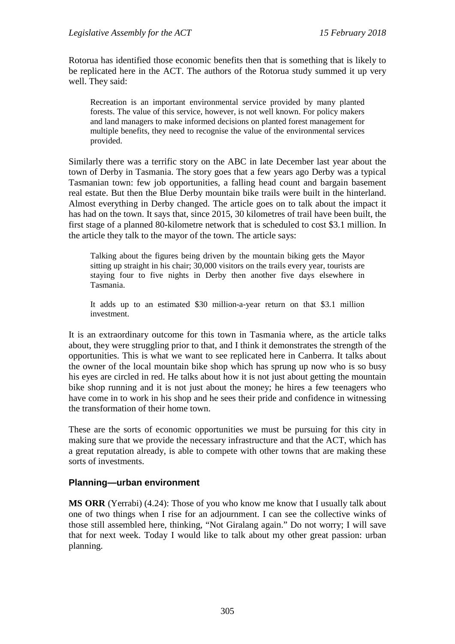Rotorua has identified those economic benefits then that is something that is likely to be replicated here in the ACT. The authors of the Rotorua study summed it up very well. They said:

Recreation is an important environmental service provided by many planted forests. The value of this service, however, is not well known. For policy makers and land managers to make informed decisions on planted forest management for multiple benefits, they need to recognise the value of the environmental services provided.

Similarly there was a terrific story on the ABC in late December last year about the town of Derby in Tasmania. The story goes that a few years ago Derby was a typical Tasmanian town: few job opportunities, a falling head count and bargain basement real estate. But then the Blue Derby mountain bike trails were built in the hinterland. Almost everything in Derby changed. The article goes on to talk about the impact it has had on the town. It says that, since 2015, 30 kilometres of trail have been built, the first stage of a planned 80-kilometre network that is scheduled to cost \$3.1 million. In the article they talk to the mayor of the town. The article says:

Talking about the figures being driven by the mountain biking gets the Mayor sitting up straight in his chair; 30,000 visitors on the trails every year, tourists are staying four to five nights in Derby then another five days elsewhere in Tasmania.

It adds up to an estimated \$30 million-a-year return on that \$3.1 million investment.

It is an extraordinary outcome for this town in Tasmania where, as the article talks about, they were struggling prior to that, and I think it demonstrates the strength of the opportunities. This is what we want to see replicated here in Canberra. It talks about the owner of the local mountain bike shop which has sprung up now who is so busy his eyes are circled in red. He talks about how it is not just about getting the mountain bike shop running and it is not just about the money; he hires a few teenagers who have come in to work in his shop and he sees their pride and confidence in witnessing the transformation of their home town.

These are the sorts of economic opportunities we must be pursuing for this city in making sure that we provide the necessary infrastructure and that the ACT, which has a great reputation already, is able to compete with other towns that are making these sorts of investments.

# **Planning—urban environment**

**MS ORR** (Yerrabi) (4.24): Those of you who know me know that I usually talk about one of two things when I rise for an adjournment. I can see the collective winks of those still assembled here, thinking, "Not Giralang again." Do not worry; I will save that for next week. Today I would like to talk about my other great passion: urban planning.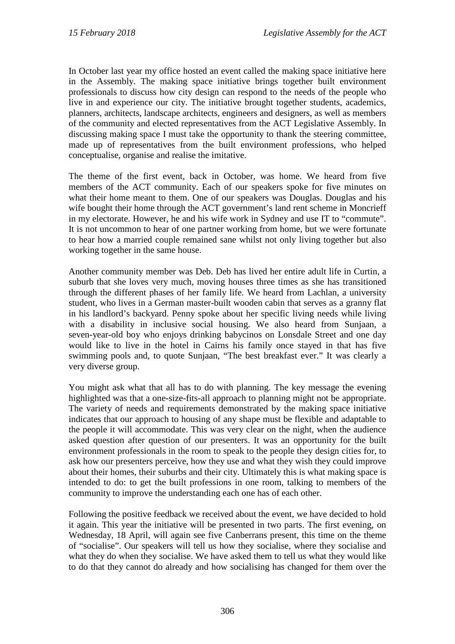In October last year my office hosted an event called the making space initiative here in the Assembly. The making space initiative brings together built environment professionals to discuss how city design can respond to the needs of the people who live in and experience our city. The initiative brought together students, academics, planners, architects, landscape architects, engineers and designers, as well as members of the community and elected representatives from the ACT Legislative Assembly. In discussing making space I must take the opportunity to thank the steering committee, made up of representatives from the built environment professions, who helped conceptualise, organise and realise the imitative.

The theme of the first event, back in October, was home. We heard from five members of the ACT community. Each of our speakers spoke for five minutes on what their home meant to them. One of our speakers was Douglas. Douglas and his wife bought their home through the ACT government's land rent scheme in Moncrieff in my electorate. However, he and his wife work in Sydney and use IT to "commute". It is not uncommon to hear of one partner working from home, but we were fortunate to hear how a married couple remained sane whilst not only living together but also working together in the same house.

Another community member was Deb. Deb has lived her entire adult life in Curtin, a suburb that she loves very much, moving houses three times as she has transitioned through the different phases of her family life. We heard from Lachlan, a university student, who lives in a German master-built wooden cabin that serves as a granny flat in his landlord's backyard. Penny spoke about her specific living needs while living with a disability in inclusive social housing. We also heard from Sunjaan, a seven-year-old boy who enjoys drinking babycinos on Lonsdale Street and one day would like to live in the hotel in Cairns his family once stayed in that has five swimming pools and, to quote Sunjaan, "The best breakfast ever." It was clearly a very diverse group.

You might ask what that all has to do with planning. The key message the evening highlighted was that a one-size-fits-all approach to planning might not be appropriate. The variety of needs and requirements demonstrated by the making space initiative indicates that our approach to housing of any shape must be flexible and adaptable to the people it will accommodate. This was very clear on the night, when the audience asked question after question of our presenters. It was an opportunity for the built environment professionals in the room to speak to the people they design cities for, to ask how our presenters perceive, how they use and what they wish they could improve about their homes, their suburbs and their city. Ultimately this is what making space is intended to do: to get the built professions in one room, talking to members of the community to improve the understanding each one has of each other.

Following the positive feedback we received about the event, we have decided to hold it again. This year the initiative will be presented in two parts. The first evening, on Wednesday, 18 April, will again see five Canberrans present, this time on the theme of "socialise". Our speakers will tell us how they socialise, where they socialise and what they do when they socialise. We have asked them to tell us what they would like to do that they cannot do already and how socialising has changed for them over the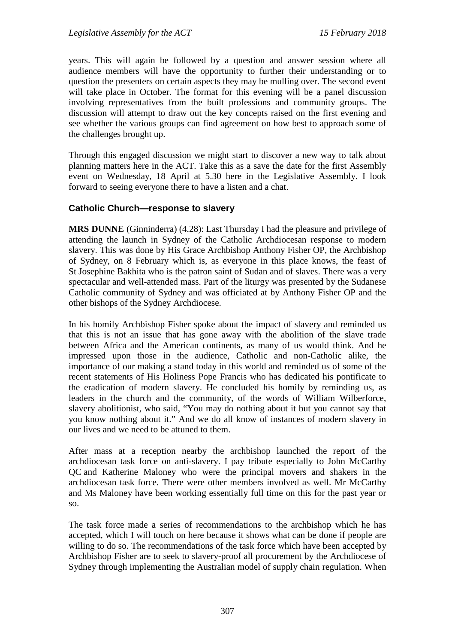years. This will again be followed by a question and answer session where all audience members will have the opportunity to further their understanding or to question the presenters on certain aspects they may be mulling over. The second event will take place in October. The format for this evening will be a panel discussion involving representatives from the built professions and community groups. The discussion will attempt to draw out the key concepts raised on the first evening and see whether the various groups can find agreement on how best to approach some of the challenges brought up.

Through this engaged discussion we might start to discover a new way to talk about planning matters here in the ACT. Take this as a save the date for the first Assembly event on Wednesday, 18 April at 5.30 here in the Legislative Assembly. I look forward to seeing everyone there to have a listen and a chat.

# **Catholic Church—response to slavery**

**MRS DUNNE** (Ginninderra) (4.28): Last Thursday I had the pleasure and privilege of attending the launch in Sydney of the Catholic Archdiocesan response to modern slavery. This was done by His Grace Archbishop Anthony Fisher OP, the Archbishop of Sydney, on 8 February which is, as everyone in this place knows, the feast of St Josephine Bakhita who is the patron saint of Sudan and of slaves. There was a very spectacular and well-attended mass. Part of the liturgy was presented by the Sudanese Catholic community of Sydney and was officiated at by Anthony Fisher OP and the other bishops of the Sydney Archdiocese.

In his homily Archbishop Fisher spoke about the impact of slavery and reminded us that this is not an issue that has gone away with the abolition of the slave trade between Africa and the American continents, as many of us would think. And he impressed upon those in the audience, Catholic and non-Catholic alike, the importance of our making a stand today in this world and reminded us of some of the recent statements of His Holiness Pope Francis who has dedicated his pontificate to the eradication of modern slavery. He concluded his homily by reminding us, as leaders in the church and the community, of the words of William Wilberforce, slavery abolitionist, who said, "You may do nothing about it but you cannot say that you know nothing about it." And we do all know of instances of modern slavery in our lives and we need to be attuned to them.

After mass at a reception nearby the archbishop launched the report of the archdiocesan task force on anti-slavery. I pay tribute especially to John McCarthy QC and Katherine Maloney who were the principal movers and shakers in the archdiocesan task force. There were other members involved as well. Mr McCarthy and Ms Maloney have been working essentially full time on this for the past year or so.

The task force made a series of recommendations to the archbishop which he has accepted, which I will touch on here because it shows what can be done if people are willing to do so. The recommendations of the task force which have been accepted by Archbishop Fisher are to seek to slavery-proof all procurement by the Archdiocese of Sydney through implementing the Australian model of supply chain regulation. When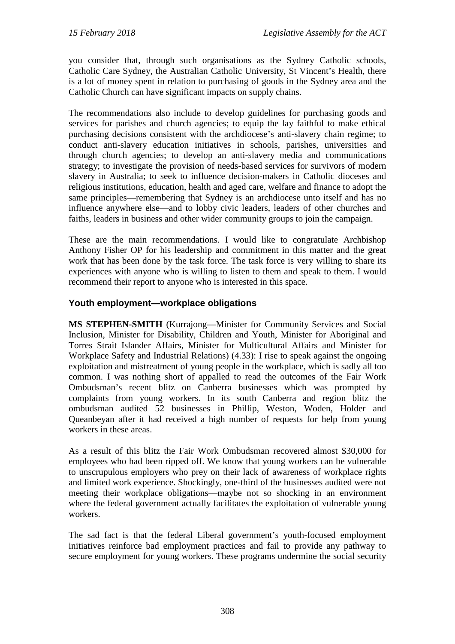you consider that, through such organisations as the Sydney Catholic schools, Catholic Care Sydney, the Australian Catholic University, St Vincent's Health, there is a lot of money spent in relation to purchasing of goods in the Sydney area and the Catholic Church can have significant impacts on supply chains.

The recommendations also include to develop guidelines for purchasing goods and services for parishes and church agencies; to equip the lay faithful to make ethical purchasing decisions consistent with the archdiocese's anti-slavery chain regime; to conduct anti-slavery education initiatives in schools, parishes, universities and through church agencies; to develop an anti-slavery media and communications strategy; to investigate the provision of needs-based services for survivors of modern slavery in Australia; to seek to influence decision-makers in Catholic dioceses and religious institutions, education, health and aged care, welfare and finance to adopt the same principles—remembering that Sydney is an archdiocese unto itself and has no influence anywhere else—and to lobby civic leaders, leaders of other churches and faiths, leaders in business and other wider community groups to join the campaign.

These are the main recommendations. I would like to congratulate Archbishop Anthony Fisher OP for his leadership and commitment in this matter and the great work that has been done by the task force. The task force is very willing to share its experiences with anyone who is willing to listen to them and speak to them. I would recommend their report to anyone who is interested in this space.

# **Youth employment—workplace obligations**

**MS STEPHEN-SMITH** (Kurrajong—Minister for Community Services and Social Inclusion, Minister for Disability, Children and Youth, Minister for Aboriginal and Torres Strait Islander Affairs, Minister for Multicultural Affairs and Minister for Workplace Safety and Industrial Relations) (4.33): I rise to speak against the ongoing exploitation and mistreatment of young people in the workplace, which is sadly all too common. I was nothing short of appalled to read the outcomes of the Fair Work Ombudsman's recent blitz on Canberra businesses which was prompted by complaints from young workers. In its south Canberra and region blitz the ombudsman audited 52 businesses in Phillip, Weston, Woden, Holder and Queanbeyan after it had received a high number of requests for help from young workers in these areas.

As a result of this blitz the Fair Work Ombudsman recovered almost \$30,000 for employees who had been ripped off. We know that young workers can be vulnerable to unscrupulous employers who prey on their lack of awareness of workplace rights and limited work experience. Shockingly, one-third of the businesses audited were not meeting their workplace obligations—maybe not so shocking in an environment where the federal government actually facilitates the exploitation of vulnerable young workers.

The sad fact is that the federal Liberal government's youth-focused employment initiatives reinforce bad employment practices and fail to provide any pathway to secure employment for young workers. These programs undermine the social security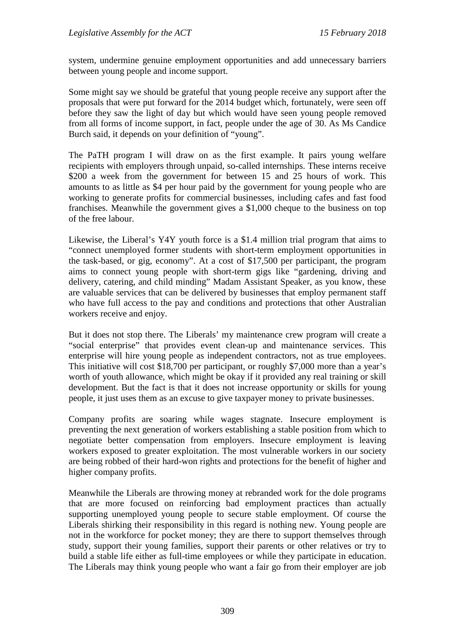system, undermine genuine employment opportunities and add unnecessary barriers between young people and income support.

Some might say we should be grateful that young people receive any support after the proposals that were put forward for the 2014 budget which, fortunately, were seen off before they saw the light of day but which would have seen young people removed from all forms of income support, in fact, people under the age of 30. As Ms Candice Burch said, it depends on your definition of "young".

The PaTH program I will draw on as the first example. It pairs young welfare recipients with employers through unpaid, so-called internships. These interns receive \$200 a week from the government for between 15 and 25 hours of work. This amounts to as little as \$4 per hour paid by the government for young people who are working to generate profits for commercial businesses, including cafes and fast food franchises. Meanwhile the government gives a \$1,000 cheque to the business on top of the free labour.

Likewise, the Liberal's Y4Y youth force is a \$1.4 million trial program that aims to "connect unemployed former students with short-term employment opportunities in the task-based, or gig, economy". At a cost of \$17,500 per participant, the program aims to connect young people with short-term gigs like "gardening, driving and delivery, catering, and child minding" Madam Assistant Speaker, as you know, these are valuable services that can be delivered by businesses that employ permanent staff who have full access to the pay and conditions and protections that other Australian workers receive and enjoy.

But it does not stop there. The Liberals' my maintenance crew program will create a "social enterprise" that provides event clean-up and maintenance services. This enterprise will hire young people as independent contractors, not as true employees. This initiative will cost \$18,700 per participant, or roughly \$7,000 more than a year's worth of youth allowance, which might be okay if it provided any real training or skill development. But the fact is that it does not increase opportunity or skills for young people, it just uses them as an excuse to give taxpayer money to private businesses.

Company profits are soaring while wages stagnate. Insecure employment is preventing the next generation of workers establishing a stable position from which to negotiate better compensation from employers. Insecure employment is leaving workers exposed to greater exploitation. The most vulnerable workers in our society are being robbed of their hard-won rights and protections for the benefit of higher and higher company profits.

Meanwhile the Liberals are throwing money at rebranded work for the dole programs that are more focused on reinforcing bad employment practices than actually supporting unemployed young people to secure stable employment. Of course the Liberals shirking their responsibility in this regard is nothing new. Young people are not in the workforce for pocket money; they are there to support themselves through study, support their young families, support their parents or other relatives or try to build a stable life either as full-time employees or while they participate in education. The Liberals may think young people who want a fair go from their employer are job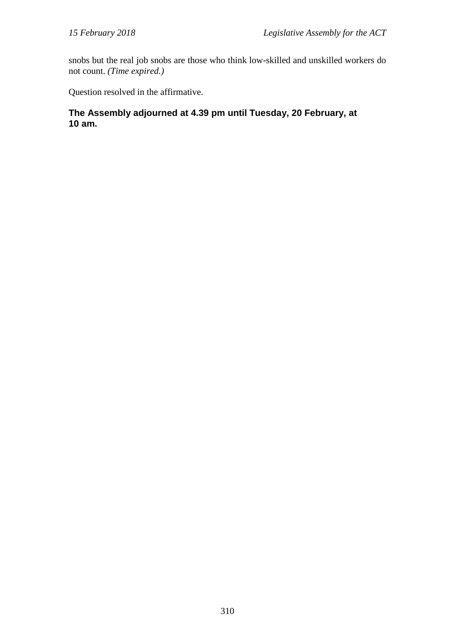snobs but the real job snobs are those who think low-skilled and unskilled workers do not count. *(Time expired.)*

Question resolved in the affirmative.

# **The Assembly adjourned at 4.39 pm until Tuesday, 20 February, at 10 am.**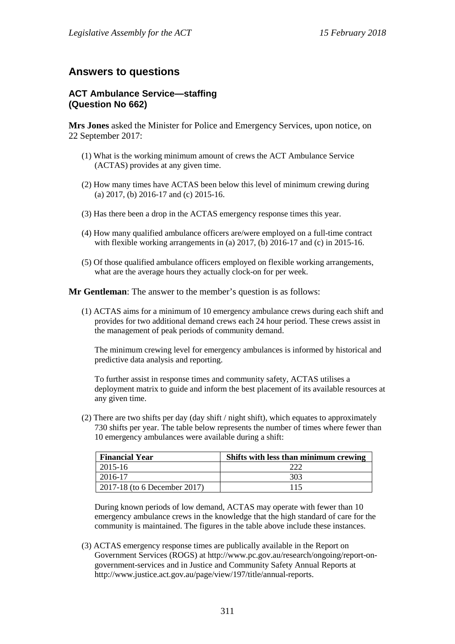# **Answers to questions**

## **ACT Ambulance Service—staffing (Question No 662)**

**Mrs Jones** asked the Minister for Police and Emergency Services, upon notice, on 22 September 2017:

- (1) What is the working minimum amount of crews the ACT Ambulance Service (ACTAS) provides at any given time.
- (2) How many times have ACTAS been below this level of minimum crewing during (a) 2017, (b) 2016-17 and (c) 2015-16.
- (3) Has there been a drop in the ACTAS emergency response times this year.
- (4) How many qualified ambulance officers are/were employed on a full-time contract with flexible working arrangements in (a)  $2017$ , (b)  $2016-17$  and (c) in  $2015-16$ .
- (5) Of those qualified ambulance officers employed on flexible working arrangements, what are the average hours they actually clock-on for per week.

**Mr Gentleman**: The answer to the member's question is as follows:

(1) ACTAS aims for a minimum of 10 emergency ambulance crews during each shift and provides for two additional demand crews each 24 hour period. These crews assist in the management of peak periods of community demand.

The minimum crewing level for emergency ambulances is informed by historical and predictive data analysis and reporting.

To further assist in response times and community safety, ACTAS utilises a deployment matrix to guide and inform the best placement of its available resources at any given time.

(2) There are two shifts per day (day shift / night shift), which equates to approximately 730 shifts per year. The table below represents the number of times where fewer than 10 emergency ambulances were available during a shift:

| <b>Financial Year</b>        | Shifts with less than minimum crewing |
|------------------------------|---------------------------------------|
| $2015 - 16$                  |                                       |
| 2016-17                      | 303                                   |
| 2017-18 (to 6 December 2017) |                                       |

During known periods of low demand, ACTAS may operate with fewer than 10 emergency ambulance crews in the knowledge that the high standard of care for the community is maintained. The figures in the table above include these instances.

(3) ACTAS emergency response times are publically available in the Report on Government Services (ROGS) at http://www.pc.gov.au/research/ongoing/report-ongovernment-services and in Justice and Community Safety Annual Reports at http://www.justice.act.gov.au/page/view/197/title/annual-reports.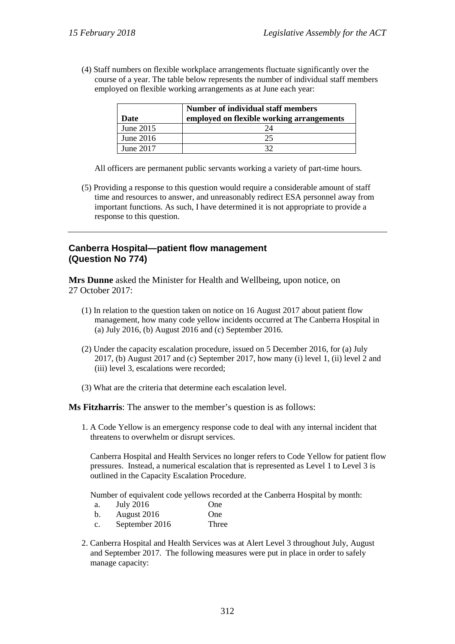(4) Staff numbers on flexible workplace arrangements fluctuate significantly over the course of a year. The table below represents the number of individual staff members employed on flexible working arrangements as at June each year:

| Date        | Number of individual staff members<br>employed on flexible working arrangements |
|-------------|---------------------------------------------------------------------------------|
| June $2015$ |                                                                                 |
| June $2016$ | 25                                                                              |
| June 2017   |                                                                                 |

All officers are permanent public servants working a variety of part-time hours.

(5) Providing a response to this question would require a considerable amount of staff time and resources to answer, and unreasonably redirect ESA personnel away from important functions. As such, I have determined it is not appropriate to provide a response to this question.

# **Canberra Hospital—patient flow management (Question No 774)**

**Mrs Dunne** asked the Minister for Health and Wellbeing, upon notice, on 27 October 2017:

- (1) In relation to the question taken on notice on 16 August 2017 about patient flow management, how many code yellow incidents occurred at The Canberra Hospital in (a) July 2016, (b) August 2016 and (c) September 2016.
- (2) Under the capacity escalation procedure, issued on 5 December 2016, for (a) July 2017, (b) August 2017 and (c) September 2017, how many (i) level 1, (ii) level 2 and (iii) level 3, escalations were recorded;
- (3) What are the criteria that determine each escalation level.

**Ms Fitzharris**: The answer to the member's question is as follows:

1. A Code Yellow is an emergency response code to deal with any internal incident that threatens to overwhelm or disrupt services.

Canberra Hospital and Health Services no longer refers to Code Yellow for patient flow pressures. Instead, a numerical escalation that is represented as Level 1 to Level 3 is outlined in the Capacity Escalation Procedure.

Number of equivalent code yellows recorded at the Canberra Hospital by month:

- a. July 2016 One
- b. August 2016 One
- c. September 2016 Three
- 2. Canberra Hospital and Health Services was at Alert Level 3 throughout July, August and September 2017. The following measures were put in place in order to safely manage capacity: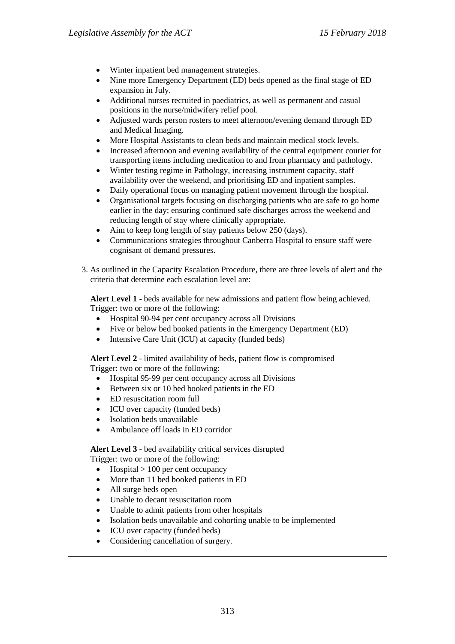- Winter inpatient bed management strategies.
- Nine more Emergency Department (ED) beds opened as the final stage of ED expansion in July.
- Additional nurses recruited in paediatrics, as well as permanent and casual positions in the nurse/midwifery relief pool.
- Adjusted wards person rosters to meet afternoon/evening demand through ED and Medical Imaging.
- More Hospital Assistants to clean beds and maintain medical stock levels.
- Increased afternoon and evening availability of the central equipment courier for transporting items including medication to and from pharmacy and pathology.
- Winter testing regime in Pathology, increasing instrument capacity, staff availability over the weekend, and prioritising ED and inpatient samples.
- Daily operational focus on managing patient movement through the hospital.
- Organisational targets focusing on discharging patients who are safe to go home earlier in the day; ensuring continued safe discharges across the weekend and reducing length of stay where clinically appropriate.
- Aim to keep long length of stay patients below 250 (days).
- Communications strategies throughout Canberra Hospital to ensure staff were cognisant of demand pressures.
- 3. As outlined in the Capacity Escalation Procedure, there are three levels of alert and the criteria that determine each escalation level are:

**Alert Level 1** - beds available for new admissions and patient flow being achieved. Trigger: two or more of the following:

- Hospital 90-94 per cent occupancy across all Divisions
- Five or below bed booked patients in the Emergency Department (ED)
- Intensive Care Unit (ICU) at capacity (funded beds)

**Alert Level 2** - limited availability of beds, patient flow is compromised Trigger: two or more of the following:

- Hospital 95-99 per cent occupancy across all Divisions
- Between six or 10 bed booked patients in the ED
- ED resuscitation room full
- ICU over capacity (funded beds)
- Isolation beds unavailable
- Ambulance off loads in ED corridor

**Alert Level 3** - bed availability critical services disrupted

Trigger: two or more of the following:

- Hospital  $> 100$  per cent occupancy
- More than 11 bed booked patients in ED
- All surge beds open
- Unable to decant resuscitation room
- Unable to admit patients from other hospitals
- Isolation beds unavailable and cohorting unable to be implemented
- ICU over capacity (funded beds)
- Considering cancellation of surgery.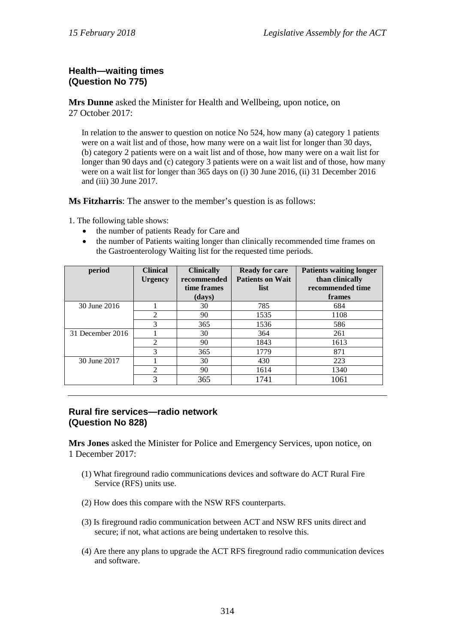# **Health—waiting times (Question No 775)**

**Mrs Dunne** asked the Minister for Health and Wellbeing, upon notice, on 27 October 2017:

In relation to the answer to question on notice No 524, how many (a) category 1 patients were on a wait list and of those, how many were on a wait list for longer than 30 days, (b) category 2 patients were on a wait list and of those, how many were on a wait list for longer than 90 days and (c) category 3 patients were on a wait list and of those, how many were on a wait list for longer than 365 days on (i) 30 June 2016, (ii) 31 December 2016 and (iii) 30 June 2017.

**Ms Fitzharris**: The answer to the member's question is as follows:

1. The following table shows:

- the number of patients Ready for Care and
- the number of Patients waiting longer than clinically recommended time frames on the Gastroenterology Waiting list for the requested time periods.

| period           | <b>Clinical</b><br><b>Urgency</b> | <b>Clinically</b><br>recommended<br>time frames | <b>Ready for care</b><br><b>Patients on Wait</b><br>list | <b>Patients waiting longer</b><br>than clinically<br>recommended time |
|------------------|-----------------------------------|-------------------------------------------------|----------------------------------------------------------|-----------------------------------------------------------------------|
|                  |                                   | (days)                                          |                                                          | frames                                                                |
| 30 June 2016     |                                   | 30                                              | 785                                                      | 684                                                                   |
|                  | $\mathfrak{D}$                    | 90                                              | 1535                                                     | 1108                                                                  |
|                  | 3                                 | 365                                             | 1536                                                     | 586                                                                   |
| 31 December 2016 |                                   | 30                                              | 364                                                      | 261                                                                   |
|                  | $\mathfrak{D}$                    | 90                                              | 1843                                                     | 1613                                                                  |
|                  | 3                                 | 365                                             | 1779                                                     | 871                                                                   |
| 30 June 2017     |                                   | 30                                              | 430                                                      | 223                                                                   |
|                  | $\mathfrak{D}$                    | 90                                              | 1614                                                     | 1340                                                                  |
|                  | 3                                 | 365                                             | 1741                                                     | 1061                                                                  |

# **Rural fire services—radio network (Question No 828)**

**Mrs Jones** asked the Minister for Police and Emergency Services, upon notice, on 1 December 2017:

- (1) What fireground radio communications devices and software do ACT Rural Fire Service (RFS) units use.
- (2) How does this compare with the NSW RFS counterparts.
- (3) Is fireground radio communication between ACT and NSW RFS units direct and secure; if not, what actions are being undertaken to resolve this.
- (4) Are there any plans to upgrade the ACT RFS fireground radio communication devices and software.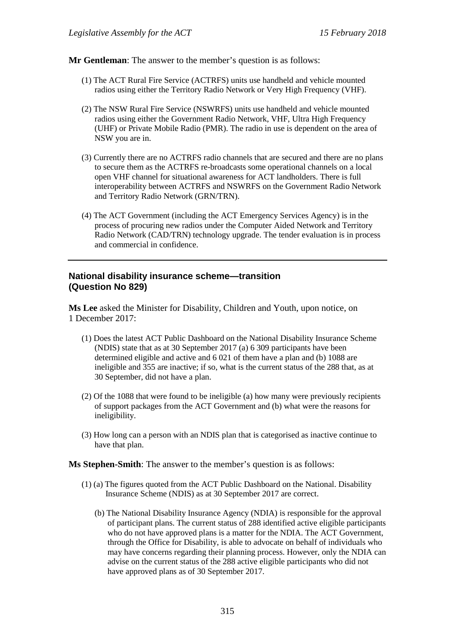**Mr Gentleman**: The answer to the member's question is as follows:

- (1) The ACT Rural Fire Service (ACTRFS) units use handheld and vehicle mounted radios using either the Territory Radio Network or Very High Frequency (VHF).
- (2) The NSW Rural Fire Service (NSWRFS) units use handheld and vehicle mounted radios using either the Government Radio Network, VHF, Ultra High Frequency (UHF) or Private Mobile Radio (PMR). The radio in use is dependent on the area of NSW you are in.
- (3) Currently there are no ACTRFS radio channels that are secured and there are no plans to secure them as the ACTRFS re-broadcasts some operational channels on a local open VHF channel for situational awareness for ACT landholders. There is full interoperability between ACTRFS and NSWRFS on the Government Radio Network and Territory Radio Network (GRN/TRN).
- (4) The ACT Government (including the ACT Emergency Services Agency) is in the process of procuring new radios under the Computer Aided Network and Territory Radio Network (CAD/TRN) technology upgrade. The tender evaluation is in process and commercial in confidence.

### **National disability insurance scheme—transition (Question No 829)**

**Ms Lee** asked the Minister for Disability, Children and Youth, upon notice, on 1 December 2017:

- (1) Does the latest ACT Public Dashboard on the National Disability Insurance Scheme (NDIS) state that as at 30 September 2017 (a) 6 309 participants have been determined eligible and active and 6 021 of them have a plan and (b) 1088 are ineligible and 355 are inactive; if so, what is the current status of the 288 that, as at 30 September, did not have a plan.
- (2) Of the 1088 that were found to be ineligible (a) how many were previously recipients of support packages from the ACT Government and (b) what were the reasons for ineligibility.
- (3) How long can a person with an NDIS plan that is categorised as inactive continue to have that plan.

**Ms Stephen-Smith**: The answer to the member's question is as follows:

- (1) (a) The figures quoted from the ACT Public Dashboard on the National. Disability Insurance Scheme (NDIS) as at 30 September 2017 are correct.
	- (b) The National Disability Insurance Agency (NDIA) is responsible for the approval of participant plans. The current status of 288 identified active eligible participants who do not have approved plans is a matter for the NDIA. The ACT Government, through the Office for Disability, is able to advocate on behalf of individuals who may have concerns regarding their planning process. However, only the NDIA can advise on the current status of the 288 active eligible participants who did not have approved plans as of 30 September 2017.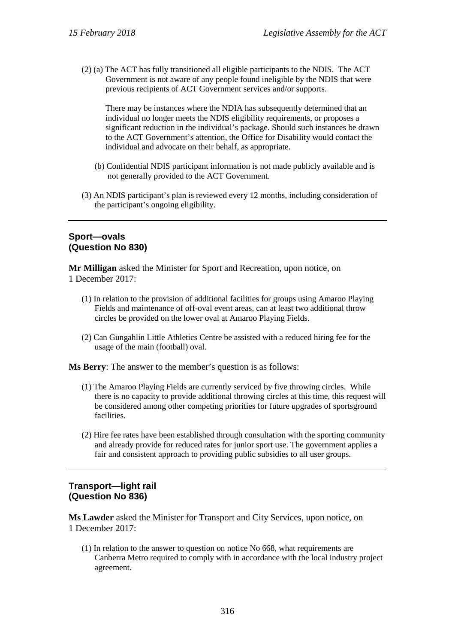(2) (a) The ACT has fully transitioned all eligible participants to the NDIS. The ACT Government is not aware of any people found ineligible by the NDIS that were previous recipients of ACT Government services and/or supports.

There may be instances where the NDIA has subsequently determined that an individual no longer meets the NDIS eligibility requirements, or proposes a significant reduction in the individual's package. Should such instances be drawn to the ACT Government's attention, the Office for Disability would contact the individual and advocate on their behalf, as appropriate.

- (b) Confidential NDIS participant information is not made publicly available and is not generally provided to the ACT Government.
- (3) An NDIS participant's plan is reviewed every 12 months, including consideration of the participant's ongoing eligibility.

# **Sport—ovals (Question No 830)**

**Mr Milligan** asked the Minister for Sport and Recreation, upon notice, on 1 December 2017:

- (1) In relation to the provision of additional facilities for groups using Amaroo Playing Fields and maintenance of off-oval event areas, can at least two additional throw circles be provided on the lower oval at Amaroo Playing Fields.
- (2) Can Gungahlin Little Athletics Centre be assisted with a reduced hiring fee for the usage of the main (football) oval.

**Ms Berry**: The answer to the member's question is as follows:

- (1) The Amaroo Playing Fields are currently serviced by five throwing circles. While there is no capacity to provide additional throwing circles at this time, this request will be considered among other competing priorities for future upgrades of sportsground facilities.
- (2) Hire fee rates have been established through consultation with the sporting community and already provide for reduced rates for junior sport use. The government applies a fair and consistent approach to providing public subsidies to all user groups.

#### **Transport—light rail (Question No 836)**

**Ms Lawder** asked the Minister for Transport and City Services, upon notice, on 1 December 2017:

(1) In relation to the answer to question on notice No 668, what requirements are Canberra Metro required to comply with in accordance with the local industry project agreement.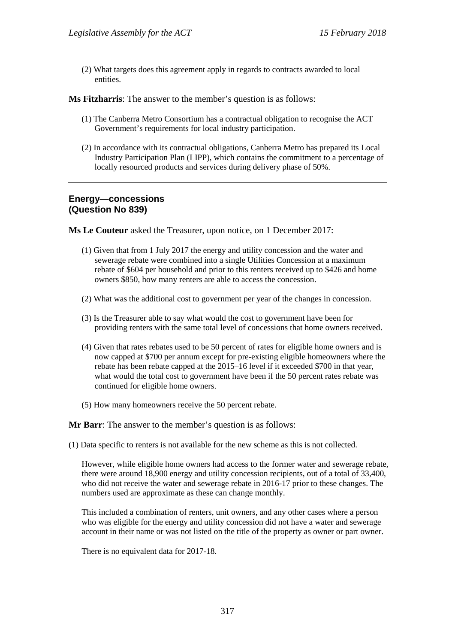(2) What targets does this agreement apply in regards to contracts awarded to local entities.

**Ms Fitzharris**: The answer to the member's question is as follows:

- (1) The Canberra Metro Consortium has a contractual obligation to recognise the ACT Government's requirements for local industry participation.
- (2) In accordance with its contractual obligations, Canberra Metro has prepared its Local Industry Participation Plan (LIPP), which contains the commitment to a percentage of locally resourced products and services during delivery phase of 50%.

### **Energy—concessions (Question No 839)**

**Ms Le Couteur** asked the Treasurer, upon notice, on 1 December 2017:

- (1) Given that from 1 July 2017 the energy and utility concession and the water and sewerage rebate were combined into a single Utilities Concession at a maximum rebate of \$604 per household and prior to this renters received up to \$426 and home owners \$850, how many renters are able to access the concession.
- (2) What was the additional cost to government per year of the changes in concession.
- (3) Is the Treasurer able to say what would the cost to government have been for providing renters with the same total level of concessions that home owners received.
- (4) Given that rates rebates used to be 50 percent of rates for eligible home owners and is now capped at \$700 per annum except for pre-existing eligible homeowners where the rebate has been rebate capped at the 2015–16 level if it exceeded \$700 in that year, what would the total cost to government have been if the 50 percent rates rebate was continued for eligible home owners.
- (5) How many homeowners receive the 50 percent rebate.

**Mr Barr**: The answer to the member's question is as follows:

(1) Data specific to renters is not available for the new scheme as this is not collected.

However, while eligible home owners had access to the former water and sewerage rebate, there were around 18,900 energy and utility concession recipients, out of a total of 33,400, who did not receive the water and sewerage rebate in 2016-17 prior to these changes. The numbers used are approximate as these can change monthly.

This included a combination of renters, unit owners, and any other cases where a person who was eligible for the energy and utility concession did not have a water and sewerage account in their name or was not listed on the title of the property as owner or part owner.

There is no equivalent data for 2017-18.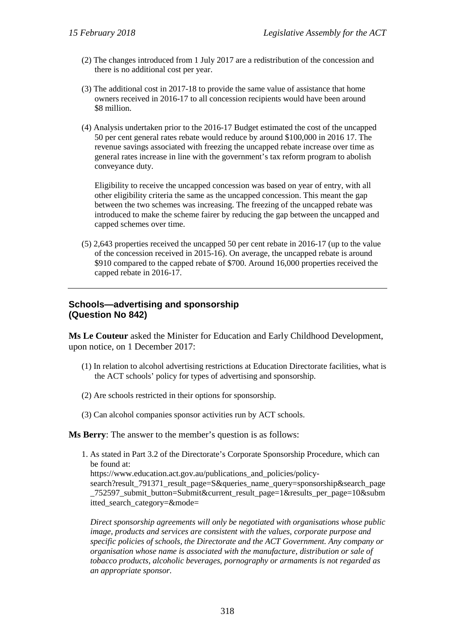- (2) The changes introduced from 1 July 2017 are a redistribution of the concession and there is no additional cost per year.
- (3) The additional cost in 2017-18 to provide the same value of assistance that home owners received in 2016-17 to all concession recipients would have been around \$8 million.
- (4) Analysis undertaken prior to the 2016-17 Budget estimated the cost of the uncapped 50 per cent general rates rebate would reduce by around \$100,000 in 2016 17. The revenue savings associated with freezing the uncapped rebate increase over time as general rates increase in line with the government's tax reform program to abolish conveyance duty.

Eligibility to receive the uncapped concession was based on year of entry, with all other eligibility criteria the same as the uncapped concession. This meant the gap between the two schemes was increasing. The freezing of the uncapped rebate was introduced to make the scheme fairer by reducing the gap between the uncapped and capped schemes over time.

(5) 2,643 properties received the uncapped 50 per cent rebate in 2016-17 (up to the value of the concession received in 2015-16). On average, the uncapped rebate is around \$910 compared to the capped rebate of \$700. Around 16,000 properties received the capped rebate in 2016-17.

# **Schools—advertising and sponsorship (Question No 842)**

**Ms Le Couteur** asked the Minister for Education and Early Childhood Development, upon notice, on 1 December 2017:

- (1) In relation to alcohol advertising restrictions at Education Directorate facilities, what is the ACT schools' policy for types of advertising and sponsorship.
- (2) Are schools restricted in their options for sponsorship.
- (3) Can alcohol companies sponsor activities run by ACT schools.

**Ms Berry**: The answer to the member's question is as follows:

1. As stated in Part 3.2 of the Directorate's Corporate Sponsorship Procedure, which can be found at:

https://www.education.act.gov.au/publications and policies/policy-

search?result\_791371\_result\_page=S&queries\_name\_query=sponsorship&search\_page \_752597\_submit\_button=Submit&current\_result\_page=1&results\_per\_page=10&subm itted\_search\_category=&mode=

*Direct sponsorship agreements will only be negotiated with organisations whose public image, products and services are consistent with the values, corporate purpose and specific policies of schools, the Directorate and the ACT Government. Any company or organisation whose name is associated with the manufacture, distribution or sale of tobacco products, alcoholic beverages, pornography or armaments is not regarded as an appropriate sponsor.*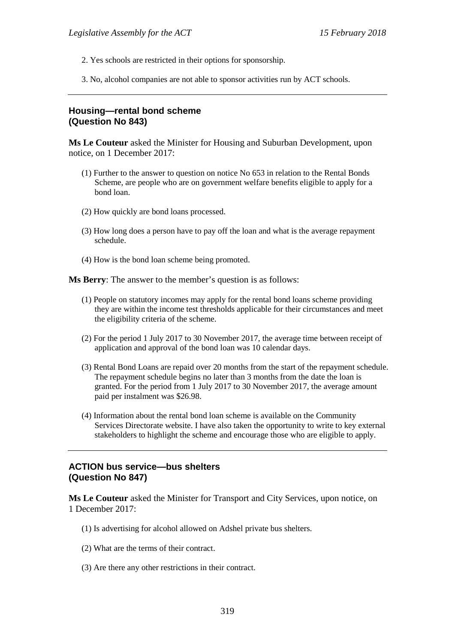- 2. Yes schools are restricted in their options for sponsorship.
- 3. No, alcohol companies are not able to sponsor activities run by ACT schools.

#### **Housing—rental bond scheme (Question No 843)**

**Ms Le Couteur** asked the Minister for Housing and Suburban Development, upon notice, on 1 December 2017:

- (1) Further to the answer to question on notice No 653 in relation to the Rental Bonds Scheme, are people who are on government welfare benefits eligible to apply for a bond loan.
- (2) How quickly are bond loans processed.
- (3) How long does a person have to pay off the loan and what is the average repayment schedule.
- (4) How is the bond loan scheme being promoted.

**Ms Berry**: The answer to the member's question is as follows:

- (1) People on statutory incomes may apply for the rental bond loans scheme providing they are within the income test thresholds applicable for their circumstances and meet the eligibility criteria of the scheme.
- (2) For the period 1 July 2017 to 30 November 2017, the average time between receipt of application and approval of the bond loan was 10 calendar days.
- (3) Rental Bond Loans are repaid over 20 months from the start of the repayment schedule. The repayment schedule begins no later than 3 months from the date the loan is granted. For the period from 1 July 2017 to 30 November 2017, the average amount paid per instalment was \$26.98.
- (4) Information about the rental bond loan scheme is available on the Community Services Directorate website. I have also taken the opportunity to write to key external stakeholders to highlight the scheme and encourage those who are eligible to apply.

## **ACTION bus service—bus shelters (Question No 847)**

**Ms Le Couteur** asked the Minister for Transport and City Services, upon notice, on 1 December 2017:

- (1) Is advertising for alcohol allowed on Adshel private bus shelters.
- (2) What are the terms of their contract.
- (3) Are there any other restrictions in their contract.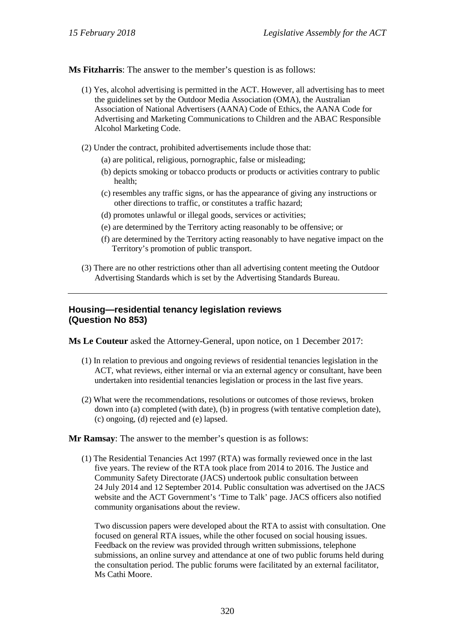**Ms Fitzharris**: The answer to the member's question is as follows:

- (1) Yes, alcohol advertising is permitted in the ACT. However, all advertising has to meet the guidelines set by the Outdoor Media Association (OMA), the Australian Association of National Advertisers (AANA) Code of Ethics, the AANA Code for Advertising and Marketing Communications to Children and the ABAC Responsible Alcohol Marketing Code.
- (2) Under the contract, prohibited advertisements include those that:
	- (a) are political, religious, pornographic, false or misleading;
	- (b) depicts smoking or tobacco products or products or activities contrary to public health;
	- (c) resembles any traffic signs, or has the appearance of giving any instructions or other directions to traffic, or constitutes a traffic hazard;
	- (d) promotes unlawful or illegal goods, services or activities;
	- (e) are determined by the Territory acting reasonably to be offensive; or
	- (f) are determined by the Territory acting reasonably to have negative impact on the Territory's promotion of public transport.
- (3) There are no other restrictions other than all advertising content meeting the Outdoor Advertising Standards which is set by the Advertising Standards Bureau.

## **Housing—residential tenancy legislation reviews (Question No 853)**

**Ms Le Couteur** asked the Attorney-General, upon notice, on 1 December 2017:

- (1) In relation to previous and ongoing reviews of residential tenancies legislation in the ACT, what reviews, either internal or via an external agency or consultant, have been undertaken into residential tenancies legislation or process in the last five years.
- (2) What were the recommendations, resolutions or outcomes of those reviews, broken down into (a) completed (with date), (b) in progress (with tentative completion date), (c) ongoing, (d) rejected and (e) lapsed.

**Mr Ramsay**: The answer to the member's question is as follows:

(1) The Residential Tenancies Act 1997 (RTA) was formally reviewed once in the last five years. The review of the RTA took place from 2014 to 2016. The Justice and Community Safety Directorate (JACS) undertook public consultation between 24 July 2014 and 12 September 2014. Public consultation was advertised on the JACS website and the ACT Government's 'Time to Talk' page. JACS officers also notified community organisations about the review.

Two discussion papers were developed about the RTA to assist with consultation. One focused on general RTA issues, while the other focused on social housing issues. Feedback on the review was provided through written submissions, telephone submissions, an online survey and attendance at one of two public forums held during the consultation period. The public forums were facilitated by an external facilitator, Ms Cathi Moore.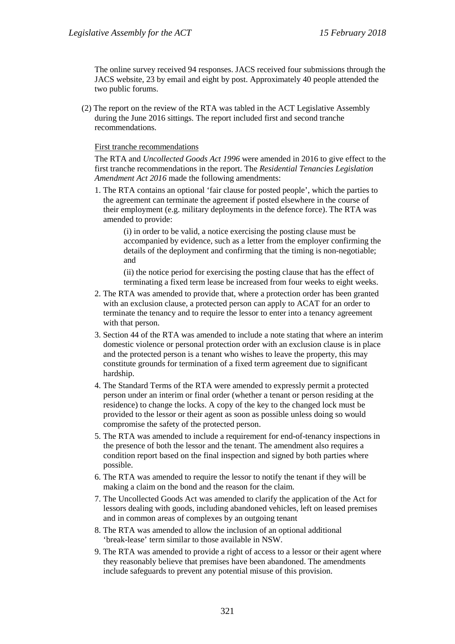The online survey received 94 responses. JACS received four submissions through the JACS website, 23 by email and eight by post. Approximately 40 people attended the two public forums.

(2) The report on the review of the RTA was tabled in the ACT Legislative Assembly during the June 2016 sittings. The report included first and second tranche recommendations.

#### First tranche recommendations

The RTA and *Uncollected Goods Act 1996* were amended in 2016 to give effect to the first tranche recommendations in the report. The *Residential Tenancies Legislation Amendment Act 2016* made the following amendments:

1. The RTA contains an optional 'fair clause for posted people', which the parties to the agreement can terminate the agreement if posted elsewhere in the course of their employment (e.g. military deployments in the defence force). The RTA was amended to provide:

(i) in order to be valid, a notice exercising the posting clause must be accompanied by evidence, such as a letter from the employer confirming the details of the deployment and confirming that the timing is non-negotiable; and

(ii) the notice period for exercising the posting clause that has the effect of terminating a fixed term lease be increased from four weeks to eight weeks.

- 2. The RTA was amended to provide that, where a protection order has been granted with an exclusion clause, a protected person can apply to ACAT for an order to terminate the tenancy and to require the lessor to enter into a tenancy agreement with that person.
- 3. Section 44 of the RTA was amended to include a note stating that where an interim domestic violence or personal protection order with an exclusion clause is in place and the protected person is a tenant who wishes to leave the property, this may constitute grounds for termination of a fixed term agreement due to significant hardship.
- 4. The Standard Terms of the RTA were amended to expressly permit a protected person under an interim or final order (whether a tenant or person residing at the residence) to change the locks. A copy of the key to the changed lock must be provided to the lessor or their agent as soon as possible unless doing so would compromise the safety of the protected person.
- 5. The RTA was amended to include a requirement for end-of-tenancy inspections in the presence of both the lessor and the tenant. The amendment also requires a condition report based on the final inspection and signed by both parties where possible.
- 6. The RTA was amended to require the lessor to notify the tenant if they will be making a claim on the bond and the reason for the claim.
- 7. The Uncollected Goods Act was amended to clarify the application of the Act for lessors dealing with goods, including abandoned vehicles, left on leased premises and in common areas of complexes by an outgoing tenant
- 8. The RTA was amended to allow the inclusion of an optional additional 'break-lease' term similar to those available in NSW.
- 9. The RTA was amended to provide a right of access to a lessor or their agent where they reasonably believe that premises have been abandoned. The amendments include safeguards to prevent any potential misuse of this provision.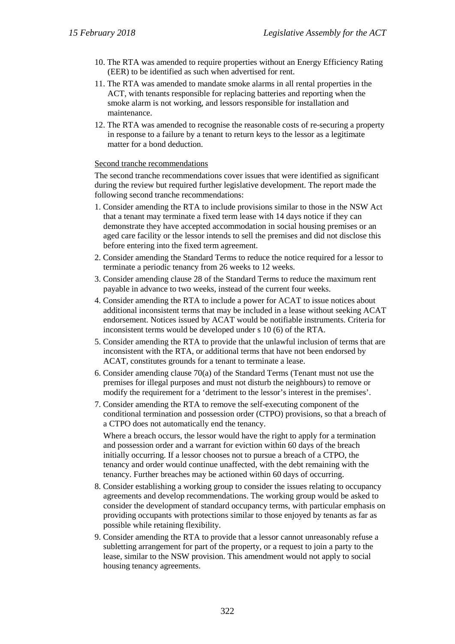- 10. The RTA was amended to require properties without an Energy Efficiency Rating (EER) to be identified as such when advertised for rent.
- 11. The RTA was amended to mandate smoke alarms in all rental properties in the ACT, with tenants responsible for replacing batteries and reporting when the smoke alarm is not working, and lessors responsible for installation and maintenance.
- 12. The RTA was amended to recognise the reasonable costs of re-securing a property in response to a failure by a tenant to return keys to the lessor as a legitimate matter for a bond deduction.

#### Second tranche recommendations

The second tranche recommendations cover issues that were identified as significant during the review but required further legislative development. The report made the following second tranche recommendations:

- 1. Consider amending the RTA to include provisions similar to those in the NSW Act that a tenant may terminate a fixed term lease with 14 days notice if they can demonstrate they have accepted accommodation in social housing premises or an aged care facility or the lessor intends to sell the premises and did not disclose this before entering into the fixed term agreement.
- 2. Consider amending the Standard Terms to reduce the notice required for a lessor to terminate a periodic tenancy from 26 weeks to 12 weeks.
- 3. Consider amending clause 28 of the Standard Terms to reduce the maximum rent payable in advance to two weeks, instead of the current four weeks.
- 4. Consider amending the RTA to include a power for ACAT to issue notices about additional inconsistent terms that may be included in a lease without seeking ACAT endorsement. Notices issued by ACAT would be notifiable instruments. Criteria for inconsistent terms would be developed under s 10 (6) of the RTA.
- 5. Consider amending the RTA to provide that the unlawful inclusion of terms that are inconsistent with the RTA, or additional terms that have not been endorsed by ACAT, constitutes grounds for a tenant to terminate a lease.
- 6. Consider amending clause 70(a) of the Standard Terms (Tenant must not use the premises for illegal purposes and must not disturb the neighbours) to remove or modify the requirement for a 'detriment to the lessor's interest in the premises'.
- 7. Consider amending the RTA to remove the self-executing component of the conditional termination and possession order (CTPO) provisions, so that a breach of a CTPO does not automatically end the tenancy.

Where a breach occurs, the lessor would have the right to apply for a termination and possession order and a warrant for eviction within 60 days of the breach initially occurring. If a lessor chooses not to pursue a breach of a CTPO, the tenancy and order would continue unaffected, with the debt remaining with the tenancy. Further breaches may be actioned within 60 days of occurring.

- 8. Consider establishing a working group to consider the issues relating to occupancy agreements and develop recommendations. The working group would be asked to consider the development of standard occupancy terms, with particular emphasis on providing occupants with protections similar to those enjoyed by tenants as far as possible while retaining flexibility.
- 9. Consider amending the RTA to provide that a lessor cannot unreasonably refuse a subletting arrangement for part of the property, or a request to join a party to the lease, similar to the NSW provision. This amendment would not apply to social housing tenancy agreements.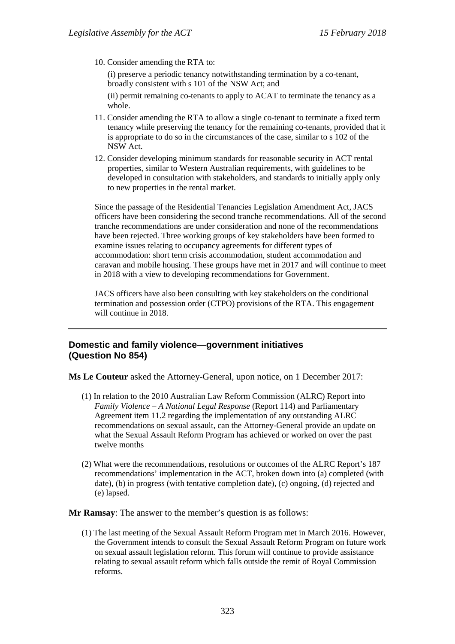10. Consider amending the RTA to:

(i) preserve a periodic tenancy notwithstanding termination by a co-tenant, broadly consistent with s 101 of the NSW Act; and

(ii) permit remaining co-tenants to apply to ACAT to terminate the tenancy as a whole.

- 11. Consider amending the RTA to allow a single co-tenant to terminate a fixed term tenancy while preserving the tenancy for the remaining co-tenants, provided that it is appropriate to do so in the circumstances of the case, similar to s 102 of the NSW Act.
- 12. Consider developing minimum standards for reasonable security in ACT rental properties, similar to Western Australian requirements, with guidelines to be developed in consultation with stakeholders, and standards to initially apply only to new properties in the rental market.

Since the passage of the Residential Tenancies Legislation Amendment Act, JACS officers have been considering the second tranche recommendations. All of the second tranche recommendations are under consideration and none of the recommendations have been rejected. Three working groups of key stakeholders have been formed to examine issues relating to occupancy agreements for different types of accommodation: short term crisis accommodation, student accommodation and caravan and mobile housing. These groups have met in 2017 and will continue to meet in 2018 with a view to developing recommendations for Government.

JACS officers have also been consulting with key stakeholders on the conditional termination and possession order (CTPO) provisions of the RTA. This engagement will continue in 2018.

## **Domestic and family violence—government initiatives (Question No 854)**

**Ms Le Couteur** asked the Attorney-General, upon notice, on 1 December 2017:

- (1) In relation to the 2010 Australian Law Reform Commission (ALRC) Report into *Family Violence – A National Legal Response* (Report 114) and Parliamentary Agreement item 11.2 regarding the implementation of any outstanding ALRC recommendations on sexual assault, can the Attorney-General provide an update on what the Sexual Assault Reform Program has achieved or worked on over the past twelve months
- (2) What were the recommendations, resolutions or outcomes of the ALRC Report's 187 recommendations' implementation in the ACT, broken down into (a) completed (with date), (b) in progress (with tentative completion date), (c) ongoing, (d) rejected and (e) lapsed.

**Mr Ramsay**: The answer to the member's question is as follows:

(1) The last meeting of the Sexual Assault Reform Program met in March 2016. However, the Government intends to consult the Sexual Assault Reform Program on future work on sexual assault legislation reform. This forum will continue to provide assistance relating to sexual assault reform which falls outside the remit of Royal Commission reforms.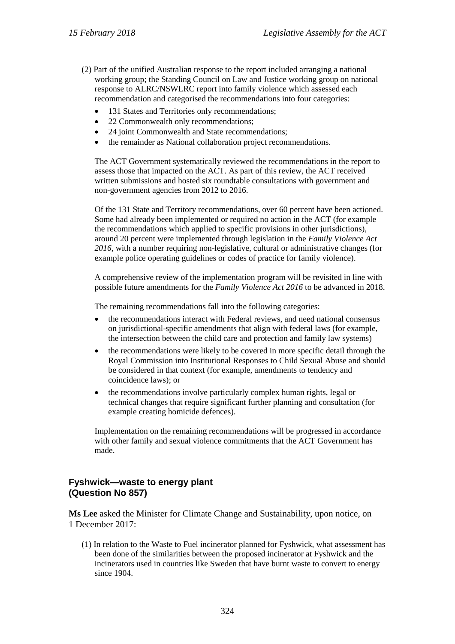- (2) Part of the unified Australian response to the report included arranging a national working group; the Standing Council on Law and Justice working group on national response to ALRC/NSWLRC report into family violence which assessed each recommendation and categorised the recommendations into four categories:
	- 131 States and Territories only recommendations;
	- 22 Commonwealth only recommendations;
	- 24 joint Commonwealth and State recommendations;
	- the remainder as National collaboration project recommendations.

The ACT Government systematically reviewed the recommendations in the report to assess those that impacted on the ACT. As part of this review, the ACT received written submissions and hosted six roundtable consultations with government and non-government agencies from 2012 to 2016.

Of the 131 State and Territory recommendations, over 60 percent have been actioned. Some had already been implemented or required no action in the ACT (for example the recommendations which applied to specific provisions in other jurisdictions), around 20 percent were implemented through legislation in the *Family Violence Act 2016*, with a number requiring non-legislative, cultural or administrative changes (for example police operating guidelines or codes of practice for family violence).

A comprehensive review of the implementation program will be revisited in line with possible future amendments for the *Family Violence Act 2016* to be advanced in 2018.

The remaining recommendations fall into the following categories:

- the recommendations interact with Federal reviews, and need national consensus on jurisdictional-specific amendments that align with federal laws (for example, the intersection between the child care and protection and family law systems)
- the recommendations were likely to be covered in more specific detail through the Royal Commission into Institutional Responses to Child Sexual Abuse and should be considered in that context (for example, amendments to tendency and coincidence laws); or
- the recommendations involve particularly complex human rights, legal or technical changes that require significant further planning and consultation (for example creating homicide defences).

Implementation on the remaining recommendations will be progressed in accordance with other family and sexual violence commitments that the ACT Government has made.

# **Fyshwick—waste to energy plant (Question No 857)**

**Ms Lee** asked the Minister for Climate Change and Sustainability, upon notice, on 1 December 2017:

(1) In relation to the Waste to Fuel incinerator planned for Fyshwick, what assessment has been done of the similarities between the proposed incinerator at Fyshwick and the incinerators used in countries like Sweden that have burnt waste to convert to energy since 1904.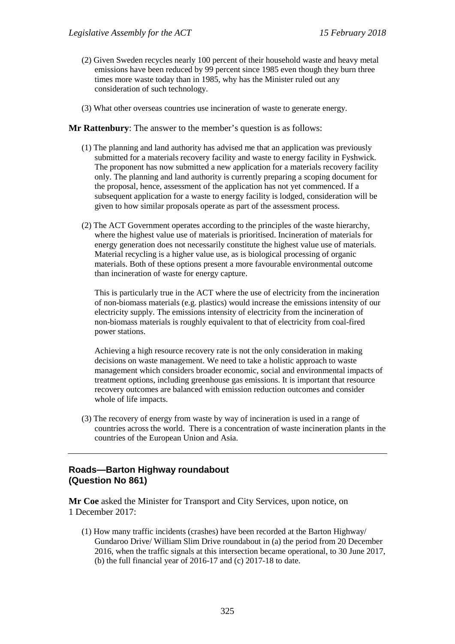- (2) Given Sweden recycles nearly 100 percent of their household waste and heavy metal emissions have been reduced by 99 percent since 1985 even though they burn three times more waste today than in 1985, why has the Minister ruled out any consideration of such technology.
- (3) What other overseas countries use incineration of waste to generate energy.

#### **Mr Rattenbury**: The answer to the member's question is as follows:

- (1) The planning and land authority has advised me that an application was previously submitted for a materials recovery facility and waste to energy facility in Fyshwick. The proponent has now submitted a new application for a materials recovery facility only. The planning and land authority is currently preparing a scoping document for the proposal, hence, assessment of the application has not yet commenced. If a subsequent application for a waste to energy facility is lodged, consideration will be given to how similar proposals operate as part of the assessment process.
- (2) The ACT Government operates according to the principles of the waste hierarchy, where the highest value use of materials is prioritised. Incineration of materials for energy generation does not necessarily constitute the highest value use of materials. Material recycling is a higher value use, as is biological processing of organic materials. Both of these options present a more favourable environmental outcome than incineration of waste for energy capture.

This is particularly true in the ACT where the use of electricity from the incineration of non-biomass materials (e.g. plastics) would increase the emissions intensity of our electricity supply. The emissions intensity of electricity from the incineration of non-biomass materials is roughly equivalent to that of electricity from coal-fired power stations.

Achieving a high resource recovery rate is not the only consideration in making decisions on waste management. We need to take a holistic approach to waste management which considers broader economic, social and environmental impacts of treatment options, including greenhouse gas emissions. It is important that resource recovery outcomes are balanced with emission reduction outcomes and consider whole of life impacts.

(3) The recovery of energy from waste by way of incineration is used in a range of countries across the world. There is a concentration of waste incineration plants in the countries of the European Union and Asia.

## **Roads—Barton Highway roundabout (Question No 861)**

**Mr Coe** asked the Minister for Transport and City Services, upon notice, on 1 December 2017:

(1) How many traffic incidents (crashes) have been recorded at the Barton Highway/ Gundaroo Drive/ William Slim Drive roundabout in (a) the period from 20 December 2016, when the traffic signals at this intersection became operational, to 30 June 2017, (b) the full financial year of 2016-17 and (c) 2017-18 to date.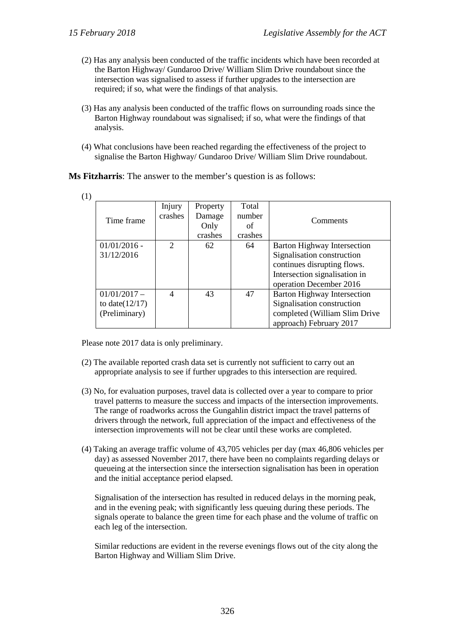- (2) Has any analysis been conducted of the traffic incidents which have been recorded at the Barton Highway/ Gundaroo Drive/ William Slim Drive roundabout since the intersection was signalised to assess if further upgrades to the intersection are required; if so, what were the findings of that analysis.
- (3) Has any analysis been conducted of the traffic flows on surrounding roads since the Barton Highway roundabout was signalised; if so, what were the findings of that analysis.
- (4) What conclusions have been reached regarding the effectiveness of the project to signalise the Barton Highway/ Gundaroo Drive/ William Slim Drive roundabout.

**Ms Fitzharris**: The answer to the member's question is as follows:

| ×<br>۳ |  |  |  |  |
|--------|--|--|--|--|
|--------|--|--|--|--|

| - 1 |                   |               |          |         |                                    |
|-----|-------------------|---------------|----------|---------|------------------------------------|
|     |                   | Injury        | Property | Total   |                                    |
|     | Time frame        | crashes       | Damage   | number  | Comments                           |
|     |                   |               | Only     | οf      |                                    |
|     |                   |               | crashes  | crashes |                                    |
|     | $01/01/2016$ -    | $\mathcal{D}$ | 62       | 64      | <b>Barton Highway Intersection</b> |
|     | 31/12/2016        |               |          |         | Signalisation construction         |
|     |                   |               |          |         | continues disrupting flows.        |
|     |                   |               |          |         | Intersection signalisation in      |
|     |                   |               |          |         | operation December 2016            |
|     | $01/01/2017 -$    | 4             | 43       | 47      | <b>Barton Highway Intersection</b> |
|     | to date $(12/17)$ |               |          |         | Signalisation construction         |
|     | (Preliminary)     |               |          |         | completed (William Slim Drive      |
|     |                   |               |          |         | approach) February 2017            |

Please note 2017 data is only preliminary.

- (2) The available reported crash data set is currently not sufficient to carry out an appropriate analysis to see if further upgrades to this intersection are required.
- (3) No, for evaluation purposes, travel data is collected over a year to compare to prior travel patterns to measure the success and impacts of the intersection improvements. The range of roadworks across the Gungahlin district impact the travel patterns of drivers through the network, full appreciation of the impact and effectiveness of the intersection improvements will not be clear until these works are completed.
- (4) Taking an average traffic volume of 43,705 vehicles per day (max 46,806 vehicles per day) as assessed November 2017, there have been no complaints regarding delays or queueing at the intersection since the intersection signalisation has been in operation and the initial acceptance period elapsed.

Signalisation of the intersection has resulted in reduced delays in the morning peak, and in the evening peak; with significantly less queuing during these periods. The signals operate to balance the green time for each phase and the volume of traffic on each leg of the intersection.

Similar reductions are evident in the reverse evenings flows out of the city along the Barton Highway and William Slim Drive.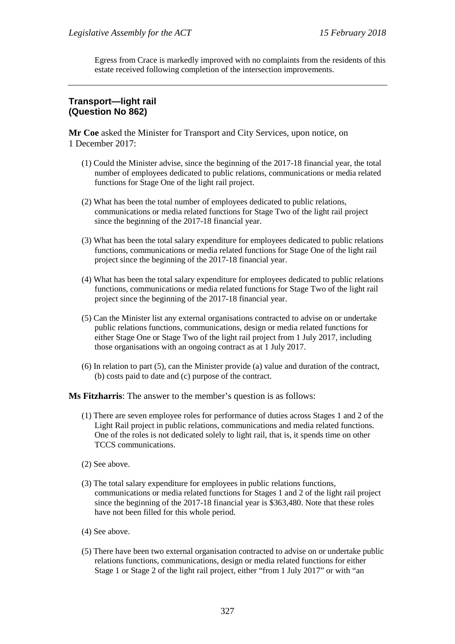Egress from Crace is markedly improved with no complaints from the residents of this estate received following completion of the intersection improvements.

# **Transport—light rail (Question No 862)**

**Mr Coe** asked the Minister for Transport and City Services, upon notice, on 1 December 2017:

- (1) Could the Minister advise, since the beginning of the 2017-18 financial year, the total number of employees dedicated to public relations, communications or media related functions for Stage One of the light rail project.
- (2) What has been the total number of employees dedicated to public relations, communications or media related functions for Stage Two of the light rail project since the beginning of the 2017-18 financial year.
- (3) What has been the total salary expenditure for employees dedicated to public relations functions, communications or media related functions for Stage One of the light rail project since the beginning of the 2017-18 financial year.
- (4) What has been the total salary expenditure for employees dedicated to public relations functions, communications or media related functions for Stage Two of the light rail project since the beginning of the 2017-18 financial year.
- (5) Can the Minister list any external organisations contracted to advise on or undertake public relations functions, communications, design or media related functions for either Stage One or Stage Two of the light rail project from 1 July 2017, including those organisations with an ongoing contract as at 1 July 2017.
- (6) In relation to part (5), can the Minister provide (a) value and duration of the contract, (b) costs paid to date and (c) purpose of the contract.

**Ms Fitzharris**: The answer to the member's question is as follows:

- (1) There are seven employee roles for performance of duties across Stages 1 and 2 of the Light Rail project in public relations, communications and media related functions. One of the roles is not dedicated solely to light rail, that is, it spends time on other TCCS communications.
- (2) See above.
- (3) The total salary expenditure for employees in public relations functions, communications or media related functions for Stages 1 and 2 of the light rail project since the beginning of the 2017-18 financial year is \$363,480. Note that these roles have not been filled for this whole period.
- (4) See above.
- (5) There have been two external organisation contracted to advise on or undertake public relations functions, communications, design or media related functions for either Stage 1 or Stage 2 of the light rail project, either "from 1 July 2017" or with "an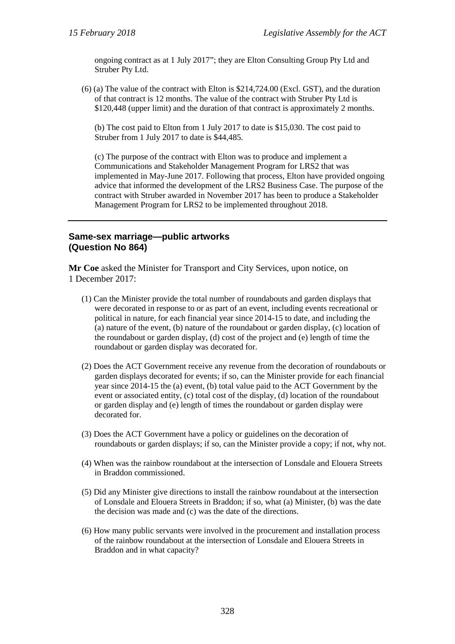ongoing contract as at 1 July 2017"; they are Elton Consulting Group Pty Ltd and Struber Pty Ltd.

(6) (a) The value of the contract with Elton is \$214,724.00 (Excl. GST), and the duration of that contract is 12 months. The value of the contract with Struber Pty Ltd is \$120,448 (upper limit) and the duration of that contract is approximately 2 months.

(b) The cost paid to Elton from 1 July 2017 to date is \$15,030. The cost paid to Struber from 1 July 2017 to date is \$44,485.

(c) The purpose of the contract with Elton was to produce and implement a Communications and Stakeholder Management Program for LRS2 that was implemented in May-June 2017. Following that process, Elton have provided ongoing advice that informed the development of the LRS2 Business Case. The purpose of the contract with Struber awarded in November 2017 has been to produce a Stakeholder Management Program for LRS2 to be implemented throughout 2018.

# **Same-sex marriage—public artworks (Question No 864)**

**Mr Coe** asked the Minister for Transport and City Services, upon notice, on 1 December 2017:

- (1) Can the Minister provide the total number of roundabouts and garden displays that were decorated in response to or as part of an event, including events recreational or political in nature, for each financial year since 2014-15 to date, and including the (a) nature of the event, (b) nature of the roundabout or garden display, (c) location of the roundabout or garden display, (d) cost of the project and (e) length of time the roundabout or garden display was decorated for.
- (2) Does the ACT Government receive any revenue from the decoration of roundabouts or garden displays decorated for events; if so, can the Minister provide for each financial year since 2014-15 the (a) event, (b) total value paid to the ACT Government by the event or associated entity, (c) total cost of the display, (d) location of the roundabout or garden display and (e) length of times the roundabout or garden display were decorated for.
- (3) Does the ACT Government have a policy or guidelines on the decoration of roundabouts or garden displays; if so, can the Minister provide a copy; if not, why not.
- (4) When was the rainbow roundabout at the intersection of Lonsdale and Elouera Streets in Braddon commissioned.
- (5) Did any Minister give directions to install the rainbow roundabout at the intersection of Lonsdale and Elouera Streets in Braddon; if so, what (a) Minister, (b) was the date the decision was made and (c) was the date of the directions.
- (6) How many public servants were involved in the procurement and installation process of the rainbow roundabout at the intersection of Lonsdale and Elouera Streets in Braddon and in what capacity?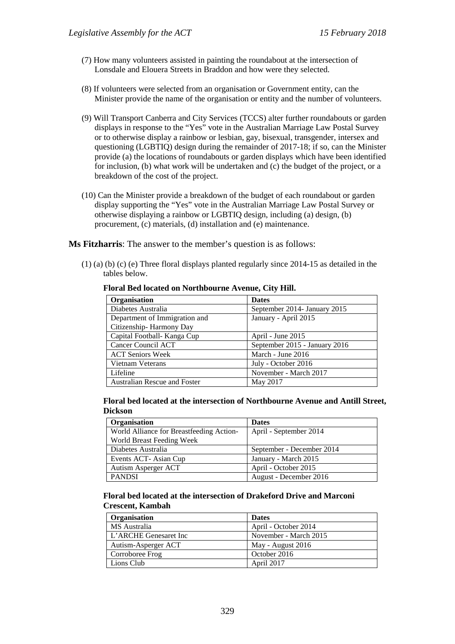- (7) How many volunteers assisted in painting the roundabout at the intersection of Lonsdale and Elouera Streets in Braddon and how were they selected.
- (8) If volunteers were selected from an organisation or Government entity, can the Minister provide the name of the organisation or entity and the number of volunteers.
- (9) Will Transport Canberra and City Services (TCCS) alter further roundabouts or garden displays in response to the "Yes" vote in the Australian Marriage Law Postal Survey or to otherwise display a rainbow or lesbian, gay, bisexual, transgender, intersex and questioning (LGBTIQ) design during the remainder of 2017-18; if so, can the Minister provide (a) the locations of roundabouts or garden displays which have been identified for inclusion, (b) what work will be undertaken and (c) the budget of the project, or a breakdown of the cost of the project.
- (10) Can the Minister provide a breakdown of the budget of each roundabout or garden display supporting the "Yes" vote in the Australian Marriage Law Postal Survey or otherwise displaying a rainbow or LGBTIQ design, including (a) design, (b) procurement, (c) materials, (d) installation and (e) maintenance.

**Ms Fitzharris**: The answer to the member's question is as follows:

(1) (a) (b) (c) (e) Three floral displays planted regularly since 2014-15 as detailed in the tables below.

| Organisation                  | <b>Dates</b>                  |
|-------------------------------|-------------------------------|
| Diabetes Australia            | September 2014- January 2015  |
| Department of Immigration and | January - April 2015          |
| Citizenship-Harmony Day       |                               |
| Capital Football- Kanga Cup   | April - June 2015             |
| Cancer Council ACT            | September 2015 - January 2016 |
| <b>ACT Seniors Week</b>       | March - June 2016             |
| Vietnam Veterans              | July - October 2016           |
| Lifeline                      | November - March 2017         |
| Australian Rescue and Foster  | May 2017                      |

#### **Floral Bed located on Northbourne Avenue, City Hill.**

**Floral bed located at the intersection of Northbourne Avenue and Antill Street, Dickson** 

| Organisation                             | <b>Dates</b>              |
|------------------------------------------|---------------------------|
| World Alliance for Breastfeeding Action- | April - September 2014    |
| World Breast Feeding Week                |                           |
| Diabetes Australia                       | September - December 2014 |
| Events ACT-Asian Cup                     | January - March 2015      |
| Autism Asperger ACT                      | April - October 2015      |
| <b>PANDSI</b>                            | August - December 2016    |

#### **Floral bed located at the intersection of Drakeford Drive and Marconi Crescent, Kambah**

| Organisation          | <b>Dates</b>          |
|-----------------------|-----------------------|
| MS Australia          | April - October 2014  |
| L'ARCHE Genesaret Inc | November - March 2015 |
| Autism-Asperger ACT   | May - August 2016     |
| Corroboree Frog       | October 2016          |
| Lions Club            | April 2017            |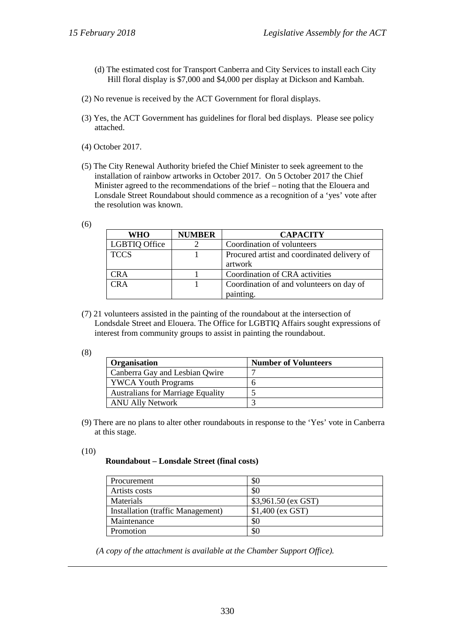- (d) The estimated cost for Transport Canberra and City Services to install each City Hill floral display is \$7,000 and \$4,000 per display at Dickson and Kambah.
- (2) No revenue is received by the ACT Government for floral displays.
- (3) Yes, the ACT Government has guidelines for floral bed displays. Please see policy attached.
- (4) October 2017.
- (5) The City Renewal Authority briefed the Chief Minister to seek agreement to the installation of rainbow artworks in October 2017. On 5 October 2017 the Chief Minister agreed to the recommendations of the brief – noting that the Elouera and Lonsdale Street Roundabout should commence as a recognition of a 'yes' vote after the resolution was known.

| I<br>۰<br>٦<br>v<br>×<br>×<br>× | ٦<br>I<br>۳ |
|---------------------------------|-------------|
|---------------------------------|-------------|

| WHO                  | <b>NUMBER</b> | <b>CAPACITY</b>                             |
|----------------------|---------------|---------------------------------------------|
| <b>LGBTIQ Office</b> |               | Coordination of volunteers                  |
| <b>TCCS</b>          |               | Procured artist and coordinated delivery of |
|                      |               | artwork                                     |
| CR A                 |               | Coordination of CRA activities              |
| CRA                  |               | Coordination of and volunteers on day of    |
|                      |               | painting.                                   |

(7) 21 volunteers assisted in the painting of the roundabout at the intersection of Londsdale Street and Elouera. The Office for LGBTIQ Affairs sought expressions of interest from community groups to assist in painting the roundabout.

<sup>(8)</sup>

| <b>Organisation</b>                      | <b>Number of Volunteers</b> |
|------------------------------------------|-----------------------------|
| Canberra Gay and Lesbian Qwire           |                             |
| <b>YWCA Youth Programs</b>               |                             |
| <b>Australians for Marriage Equality</b> |                             |
| <b>ANU Ally Network</b>                  |                             |

(9) There are no plans to alter other roundabouts in response to the 'Yes' vote in Canberra at this stage.

#### (10)

#### **Roundabout – Lonsdale Street (final costs)**

| Procurement                       | \$0                  |
|-----------------------------------|----------------------|
| Artists costs                     | \$0                  |
| <b>Materials</b>                  | $$3,961.50$ (ex GST) |
| Installation (traffic Management) | $$1,400$ (ex GST)    |
| Maintenance                       | \$0                  |
| Promotion                         | \$0                  |

*(A copy of the attachment is available at the Chamber Support Office).*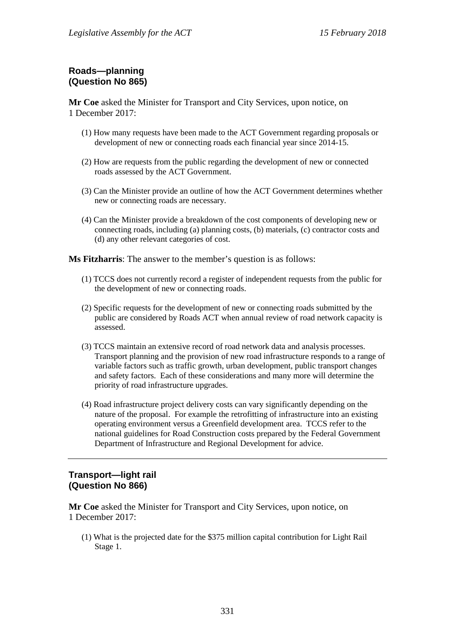# **Roads—planning (Question No 865)**

**Mr Coe** asked the Minister for Transport and City Services, upon notice, on 1 December 2017:

- (1) How many requests have been made to the ACT Government regarding proposals or development of new or connecting roads each financial year since 2014-15.
- (2) How are requests from the public regarding the development of new or connected roads assessed by the ACT Government.
- (3) Can the Minister provide an outline of how the ACT Government determines whether new or connecting roads are necessary.
- (4) Can the Minister provide a breakdown of the cost components of developing new or connecting roads, including (a) planning costs, (b) materials, (c) contractor costs and (d) any other relevant categories of cost.

**Ms Fitzharris**: The answer to the member's question is as follows:

- (1) TCCS does not currently record a register of independent requests from the public for the development of new or connecting roads.
- (2) Specific requests for the development of new or connecting roads submitted by the public are considered by Roads ACT when annual review of road network capacity is assessed.
- (3) TCCS maintain an extensive record of road network data and analysis processes. Transport planning and the provision of new road infrastructure responds to a range of variable factors such as traffic growth, urban development, public transport changes and safety factors. Each of these considerations and many more will determine the priority of road infrastructure upgrades.
- (4) Road infrastructure project delivery costs can vary significantly depending on the nature of the proposal. For example the retrofitting of infrastructure into an existing operating environment versus a Greenfield development area. TCCS refer to the national guidelines for Road Construction costs prepared by the Federal Government Department of Infrastructure and Regional Development for advice.

# **Transport—light rail (Question No 866)**

**Mr Coe** asked the Minister for Transport and City Services, upon notice, on 1 December 2017:

(1) What is the projected date for the \$375 million capital contribution for Light Rail Stage 1.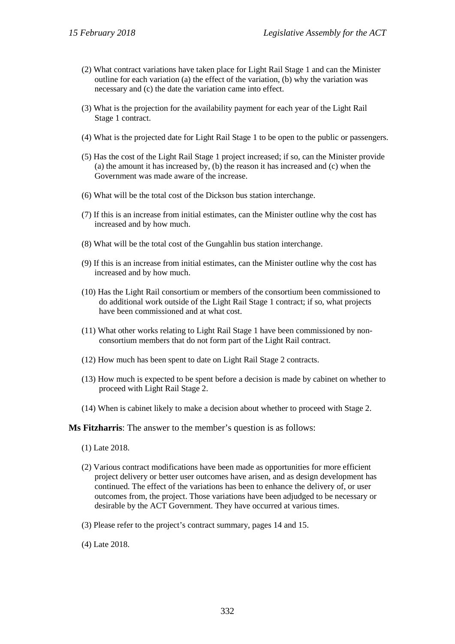- (2) What contract variations have taken place for Light Rail Stage 1 and can the Minister outline for each variation (a) the effect of the variation, (b) why the variation was necessary and (c) the date the variation came into effect.
- (3) What is the projection for the availability payment for each year of the Light Rail Stage 1 contract.
- (4) What is the projected date for Light Rail Stage 1 to be open to the public or passengers.
- (5) Has the cost of the Light Rail Stage 1 project increased; if so, can the Minister provide (a) the amount it has increased by, (b) the reason it has increased and (c) when the Government was made aware of the increase.
- (6) What will be the total cost of the Dickson bus station interchange.
- (7) If this is an increase from initial estimates, can the Minister outline why the cost has increased and by how much.
- (8) What will be the total cost of the Gungahlin bus station interchange.
- (9) If this is an increase from initial estimates, can the Minister outline why the cost has increased and by how much.
- (10) Has the Light Rail consortium or members of the consortium been commissioned to do additional work outside of the Light Rail Stage 1 contract; if so, what projects have been commissioned and at what cost.
- (11) What other works relating to Light Rail Stage 1 have been commissioned by nonconsortium members that do not form part of the Light Rail contract.
- (12) How much has been spent to date on Light Rail Stage 2 contracts.
- (13) How much is expected to be spent before a decision is made by cabinet on whether to proceed with Light Rail Stage 2.
- (14) When is cabinet likely to make a decision about whether to proceed with Stage 2.

**Ms Fitzharris**: The answer to the member's question is as follows:

- (1) Late 2018.
- (2) Various contract modifications have been made as opportunities for more efficient project delivery or better user outcomes have arisen, and as design development has continued. The effect of the variations has been to enhance the delivery of, or user outcomes from, the project. Those variations have been adjudged to be necessary or desirable by the ACT Government. They have occurred at various times.
- (3) Please refer to the project's contract summary, pages 14 and 15.
- (4) Late 2018.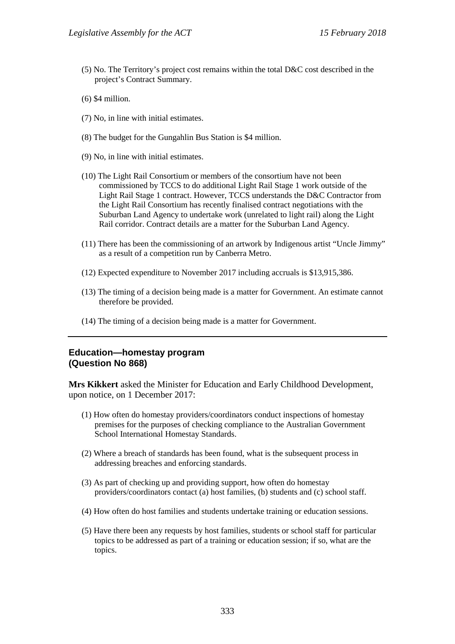- (5) No. The Territory's project cost remains within the total D&C cost described in the project's Contract Summary.
- (6) \$4 million.
- (7) No, in line with initial estimates.
- (8) The budget for the Gungahlin Bus Station is \$4 million.
- (9) No, in line with initial estimates.
- (10) The Light Rail Consortium or members of the consortium have not been commissioned by TCCS to do additional Light Rail Stage 1 work outside of the Light Rail Stage 1 contract. However, TCCS understands the D&C Contractor from the Light Rail Consortium has recently finalised contract negotiations with the Suburban Land Agency to undertake work (unrelated to light rail) along the Light Rail corridor. Contract details are a matter for the Suburban Land Agency.
- (11) There has been the commissioning of an artwork by Indigenous artist "Uncle Jimmy" as a result of a competition run by Canberra Metro.
- (12) Expected expenditure to November 2017 including accruals is \$13,915,386.
- (13) The timing of a decision being made is a matter for Government. An estimate cannot therefore be provided.
- (14) The timing of a decision being made is a matter for Government.

### **Education—homestay program (Question No 868)**

**Mrs Kikkert** asked the Minister for Education and Early Childhood Development, upon notice, on 1 December 2017:

- (1) How often do homestay providers/coordinators conduct inspections of homestay premises for the purposes of checking compliance to the Australian Government School International Homestay Standards.
- (2) Where a breach of standards has been found, what is the subsequent process in addressing breaches and enforcing standards.
- (3) As part of checking up and providing support, how often do homestay providers/coordinators contact (a) host families, (b) students and (c) school staff.
- (4) How often do host families and students undertake training or education sessions.
- (5) Have there been any requests by host families, students or school staff for particular topics to be addressed as part of a training or education session; if so, what are the topics.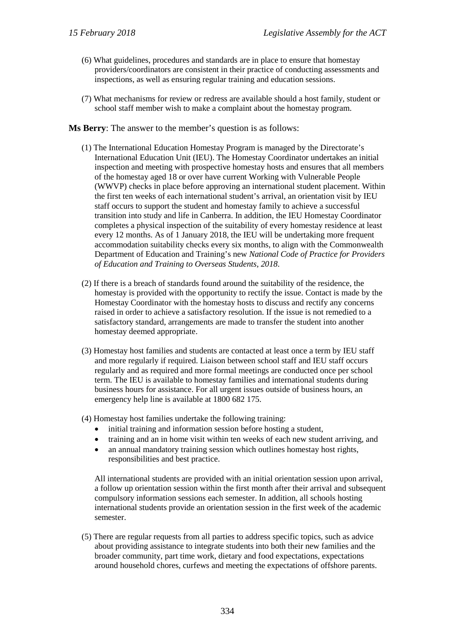- (6) What guidelines, procedures and standards are in place to ensure that homestay providers/coordinators are consistent in their practice of conducting assessments and inspections, as well as ensuring regular training and education sessions.
- (7) What mechanisms for review or redress are available should a host family, student or school staff member wish to make a complaint about the homestay program.
- **Ms Berry**: The answer to the member's question is as follows:
	- (1) The International Education Homestay Program is managed by the Directorate's International Education Unit (IEU). The Homestay Coordinator undertakes an initial inspection and meeting with prospective homestay hosts and ensures that all members of the homestay aged 18 or over have current Working with Vulnerable People (WWVP) checks in place before approving an international student placement. Within the first ten weeks of each international student's arrival, an orientation visit by IEU staff occurs to support the student and homestay family to achieve a successful transition into study and life in Canberra. In addition, the IEU Homestay Coordinator completes a physical inspection of the suitability of every homestay residence at least every 12 months. As of 1 January 2018, the IEU will be undertaking more frequent accommodation suitability checks every six months, to align with the Commonwealth Department of Education and Training's new *National Code of Practice for Providers of Education and Training to Overseas Students, 2018*.
	- (2) If there is a breach of standards found around the suitability of the residence, the homestay is provided with the opportunity to rectify the issue. Contact is made by the Homestay Coordinator with the homestay hosts to discuss and rectify any concerns raised in order to achieve a satisfactory resolution. If the issue is not remedied to a satisfactory standard, arrangements are made to transfer the student into another homestay deemed appropriate.
	- (3) Homestay host families and students are contacted at least once a term by IEU staff and more regularly if required. Liaison between school staff and IEU staff occurs regularly and as required and more formal meetings are conducted once per school term. The IEU is available to homestay families and international students during business hours for assistance. For all urgent issues outside of business hours, an emergency help line is available at 1800 682 175.
	- (4) Homestay host families undertake the following training:
		- initial training and information session before hosting a student,
		- training and an in home visit within ten weeks of each new student arriving, and
		- an annual mandatory training session which outlines homestay host rights, responsibilities and best practice.

All international students are provided with an initial orientation session upon arrival, a follow up orientation session within the first month after their arrival and subsequent compulsory information sessions each semester. In addition, all schools hosting international students provide an orientation session in the first week of the academic semester.

(5) There are regular requests from all parties to address specific topics, such as advice about providing assistance to integrate students into both their new families and the broader community, part time work, dietary and food expectations, expectations around household chores, curfews and meeting the expectations of offshore parents.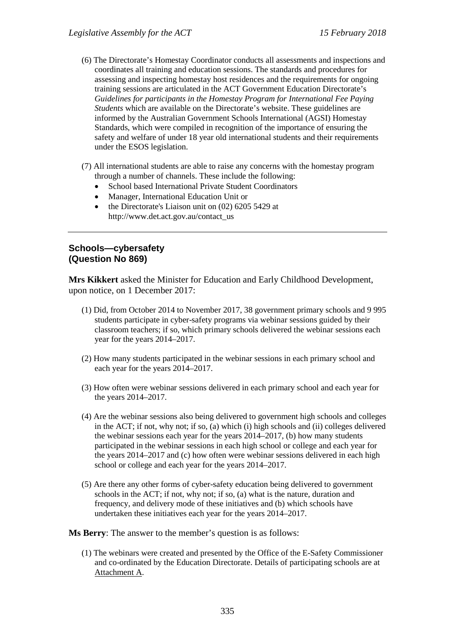- (6) The Directorate's Homestay Coordinator conducts all assessments and inspections and coordinates all training and education sessions. The standards and procedures for assessing and inspecting homestay host residences and the requirements for ongoing training sessions are articulated in the ACT Government Education Directorate's *Guidelines for participants in the Homestay Program for International Fee Paying Students* which are available on the Directorate's website. These guidelines are informed by the Australian Government Schools International (AGSI) Homestay Standards, which were compiled in recognition of the importance of ensuring the safety and welfare of under 18 year old international students and their requirements under the ESOS legislation.
- (7) All international students are able to raise any concerns with the homestay program through a number of channels. These include the following:
	- School based International Private Student Coordinators
	- Manager, International Education Unit or
	- the Directorate's Liaison unit on (02) 6205 5429 at http://www.det.act.gov.au/contact\_us

### **Schools—cybersafety (Question No 869)**

**Mrs Kikkert** asked the Minister for Education and Early Childhood Development, upon notice, on 1 December 2017:

- (1) Did, from October 2014 to November 2017, 38 government primary schools and 9 995 students participate in cyber-safety programs via webinar sessions guided by their classroom teachers; if so, which primary schools delivered the webinar sessions each year for the years 2014–2017.
- (2) How many students participated in the webinar sessions in each primary school and each year for the years 2014–2017.
- (3) How often were webinar sessions delivered in each primary school and each year for the years 2014–2017.
- (4) Are the webinar sessions also being delivered to government high schools and colleges in the ACT; if not, why not; if so, (a) which (i) high schools and (ii) colleges delivered the webinar sessions each year for the years 2014–2017, (b) how many students participated in the webinar sessions in each high school or college and each year for the years 2014–2017 and (c) how often were webinar sessions delivered in each high school or college and each year for the years 2014–2017.
- (5) Are there any other forms of cyber-safety education being delivered to government schools in the ACT; if not, why not; if so, (a) what is the nature, duration and frequency, and delivery mode of these initiatives and (b) which schools have undertaken these initiatives each year for the years 2014–2017.

**Ms Berry**: The answer to the member's question is as follows:

(1) The webinars were created and presented by the Office of the E-Safety Commissioner and co-ordinated by the Education Directorate. Details of participating schools are at Attachment A.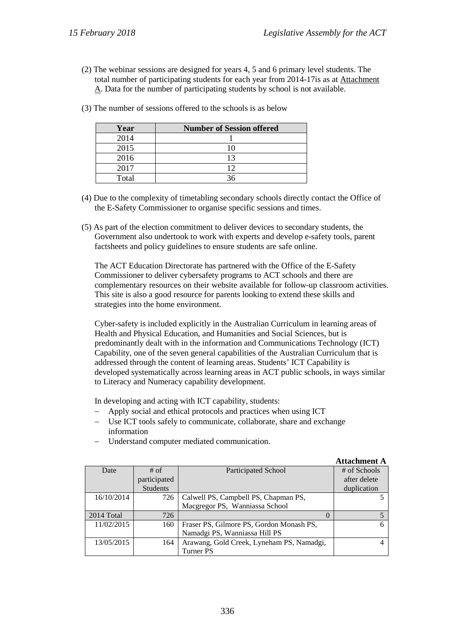**Attachment A**

(2) The webinar sessions are designed for years 4, 5 and 6 primary level students. The total number of participating students for each year from 2014-17is as at Attachment A. Data for the number of participating students by school is not available.

| Year  | <b>Number of Session offered</b> |
|-------|----------------------------------|
| 2014  |                                  |
| 2015  |                                  |
| 2016  |                                  |
| 2017  |                                  |
| Total |                                  |

(3) The number of sessions offered to the schools is as below

- (4) Due to the complexity of timetabling secondary schools directly contact the Office of the E-Safety Commissioner to organise specific sessions and times.
- (5) As part of the election commitment to deliver devices to secondary students, the Government also undertook to work with experts and develop e-safety tools, parent factsheets and policy guidelines to ensure students are safe online.

The ACT Education Directorate has partnered with the Office of the E-Safety Commissioner to deliver cybersafety programs to ACT schools and there are complementary resources on their website available for follow-up classroom activities. This site is also a good resource for parents looking to extend these skills and strategies into the home environment.

Cyber-safety is included explicitly in the Australian Curriculum in learning areas of Health and Physical Education, and Humanities and Social Sciences, but is predominantly dealt with in the information and Communications Technology (ICT) Capability, one of the seven general capabilities of the Australian Curriculum that is addressed through the content of learning areas. Students' ICT Capability is developed systematically across learning areas in ACT public schools, in ways similar to Literacy and Numeracy capability development.

In developing and acting with ICT capability, students:

- − Apply social and ethical protocols and practices when using ICT
- − Use ICT tools safely to communicate, collaborate, share and exchange information

|            |                 |                                           | $\mathbf{r}$ . The contract of $\mathbf{r}$ |
|------------|-----------------|-------------------------------------------|---------------------------------------------|
| Date       | $#$ of          | Participated School                       | # of Schools                                |
|            | participated    |                                           | after delete                                |
|            | <b>Students</b> |                                           | duplication                                 |
| 16/10/2014 | 726             | Calwell PS, Campbell PS, Chapman PS,      |                                             |
|            |                 | Macgregor PS, Wanniassa School            |                                             |
| 2014 Total | 726             | $\theta$                                  |                                             |
| 11/02/2015 | 160             | Fraser PS, Gilmore PS, Gordon Monash PS,  |                                             |
|            |                 | Namadgi PS, Wanniassa Hill PS             |                                             |
| 13/05/2015 | 164             | Arawang, Gold Creek, Lyneham PS, Namadgi, |                                             |
|            |                 | Turner PS                                 |                                             |

− Understand computer mediated communication.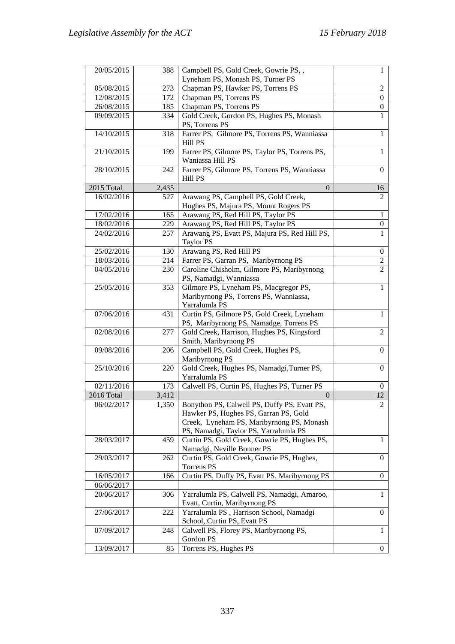| 20/05/2015 | 388   | Campbell PS, Gold Creek, Gowrie PS,,                  | $\mathbf{1}$     |
|------------|-------|-------------------------------------------------------|------------------|
|            |       | Lyneham PS, Monash PS, Turner PS                      |                  |
| 05/08/2015 | 273   | Chapman PS, Hawker PS, Torrens PS                     | 2                |
| 12/08/2015 | 172   | Chapman PS, Torrens PS                                | $\overline{0}$   |
| 26/08/2015 | 185   | Chapman PS, Torrens PS                                | 0                |
| 09/09/2015 | 334   | Gold Creek, Gordon PS, Hughes PS, Monash              | 1                |
|            |       | PS, Torrens PS                                        |                  |
| 14/10/2015 | 318   | Farrer PS, Gilmore PS, Torrens PS, Wanniassa          | 1                |
|            |       | Hill PS                                               |                  |
| 21/10/2015 | 199   | Farrer PS, Gilmore PS, Taylor PS, Torrens PS,         | 1                |
|            |       | Waniassa Hill PS                                      |                  |
| 28/10/2015 | 242   | Farrer PS, Gilmore PS, Torrens PS, Wanniassa          | $\Omega$         |
|            |       | Hill PS                                               |                  |
| 2015 Total | 2,435 | $\theta$                                              | 16               |
| 16/02/2016 | 527   | Arawang PS, Campbell PS, Gold Creek,                  | $\overline{2}$   |
|            |       | Hughes PS, Majura PS, Mount Rogers PS                 |                  |
| 17/02/2016 | 165   | Arawang PS, Red Hill PS, Taylor PS                    | $\mathbf{1}$     |
| 18/02/2016 | 229   | Arawang PS, Red Hill PS, Taylor PS                    | $\boldsymbol{0}$ |
| 24/02/2016 | 257   | Arawang PS, Evatt PS, Majura PS, Red Hill PS,         | 1                |
|            |       | <b>Taylor PS</b>                                      |                  |
| 25/02/2016 | 130   | Arawang PS, Red Hill PS                               | 0                |
| 18/03/2016 | 214   | Farrer PS, Garran PS, Maribyrnong PS                  | 2                |
| 04/05/2016 | 230   | Caroline Chisholm, Gilmore PS, Maribyrnong            | $\overline{c}$   |
|            |       | PS, Namadgi, Wanniassa                                |                  |
| 25/05/2016 | 353   | Gilmore PS, Lyneham PS, Macgregor PS,                 | $\mathbf{1}$     |
|            |       | Maribyrnong PS, Torrens PS, Wanniassa,                |                  |
|            |       | Yarralumla PS                                         |                  |
| 07/06/2016 | 431   | Curtin PS, Gilmore PS, Gold Creek, Lyneham            | $\mathbf{1}$     |
|            |       | PS, Maribyrnong PS, Namadge, Torrens PS               |                  |
| 02/08/2016 | 277   | Gold Creek, Harrison, Hughes PS, Kingsford            | $\overline{2}$   |
|            |       | Smith, Maribyrnong PS                                 | 0                |
| 09/08/2016 | 206   | Campbell PS, Gold Creek, Hughes PS,<br>Maribyrnong PS |                  |
| 25/10/2016 | 220   | Gold Creek, Hughes PS, Namadgi, Turner PS,            | 0                |
|            |       | Yarralumla PS                                         |                  |
| 02/11/2016 | 173   | Calwell PS, Curtin PS, Hughes PS, Turner PS           | 0                |
| 2016 Total | 3,412 | $\theta$                                              | 12               |
| 06/02/2017 | 1,350 | Bonython PS, Calwell PS, Duffy PS, Evatt PS,          | $\overline{2}$   |
|            |       | Hawker PS, Hughes PS, Garran PS, Gold                 |                  |
|            |       | Creek, Lyneham PS, Maribyrnong PS, Monash             |                  |
|            |       | PS, Namadgi, Taylor PS, Yarralumla PS                 |                  |
| 28/03/2017 | 459   | Curtin PS, Gold Creek, Gowrie PS, Hughes PS,          | 1                |
|            |       | Namadgi, Neville Bonner PS                            |                  |
| 29/03/2017 | 262   | Curtin PS, Gold Creek, Gowrie PS, Hughes,             | 0                |
|            |       | Torrens PS                                            |                  |
| 16/05/2017 | 166   | Curtin PS, Duffy PS, Evatt PS, Maribyrnong PS         | 0                |
| 06/06/2017 |       |                                                       |                  |
| 20/06/2017 | 306   | Yarralumla PS, Calwell PS, Namadgi, Amaroo,           | $\mathbf{1}$     |
|            |       | Evatt, Curtin, Maribyrnong PS                         |                  |
| 27/06/2017 | 222   | Yarralumla PS, Harrison School, Namadgi               | 0                |
|            |       | School, Curtin PS, Evatt PS                           |                  |
| 07/09/2017 | 248   | Calwell PS, Florey PS, Maribyrnong PS,                | $\mathbf{1}$     |
|            |       | Gordon PS                                             |                  |
| 13/09/2017 | 85    | Torrens PS, Hughes PS                                 | $\overline{0}$   |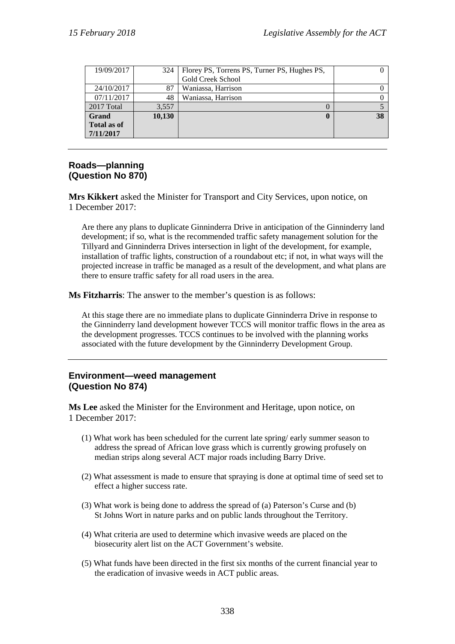| 19/09/2017         | 324    | Florey PS, Torrens PS, Turner PS, Hughes PS, |    |
|--------------------|--------|----------------------------------------------|----|
|                    |        | Gold Creek School                            |    |
| 24/10/2017         | 87     | Waniassa, Harrison                           |    |
| 07/11/2017         | 48     | Waniassa, Harrison                           |    |
| 2017 Total         | 3,557  |                                              |    |
| <b>Grand</b>       | 10,130 | $\bf{0}$                                     | 38 |
| <b>Total as of</b> |        |                                              |    |
| 7/11/2017          |        |                                              |    |

#### **Roads—planning (Question No 870)**

**Mrs Kikkert** asked the Minister for Transport and City Services, upon notice, on 1 December 2017:

Are there any plans to duplicate Ginninderra Drive in anticipation of the Ginninderry land development; if so, what is the recommended traffic safety management solution for the Tillyard and Ginninderra Drives intersection in light of the development, for example, installation of traffic lights, construction of a roundabout etc; if not, in what ways will the projected increase in traffic be managed as a result of the development, and what plans are there to ensure traffic safety for all road users in the area.

**Ms Fitzharris**: The answer to the member's question is as follows:

At this stage there are no immediate plans to duplicate Ginninderra Drive in response to the Ginninderry land development however TCCS will monitor traffic flows in the area as the development progresses. TCCS continues to be involved with the planning works associated with the future development by the Ginninderry Development Group.

### **Environment—weed management (Question No 874)**

**Ms Lee** asked the Minister for the Environment and Heritage, upon notice, on 1 December 2017:

- (1) What work has been scheduled for the current late spring/ early summer season to address the spread of African love grass which is currently growing profusely on median strips along several ACT major roads including Barry Drive.
- (2) What assessment is made to ensure that spraying is done at optimal time of seed set to effect a higher success rate.
- (3) What work is being done to address the spread of (a) Paterson's Curse and (b) St Johns Wort in nature parks and on public lands throughout the Territory.
- (4) What criteria are used to determine which invasive weeds are placed on the biosecurity alert list on the ACT Government's website.
- (5) What funds have been directed in the first six months of the current financial year to the eradication of invasive weeds in ACT public areas.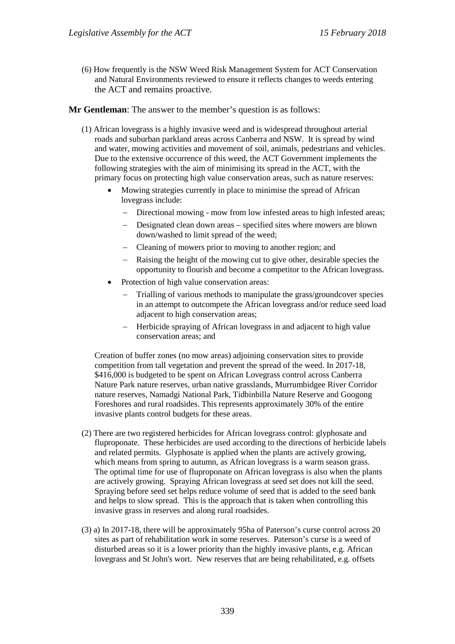(6) How frequently is the NSW Weed Risk Management System for ACT Conservation and Natural Environments reviewed to ensure it reflects changes to weeds entering the ACT and remains proactive.

**Mr Gentleman**: The answer to the member's question is as follows:

- (1) African lovegrass is a highly invasive weed and is widespread throughout arterial roads and suburban parkland areas across Canberra and NSW. It is spread by wind and water, mowing activities and movement of soil, animals, pedestrians and vehicles. Due to the extensive occurrence of this weed, the ACT Government implements the following strategies with the aim of minimising its spread in the ACT, with the primary focus on protecting high value conservation areas, such as nature reserves:
	- Mowing strategies currently in place to minimise the spread of African lovegrass include:
		- − Directional mowing mow from low infested areas to high infested areas;
		- − Designated clean down areas specified sites where mowers are blown down/washed to limit spread of the weed;
		- − Cleaning of mowers prior to moving to another region; and
		- − Raising the height of the mowing cut to give other, desirable species the opportunity to flourish and become a competitor to the African lovegrass.
	- Protection of high value conservation areas:
		- Trialling of various methods to manipulate the grass/groundcover species in an attempt to outcompete the African lovegrass and/or reduce seed load adjacent to high conservation areas;
		- − Herbicide spraying of African lovegrass in and adjacent to high value conservation areas; and

Creation of buffer zones (no mow areas) adjoining conservation sites to provide competition from tall vegetation and prevent the spread of the weed. In 2017-18, \$416,000 is budgeted to be spent on African Lovegrass control across Canberra Nature Park nature reserves, urban native grasslands, Murrumbidgee River Corridor nature reserves, Namadgi National Park, Tidbinbilla Nature Reserve and Googong Foreshores and rural roadsides. This represents approximately 30% of the entire invasive plants control budgets for these areas.

- (2) There are two registered herbicides for African lovegrass control: glyphosate and fluproponate. These herbicides are used according to the directions of herbicide labels and related permits. Glyphosate is applied when the plants are actively growing, which means from spring to autumn, as African lovegrass is a warm season grass. The optimal time for use of fluproponate on African lovegrass is also when the plants are actively growing. Spraying African lovegrass at seed set does not kill the seed. Spraying before seed set helps reduce volume of seed that is added to the seed bank and helps to slow spread. This is the approach that is taken when controlling this invasive grass in reserves and along rural roadsides.
- (3) a) In 2017-18, there will be approximately 95ha of Paterson's curse control across 20 sites as part of rehabilitation work in some reserves. Paterson's curse is a weed of disturbed areas so it is a lower priority than the highly invasive plants, e.g. African lovegrass and St John's wort. New reserves that are being rehabilitated, e.g. offsets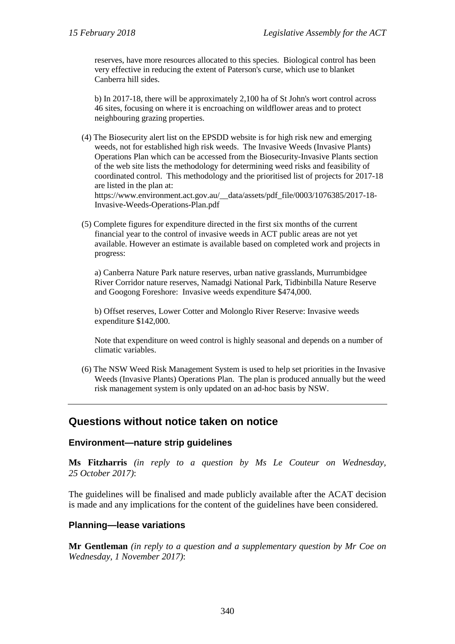reserves, have more resources allocated to this species. Biological control has been very effective in reducing the extent of Paterson's curse, which use to blanket Canberra hill sides.

b) In 2017-18, there will be approximately 2,100 ha of St John's wort control across 46 sites, focusing on where it is encroaching on wildflower areas and to protect neighbouring grazing properties.

(4) The Biosecurity alert list on the EPSDD website is for high risk new and emerging weeds, not for established high risk weeds. The Invasive Weeds (Invasive Plants) Operations Plan which can be accessed from the Biosecurity-Invasive Plants section of the web site lists the methodology for determining weed risks and feasibility of coordinated control. This methodology and the prioritised list of projects for 2017-18 are listed in the plan at:

https://www.environment.act.gov.au/\_\_data/assets/pdf\_file/0003/1076385/2017-18- Invasive-Weeds-Operations-Plan.pdf

(5) Complete figures for expenditure directed in the first six months of the current financial year to the control of invasive weeds in ACT public areas are not yet available. However an estimate is available based on completed work and projects in progress:

a) Canberra Nature Park nature reserves, urban native grasslands, Murrumbidgee River Corridor nature reserves, Namadgi National Park, Tidbinbilla Nature Reserve and Googong Foreshore: Invasive weeds expenditure \$474,000.

b) Offset reserves, Lower Cotter and Molonglo River Reserve: Invasive weeds expenditure \$142,000.

Note that expenditure on weed control is highly seasonal and depends on a number of climatic variables.

(6) The NSW Weed Risk Management System is used to help set priorities in the Invasive Weeds (Invasive Plants) Operations Plan. The plan is produced annually but the weed risk management system is only updated on an ad-hoc basis by NSW.

# **Questions without notice taken on notice**

#### **Environment—nature strip guidelines**

**Ms Fitzharris** *(in reply to a question by Ms Le Couteur on Wednesday, 25 October 2017)*:

The guidelines will be finalised and made publicly available after the ACAT decision is made and any implications for the content of the guidelines have been considered.

### **Planning—lease variations**

**Mr Gentleman** *(in reply to a question and a supplementary question by Mr Coe on Wednesday, 1 November 2017)*: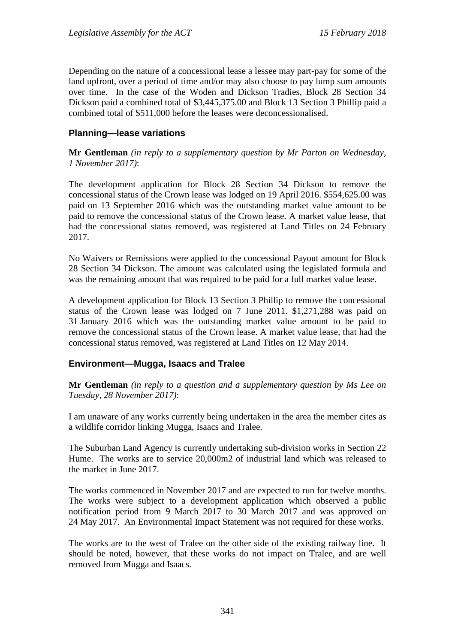Depending on the nature of a concessional lease a lessee may part-pay for some of the land upfront, over a period of time and/or may also choose to pay lump sum amounts over time. In the case of the Woden and Dickson Tradies, Block 28 Section 34 Dickson paid a combined total of \$3,445,375.00 and Block 13 Section 3 Phillip paid a combined total of \$511,000 before the leases were deconcessionalised.

# **Planning—lease variations**

**Mr Gentleman** *(in reply to a supplementary question by Mr Parton on Wednesday, 1 November 2017)*:

The development application for Block 28 Section 34 Dickson to remove the concessional status of the Crown lease was lodged on 19 April 2016. \$554,625.00 was paid on 13 September 2016 which was the outstanding market value amount to be paid to remove the concessional status of the Crown lease. A market value lease, that had the concessional status removed, was registered at Land Titles on 24 February 2017.

No Waivers or Remissions were applied to the concessional Payout amount for Block 28 Section 34 Dickson. The amount was calculated using the legislated formula and was the remaining amount that was required to be paid for a full market value lease.

A development application for Block 13 Section 3 Phillip to remove the concessional status of the Crown lease was lodged on 7 June 2011. \$1,271,288 was paid on 31 January 2016 which was the outstanding market value amount to be paid to remove the concessional status of the Crown lease. A market value lease, that had the concessional status removed, was registered at Land Titles on 12 May 2014.

# **Environment—Mugga, Isaacs and Tralee**

**Mr Gentleman** *(in reply to a question and a supplementary question by Ms Lee on Tuesday, 28 November 2017)*:

I am unaware of any works currently being undertaken in the area the member cites as a wildlife corridor linking Mugga, Isaacs and Tralee.

The Suburban Land Agency is currently undertaking sub-division works in Section 22 Hume. The works are to service 20,000m2 of industrial land which was released to the market in June 2017.

The works commenced in November 2017 and are expected to run for twelve months. The works were subject to a development application which observed a public notification period from 9 March 2017 to 30 March 2017 and was approved on 24 May 2017. An Environmental Impact Statement was not required for these works.

The works are to the west of Tralee on the other side of the existing railway line. It should be noted, however, that these works do not impact on Tralee, and are well removed from Mugga and Isaacs.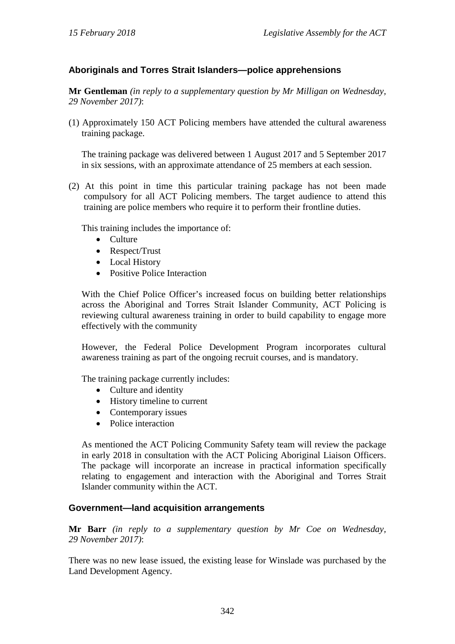# **Aboriginals and Torres Strait Islanders—police apprehensions**

**Mr Gentleman** *(in reply to a supplementary question by Mr Milligan on Wednesday, 29 November 2017)*:

(1) Approximately 150 ACT Policing members have attended the cultural awareness training package.

The training package was delivered between 1 August 2017 and 5 September 2017 in six sessions, with an approximate attendance of 25 members at each session.

(2) At this point in time this particular training package has not been made compulsory for all ACT Policing members. The target audience to attend this training are police members who require it to perform their frontline duties.

This training includes the importance of:

- Culture
- Respect/Trust
- Local History
- Positive Police Interaction

With the Chief Police Officer's increased focus on building better relationships across the Aboriginal and Torres Strait Islander Community, ACT Policing is reviewing cultural awareness training in order to build capability to engage more effectively with the community

However, the Federal Police Development Program incorporates cultural awareness training as part of the ongoing recruit courses, and is mandatory.

The training package currently includes:

- Culture and identity
- History timeline to current
- Contemporary issues
- Police interaction

As mentioned the ACT Policing Community Safety team will review the package in early 2018 in consultation with the ACT Policing Aboriginal Liaison Officers. The package will incorporate an increase in practical information specifically relating to engagement and interaction with the Aboriginal and Torres Strait Islander community within the ACT.

### **Government—land acquisition arrangements**

**Mr Barr** *(in reply to a supplementary question by Mr Coe on Wednesday, 29 November 2017)*:

There was no new lease issued, the existing lease for Winslade was purchased by the Land Development Agency.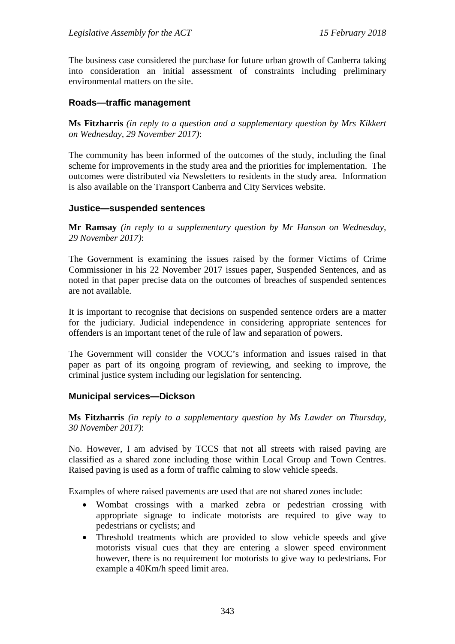The business case considered the purchase for future urban growth of Canberra taking into consideration an initial assessment of constraints including preliminary environmental matters on the site.

### **Roads—traffic management**

**Ms Fitzharris** *(in reply to a question and a supplementary question by Mrs Kikkert on Wednesday, 29 November 2017)*:

The community has been informed of the outcomes of the study, including the final scheme for improvements in the study area and the priorities for implementation. The outcomes were distributed via Newsletters to residents in the study area. Information is also available on the Transport Canberra and City Services website.

#### **Justice—suspended sentences**

**Mr Ramsay** *(in reply to a supplementary question by Mr Hanson on Wednesday, 29 November 2017)*:

The Government is examining the issues raised by the former Victims of Crime Commissioner in his 22 November 2017 issues paper, Suspended Sentences, and as noted in that paper precise data on the outcomes of breaches of suspended sentences are not available.

It is important to recognise that decisions on suspended sentence orders are a matter for the judiciary. Judicial independence in considering appropriate sentences for offenders is an important tenet of the rule of law and separation of powers.

The Government will consider the VOCC's information and issues raised in that paper as part of its ongoing program of reviewing, and seeking to improve, the criminal justice system including our legislation for sentencing.

#### **Municipal services—Dickson**

**Ms Fitzharris** *(in reply to a supplementary question by Ms Lawder on Thursday, 30 November 2017)*:

No. However, I am advised by TCCS that not all streets with raised paving are classified as a shared zone including those within Local Group and Town Centres. Raised paving is used as a form of traffic calming to slow vehicle speeds.

Examples of where raised pavements are used that are not shared zones include:

- Wombat crossings with a marked zebra or pedestrian crossing with appropriate signage to indicate motorists are required to give way to pedestrians or cyclists; and
- Threshold treatments which are provided to slow vehicle speeds and give motorists visual cues that they are entering a slower speed environment however, there is no requirement for motorists to give way to pedestrians. For example a 40Km/h speed limit area.